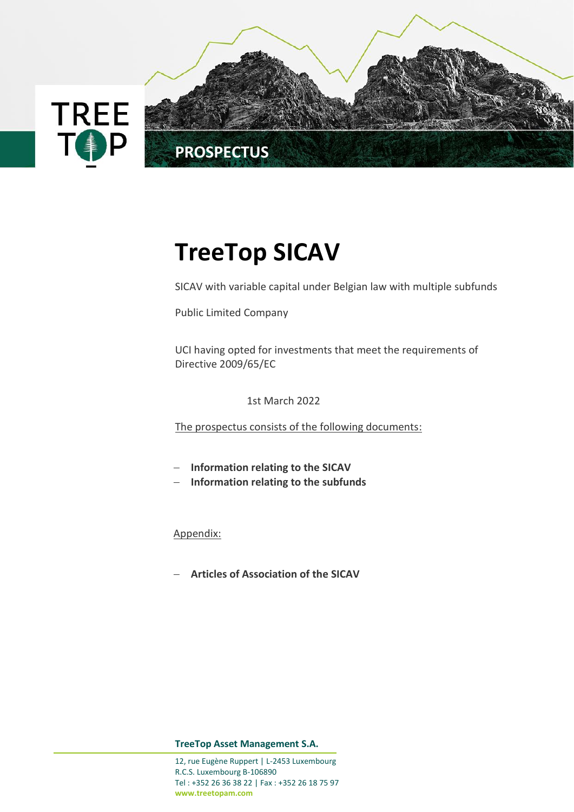

# **TreeTop SICAV**

SICAV with variable capital under Belgian law with multiple subfunds

Public Limited Company

UCI having opted for investments that meet the requirements of Directive 2009/65/EC

1st March 2022

The prospectus consists of the following documents:

- − **Information relating to the SICAV**
- − **Information relating to the subfunds**

Appendix:

− **Articles of Association of the SICAV**

**TreeTop Asset Management S.A.**

12, rue Eugène Ruppert | L-2453 Luxembourg R.C.S. Luxembourg B-106890 Tel : +352 26 36 38 22 | Fax : +352 26 18 75 97 **[www.treetopam.com](http://www.treetopam.com/)**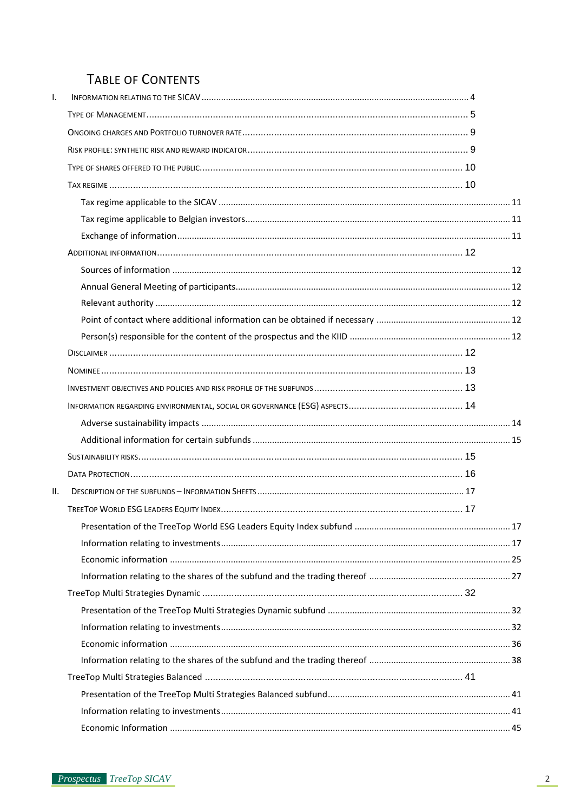# **TABLE OF CONTENTS**

| I.  |  |
|-----|--|
|     |  |
|     |  |
|     |  |
|     |  |
|     |  |
|     |  |
|     |  |
|     |  |
|     |  |
|     |  |
|     |  |
|     |  |
|     |  |
|     |  |
|     |  |
|     |  |
|     |  |
|     |  |
|     |  |
|     |  |
|     |  |
|     |  |
| ΙΙ. |  |
|     |  |
|     |  |
|     |  |
|     |  |
|     |  |
|     |  |
|     |  |
|     |  |
|     |  |
|     |  |
|     |  |
|     |  |
|     |  |
|     |  |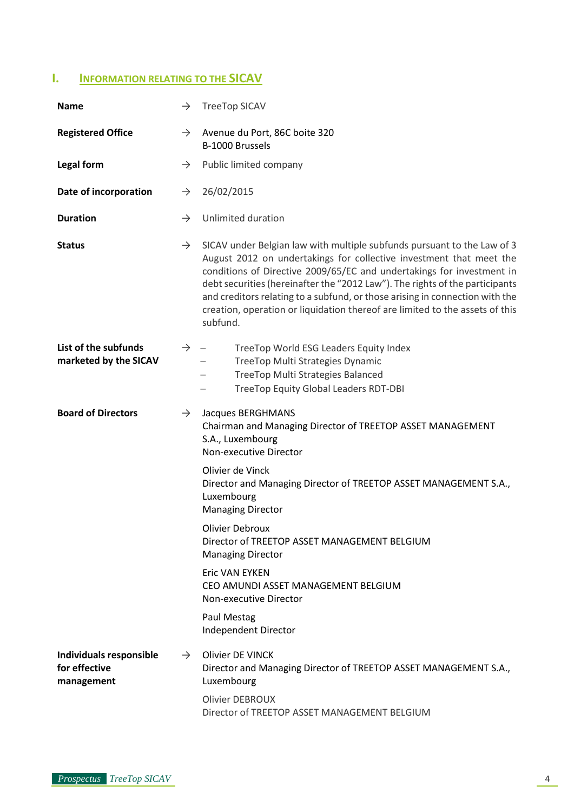# <span id="page-3-0"></span>**I. INFORMATION RELATING TO THE SICAV**

| <b>Name</b>                                            | $\rightarrow$ | <b>TreeTop SICAV</b>                                                                                                                                                                                                                                                                                                                                                                                                                                                                |  |  |
|--------------------------------------------------------|---------------|-------------------------------------------------------------------------------------------------------------------------------------------------------------------------------------------------------------------------------------------------------------------------------------------------------------------------------------------------------------------------------------------------------------------------------------------------------------------------------------|--|--|
| <b>Registered Office</b><br>$\rightarrow$              |               | Avenue du Port, 86C boite 320<br>B-1000 Brussels                                                                                                                                                                                                                                                                                                                                                                                                                                    |  |  |
| Legal form                                             | $\rightarrow$ | Public limited company                                                                                                                                                                                                                                                                                                                                                                                                                                                              |  |  |
| Date of incorporation                                  | $\rightarrow$ | 26/02/2015                                                                                                                                                                                                                                                                                                                                                                                                                                                                          |  |  |
| <b>Duration</b>                                        | $\rightarrow$ | Unlimited duration                                                                                                                                                                                                                                                                                                                                                                                                                                                                  |  |  |
| <b>Status</b>                                          | $\rightarrow$ | SICAV under Belgian law with multiple subfunds pursuant to the Law of 3<br>August 2012 on undertakings for collective investment that meet the<br>conditions of Directive 2009/65/EC and undertakings for investment in<br>debt securities (hereinafter the "2012 Law"). The rights of the participants<br>and creditors relating to a subfund, or those arising in connection with the<br>creation, operation or liquidation thereof are limited to the assets of this<br>subfund. |  |  |
| List of the subfunds<br>marketed by the SICAV          | $\rightarrow$ | TreeTop World ESG Leaders Equity Index<br>TreeTop Multi Strategies Dynamic<br>TreeTop Multi Strategies Balanced<br><b>TreeTop Equity Global Leaders RDT-DBI</b>                                                                                                                                                                                                                                                                                                                     |  |  |
| <b>Board of Directors</b>                              | $\rightarrow$ | Jacques BERGHMANS<br>Chairman and Managing Director of TREETOP ASSET MANAGEMENT<br>S.A., Luxembourg<br>Non-executive Director                                                                                                                                                                                                                                                                                                                                                       |  |  |
|                                                        |               | Olivier de Vinck<br>Director and Managing Director of TREETOP ASSET MANAGEMENT S.A.,<br>Luxembourg<br><b>Managing Director</b>                                                                                                                                                                                                                                                                                                                                                      |  |  |
|                                                        |               | Olivier Debroux<br>Director of TREETOP ASSET MANAGEMENT BELGIUM<br><b>Managing Director</b>                                                                                                                                                                                                                                                                                                                                                                                         |  |  |
|                                                        |               | <b>Eric VAN EYKEN</b><br>CEO AMUNDI ASSET MANAGEMENT BELGIUM<br>Non-executive Director                                                                                                                                                                                                                                                                                                                                                                                              |  |  |
|                                                        |               | Paul Mestag<br>Independent Director                                                                                                                                                                                                                                                                                                                                                                                                                                                 |  |  |
| Individuals responsible<br>for effective<br>management | $\rightarrow$ | <b>Olivier DE VINCK</b><br>Director and Managing Director of TREETOP ASSET MANAGEMENT S.A.,<br>Luxembourg                                                                                                                                                                                                                                                                                                                                                                           |  |  |
|                                                        |               | Olivier DEBROUX<br>Director of TREETOP ASSET MANAGEMENT BELGIUM                                                                                                                                                                                                                                                                                                                                                                                                                     |  |  |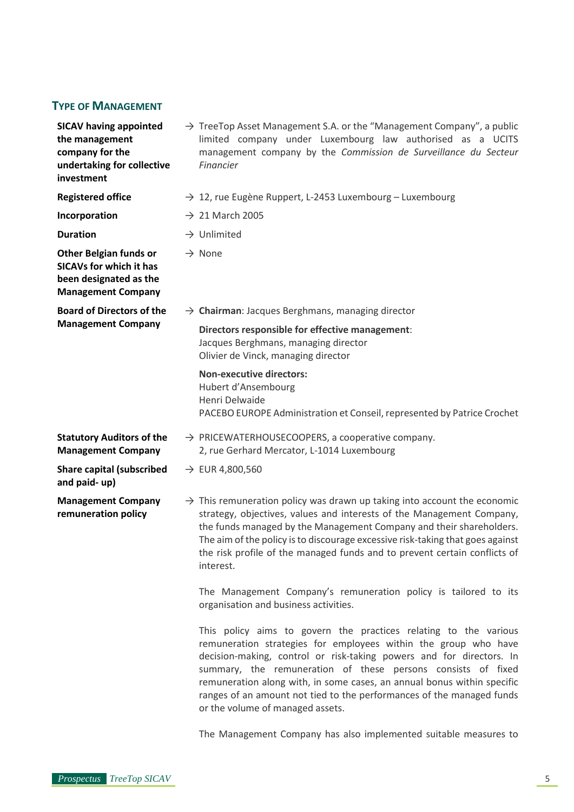# <span id="page-4-0"></span>**TYPE OF MANAGEMENT**

| <b>SICAV having appointed</b><br>the management<br>company for the<br>undertaking for collective<br>investment         |  | $\rightarrow$ TreeTop Asset Management S.A. or the "Management Company", a public<br>limited company under Luxembourg law authorised as a UCITS<br>management company by the Commission de Surveillance du Secteur<br>Financier                                                                                                                                                                                  |  |  |
|------------------------------------------------------------------------------------------------------------------------|--|------------------------------------------------------------------------------------------------------------------------------------------------------------------------------------------------------------------------------------------------------------------------------------------------------------------------------------------------------------------------------------------------------------------|--|--|
| <b>Registered office</b>                                                                                               |  | $\rightarrow$ 12, rue Eugène Ruppert, L-2453 Luxembourg – Luxembourg                                                                                                                                                                                                                                                                                                                                             |  |  |
| Incorporation                                                                                                          |  | $\rightarrow$ 21 March 2005                                                                                                                                                                                                                                                                                                                                                                                      |  |  |
| <b>Duration</b>                                                                                                        |  | $\rightarrow$ Unlimited                                                                                                                                                                                                                                                                                                                                                                                          |  |  |
| <b>Other Belgian funds or</b><br><b>SICAVs for which it has</b><br>been designated as the<br><b>Management Company</b> |  | $\rightarrow$ None                                                                                                                                                                                                                                                                                                                                                                                               |  |  |
| <b>Board of Directors of the</b>                                                                                       |  | $\rightarrow$ Chairman: Jacques Berghmans, managing director                                                                                                                                                                                                                                                                                                                                                     |  |  |
| <b>Management Company</b>                                                                                              |  | Directors responsible for effective management:<br>Jacques Berghmans, managing director<br>Olivier de Vinck, managing director                                                                                                                                                                                                                                                                                   |  |  |
|                                                                                                                        |  | <b>Non-executive directors:</b><br>Hubert d'Ansembourg<br>Henri Delwaide<br>PACEBO EUROPE Administration et Conseil, represented by Patrice Crochet                                                                                                                                                                                                                                                              |  |  |
| <b>Statutory Auditors of the</b><br><b>Management Company</b>                                                          |  | $\rightarrow$ PRICEWATERHOUSECOOPERS, a cooperative company.<br>2, rue Gerhard Mercator, L-1014 Luxembourg                                                                                                                                                                                                                                                                                                       |  |  |
| <b>Share capital (subscribed</b><br>and paid-up)                                                                       |  | $\rightarrow$ EUR 4,800,560                                                                                                                                                                                                                                                                                                                                                                                      |  |  |
| <b>Management Company</b><br>remuneration policy                                                                       |  | $\rightarrow$ This remuneration policy was drawn up taking into account the economic<br>strategy, objectives, values and interests of the Management Company,<br>the funds managed by the Management Company and their shareholders.<br>The aim of the policy is to discourage excessive risk-taking that goes against<br>the risk profile of the managed funds and to prevent certain conflicts of<br>interest. |  |  |
|                                                                                                                        |  | The Management Company's remuneration policy is tailored to its<br>organisation and business activities.                                                                                                                                                                                                                                                                                                         |  |  |
|                                                                                                                        |  | This policy aims to govern the practices relating to the various<br>remuneration strategies for employees within the group who have<br>decision-making, control or risk-taking powers and for directors. In<br>summary the remuneration of these nersons consists of fixed                                                                                                                                       |  |  |

summary, the remuneration of these persons consists of fixed remuneration along with, in some cases, an annual bonus within specific ranges of an amount not tied to the performances of the managed funds or the volume of managed assets.

The Management Company has also implemented suitable measures to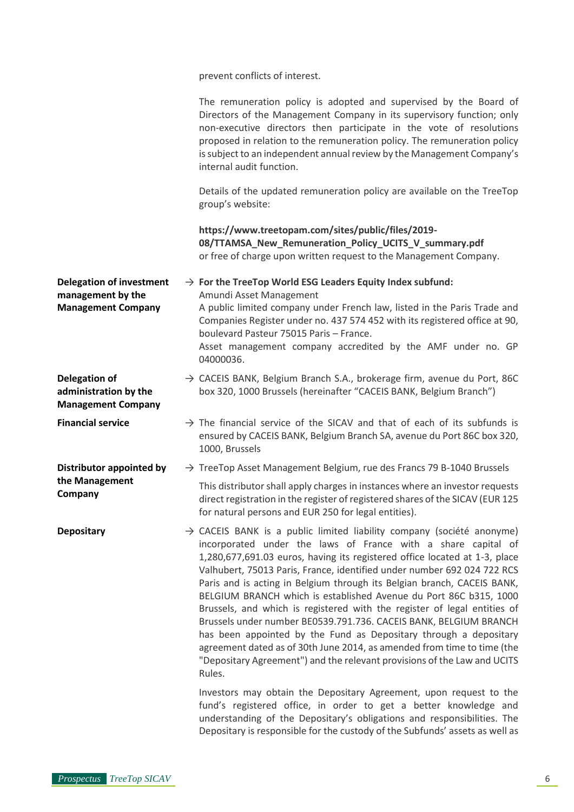prevent conflicts of interest.

|                                                                                   | The remuneration policy is adopted and supervised by the Board of<br>Directors of the Management Company in its supervisory function; only<br>non-executive directors then participate in the vote of resolutions<br>proposed in relation to the remuneration policy. The remuneration policy<br>is subject to an independent annual review by the Management Company's<br>internal audit function.                                                                                                                                                                                                                                                                                                                                                                                                                                                |
|-----------------------------------------------------------------------------------|----------------------------------------------------------------------------------------------------------------------------------------------------------------------------------------------------------------------------------------------------------------------------------------------------------------------------------------------------------------------------------------------------------------------------------------------------------------------------------------------------------------------------------------------------------------------------------------------------------------------------------------------------------------------------------------------------------------------------------------------------------------------------------------------------------------------------------------------------|
|                                                                                   | Details of the updated remuneration policy are available on the TreeTop<br>group's website:                                                                                                                                                                                                                                                                                                                                                                                                                                                                                                                                                                                                                                                                                                                                                        |
|                                                                                   | https://www.treetopam.com/sites/public/files/2019-<br>08/TTAMSA_New_Remuneration_Policy_UCITS_V_summary.pdf<br>or free of charge upon written request to the Management Company.                                                                                                                                                                                                                                                                                                                                                                                                                                                                                                                                                                                                                                                                   |
| <b>Delegation of investment</b><br>management by the<br><b>Management Company</b> | $\rightarrow$ For the TreeTop World ESG Leaders Equity Index subfund:<br>Amundi Asset Management<br>A public limited company under French law, listed in the Paris Trade and<br>Companies Register under no. 437 574 452 with its registered office at 90,<br>boulevard Pasteur 75015 Paris - France.                                                                                                                                                                                                                                                                                                                                                                                                                                                                                                                                              |
|                                                                                   | Asset management company accredited by the AMF under no. GP<br>04000036.                                                                                                                                                                                                                                                                                                                                                                                                                                                                                                                                                                                                                                                                                                                                                                           |
| <b>Delegation of</b><br>administration by the<br><b>Management Company</b>        | $\rightarrow$ CACEIS BANK, Belgium Branch S.A., brokerage firm, avenue du Port, 86C<br>box 320, 1000 Brussels (hereinafter "CACEIS BANK, Belgium Branch")                                                                                                                                                                                                                                                                                                                                                                                                                                                                                                                                                                                                                                                                                          |
| <b>Financial service</b>                                                          | $\rightarrow$ The financial service of the SICAV and that of each of its subfunds is<br>ensured by CACEIS BANK, Belgium Branch SA, avenue du Port 86C box 320,<br>1000, Brussels                                                                                                                                                                                                                                                                                                                                                                                                                                                                                                                                                                                                                                                                   |
| Distributor appointed by                                                          | $\rightarrow$ TreeTop Asset Management Belgium, rue des Francs 79 B-1040 Brussels                                                                                                                                                                                                                                                                                                                                                                                                                                                                                                                                                                                                                                                                                                                                                                  |
| the Management<br>Company                                                         | This distributor shall apply charges in instances where an investor requests<br>direct registration in the register of registered shares of the SICAV (EUR 125<br>for natural persons and EUR 250 for legal entities).                                                                                                                                                                                                                                                                                                                                                                                                                                                                                                                                                                                                                             |
| <b>Depositary</b>                                                                 | $\rightarrow$ CACEIS BANK is a public limited liability company (société anonyme)<br>incorporated under the laws of France with a share capital of<br>1,280,677,691.03 euros, having its registered office located at 1-3, place<br>Valhubert, 75013 Paris, France, identified under number 692 024 722 RCS<br>Paris and is acting in Belgium through its Belgian branch, CACEIS BANK,<br>BELGIUM BRANCH which is established Avenue du Port 86C b315, 1000<br>Brussels, and which is registered with the register of legal entities of<br>Brussels under number BE0539.791.736. CACEIS BANK, BELGIUM BRANCH<br>has been appointed by the Fund as Depositary through a depositary<br>agreement dated as of 30th June 2014, as amended from time to time (the<br>"Depositary Agreement") and the relevant provisions of the Law and UCITS<br>Rules. |
|                                                                                   | Investors may obtain the Depositary Agreement, upon request to the<br>fund's registered office, in order to get a better knowledge and<br>understanding of the Depositary's obligations and responsibilities. The<br>Depositary is responsible for the custody of the Subfunds' assets as well as                                                                                                                                                                                                                                                                                                                                                                                                                                                                                                                                                  |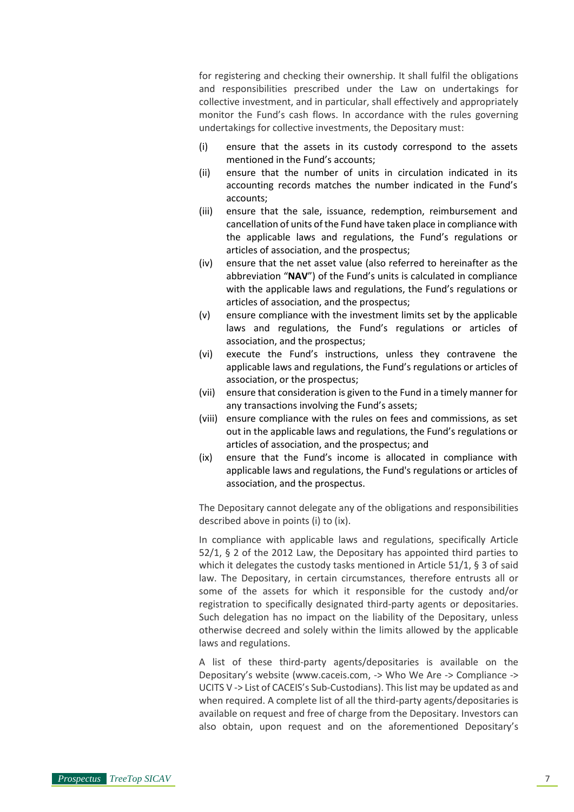for registering and checking their ownership. It shall fulfil the obligations and responsibilities prescribed under the Law on undertakings for collective investment, and in particular, shall effectively and appropriately monitor the Fund's cash flows. In accordance with the rules governing undertakings for collective investments, the Depositary must:

- (i) ensure that the assets in its custody correspond to the assets mentioned in the Fund's accounts;
- (ii) ensure that the number of units in circulation indicated in its accounting records matches the number indicated in the Fund's accounts;
- (iii) ensure that the sale, issuance, redemption, reimbursement and cancellation of units of the Fund have taken place in compliance with the applicable laws and regulations, the Fund's regulations or articles of association, and the prospectus;
- (iv) ensure that the net asset value (also referred to hereinafter as the abbreviation "**NAV**") of the Fund's units is calculated in compliance with the applicable laws and regulations, the Fund's regulations or articles of association, and the prospectus;
- (v) ensure compliance with the investment limits set by the applicable laws and regulations, the Fund's regulations or articles of association, and the prospectus;
- (vi) execute the Fund's instructions, unless they contravene the applicable laws and regulations, the Fund's regulations or articles of association, or the prospectus;
- (vii) ensure that consideration is given to the Fund in a timely manner for any transactions involving the Fund's assets;
- (viii) ensure compliance with the rules on fees and commissions, as set out in the applicable laws and regulations, the Fund's regulations or articles of association, and the prospectus; and
- (ix) ensure that the Fund's income is allocated in compliance with applicable laws and regulations, the Fund's regulations or articles of association, and the prospectus.

The Depositary cannot delegate any of the obligations and responsibilities described above in points (i) to (ix).

In compliance with applicable laws and regulations, specifically Article 52/1, § 2 of the 2012 Law, the Depositary has appointed third parties to which it delegates the custody tasks mentioned in Article 51/1, § 3 of said law. The Depositary, in certain circumstances, therefore entrusts all or some of the assets for which it responsible for the custody and/or registration to specifically designated third-party agents or depositaries. Such delegation has no impact on the liability of the Depositary, unless otherwise decreed and solely within the limits allowed by the applicable laws and regulations.

A list of these third-party agents/depositaries is available on the Depositary's website (www.caceis.com, -> Who We Are -> Compliance -> UCITS V -> List of CACEIS's Sub-Custodians). This list may be updated as and when required. A complete list of all the third-party agents/depositaries is available on request and free of charge from the Depositary. Investors can also obtain, upon request and on the aforementioned Depositary's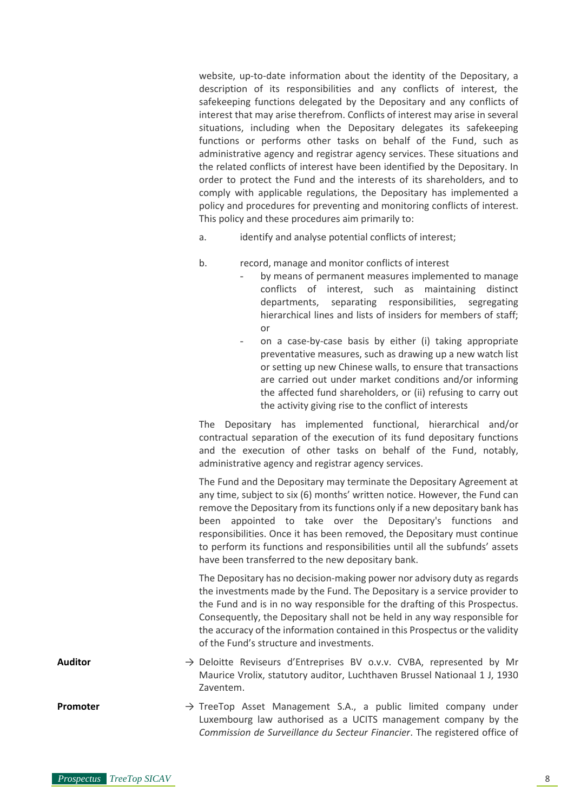website, up-to-date information about the identity of the Depositary, a description of its responsibilities and any conflicts of interest, the safekeeping functions delegated by the Depositary and any conflicts of interest that may arise therefrom. Conflicts of interest may arise in several situations, including when the Depositary delegates its safekeeping functions or performs other tasks on behalf of the Fund, such as administrative agency and registrar agency services. These situations and the related conflicts of interest have been identified by the Depositary. In order to protect the Fund and the interests of its shareholders, and to comply with applicable regulations, the Depositary has implemented a policy and procedures for preventing and monitoring conflicts of interest. This policy and these procedures aim primarily to:

- a. identify and analyse potential conflicts of interest;
- b. record, manage and monitor conflicts of interest
	- by means of permanent measures implemented to manage conflicts of interest, such as maintaining distinct departments, separating responsibilities, segregating hierarchical lines and lists of insiders for members of staff; or
	- on a case-by-case basis by either (i) taking appropriate preventative measures, such as drawing up a new watch list or setting up new Chinese walls, to ensure that transactions are carried out under market conditions and/or informing the affected fund shareholders, or (ii) refusing to carry out the activity giving rise to the conflict of interests

The Depositary has implemented functional, hierarchical and/or contractual separation of the execution of its fund depositary functions and the execution of other tasks on behalf of the Fund, notably, administrative agency and registrar agency services.

The Fund and the Depositary may terminate the Depositary Agreement at any time, subject to six (6) months' written notice. However, the Fund can remove the Depositary from its functions only if a new depositary bank has been appointed to take over the Depositary's functions and responsibilities. Once it has been removed, the Depositary must continue to perform its functions and responsibilities until all the subfunds' assets have been transferred to the new depositary bank.

The Depositary has no decision-making power nor advisory duty as regards the investments made by the Fund. The Depositary is a service provider to the Fund and is in no way responsible for the drafting of this Prospectus. Consequently, the Depositary shall not be held in any way responsible for the accuracy of the information contained in this Prospectus or the validity of the Fund's structure and investments.

**Auditor** → Deloitte Reviseurs d'Entreprises BV o.v.v. CVBA, represented by Mr Maurice Vrolix, statutory auditor, Luchthaven Brussel Nationaal 1 J, 1930 Zaventem.

**Promoter** → TreeTop Asset Management S.A., a public limited company under Luxembourg law authorised as a UCITS management company by the *Commission de Surveillance du Secteur Financier*. The registered office of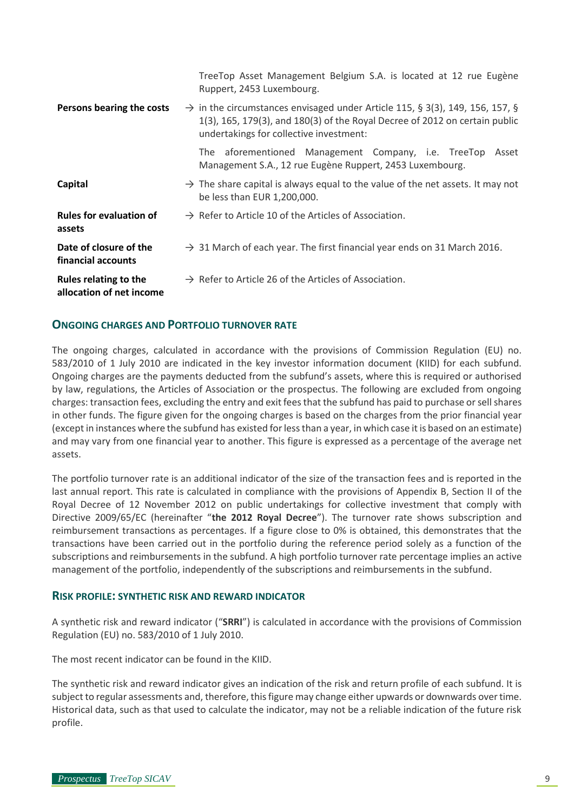|                                                          | TreeTop Asset Management Belgium S.A. is located at 12 rue Eugène<br>Ruppert, 2453 Luxembourg.                                                                                                                     |  |
|----------------------------------------------------------|--------------------------------------------------------------------------------------------------------------------------------------------------------------------------------------------------------------------|--|
| Persons bearing the costs                                | $\rightarrow$ in the circumstances envisaged under Article 115, § 3(3), 149, 156, 157, §<br>1(3), 165, 179(3), and 180(3) of the Royal Decree of 2012 on certain public<br>undertakings for collective investment: |  |
|                                                          | The aforementioned Management Company, i.e. TreeTop<br>Asset<br>Management S.A., 12 rue Eugène Ruppert, 2453 Luxembourg.                                                                                           |  |
| Capital                                                  | $\rightarrow$ The share capital is always equal to the value of the net assets. It may not<br>be less than EUR 1,200,000.                                                                                          |  |
| <b>Rules for evaluation of</b><br>assets                 | $\rightarrow$ Refer to Article 10 of the Articles of Association.                                                                                                                                                  |  |
| Date of closure of the<br>financial accounts             | $\rightarrow$ 31 March of each year. The first financial year ends on 31 March 2016.                                                                                                                               |  |
| <b>Rules relating to the</b><br>allocation of net income | $\rightarrow$ Refer to Article 26 of the Articles of Association.                                                                                                                                                  |  |

# <span id="page-8-0"></span>**ONGOING CHARGES AND PORTFOLIO TURNOVER RATE**

The ongoing charges, calculated in accordance with the provisions of Commission Regulation (EU) no. 583/2010 of 1 July 2010 are indicated in the key investor information document (KIID) for each subfund. Ongoing charges are the payments deducted from the subfund's assets, where this is required or authorised by law, regulations, the Articles of Association or the prospectus. The following are excluded from ongoing charges: transaction fees, excluding the entry and exit fees that the subfund has paid to purchase or sell shares in other funds. The figure given for the ongoing charges is based on the charges from the prior financial year (except in instances where the subfund has existed for less than a year, in which case it is based on an estimate) and may vary from one financial year to another. This figure is expressed as a percentage of the average net assets.

The portfolio turnover rate is an additional indicator of the size of the transaction fees and is reported in the last annual report. This rate is calculated in compliance with the provisions of Appendix B, Section II of the Royal Decree of 12 November 2012 on public undertakings for collective investment that comply with Directive 2009/65/EC (hereinafter "**the 2012 Royal Decree**"). The turnover rate shows subscription and reimbursement transactions as percentages. If a figure close to 0% is obtained, this demonstrates that the transactions have been carried out in the portfolio during the reference period solely as a function of the subscriptions and reimbursements in the subfund. A high portfolio turnover rate percentage implies an active management of the portfolio, independently of the subscriptions and reimbursements in the subfund.

# <span id="page-8-1"></span>**RISK PROFILE: SYNTHETIC RISK AND REWARD INDICATOR**

A synthetic risk and reward indicator ("**SRRI**") is calculated in accordance with the provisions of Commission Regulation (EU) no. 583/2010 of 1 July 2010.

The most recent indicator can be found in the KIID.

The synthetic risk and reward indicator gives an indication of the risk and return profile of each subfund. It is subject to regular assessments and, therefore, this figure may change either upwards or downwards over time. Historical data, such as that used to calculate the indicator, may not be a reliable indication of the future risk profile.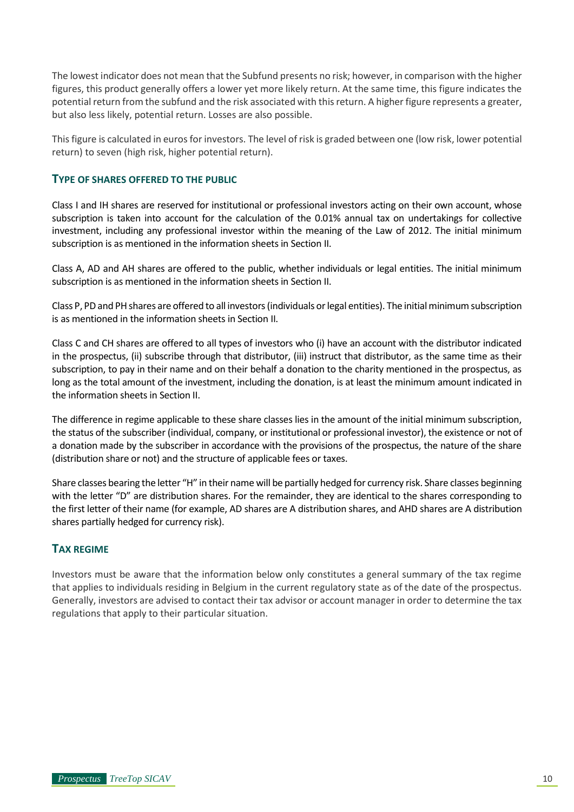The lowest indicator does not mean that the Subfund presents no risk; however, in comparison with the higher figures, this product generally offers a lower yet more likely return. At the same time, this figure indicates the potential return from the subfund and the risk associated with this return. A higher figure represents a greater, but also less likely, potential return. Losses are also possible.

This figure is calculated in euros for investors. The level of risk is graded between one (low risk, lower potential return) to seven (high risk, higher potential return).

# <span id="page-9-0"></span>**TYPE OF SHARES OFFERED TO THE PUBLIC**

Class I and IH shares are reserved for institutional or professional investors acting on their own account, whose subscription is taken into account for the calculation of the 0.01% annual tax on undertakings for collective investment, including any professional investor within the meaning of the Law of 2012. The initial minimum subscription is as mentioned in the information sheets in Section II.

Class A, AD and AH shares are offered to the public, whether individuals or legal entities. The initial minimum subscription is as mentioned in the information sheets in Section II.

Class P, PD and PH shares are offered to all investors (individuals orlegal entities). The initial minimum subscription is as mentioned in the information sheets in Section II.

Class C and CH shares are offered to all types of investors who (i) have an account with the distributor indicated in the prospectus, (ii) subscribe through that distributor, (iii) instruct that distributor, as the same time as their subscription, to pay in their name and on their behalf a donation to the charity mentioned in the prospectus, as long as the total amount of the investment, including the donation, is at least the minimum amount indicated in the information sheets in Section II.

The difference in regime applicable to these share classes lies in the amount of the initial minimum subscription, the status of the subscriber (individual, company, or institutional or professional investor), the existence or not of a donation made by the subscriber in accordance with the provisions of the prospectus, the nature of the share (distribution share or not) and the structure of applicable fees or taxes.

Share classes bearing the letter "H" in their name will be partially hedged for currency risk. Share classes beginning with the letter "D" are distribution shares. For the remainder, they are identical to the shares corresponding to the first letter of their name (for example, AD shares are A distribution shares, and AHD shares are A distribution shares partially hedged for currency risk).

# <span id="page-9-1"></span>**TAX REGIME**

Investors must be aware that the information below only constitutes a general summary of the tax regime that applies to individuals residing in Belgium in the current regulatory state as of the date of the prospectus. Generally, investors are advised to contact their tax advisor or account manager in order to determine the tax regulations that apply to their particular situation.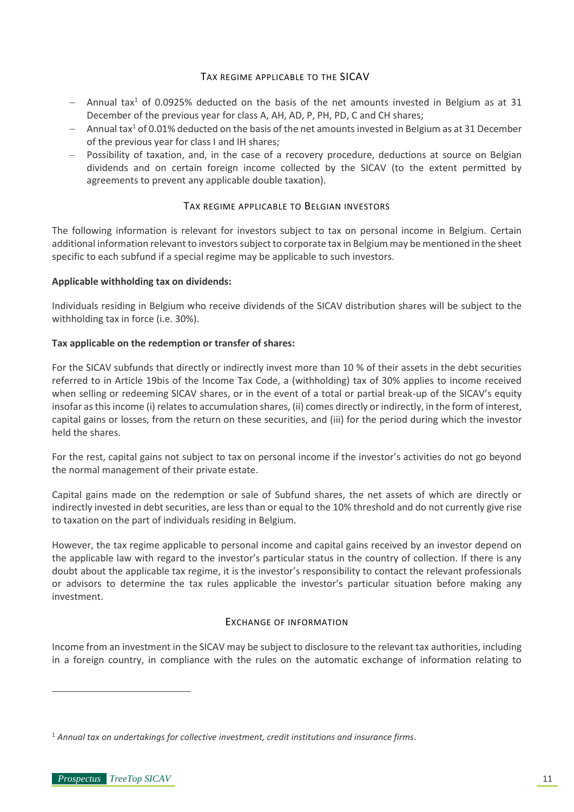# TAX REGIME APPLICABLE TO THE SICAV

- <span id="page-10-3"></span><span id="page-10-0"></span>− Annual tax<sup>1</sup> of 0.0925% deducted on the basis of the net amounts invested in Belgium as at 31 December of the previous year for class A, AH, AD, P, PH, PD, C and CH shares;
- − Annual ta[x](#page-10-3)<sup>1</sup> of 0.01% deducted on the basis of the net amounts invested in Belgium as at 31 December of the previous year for class I and IH shares;
- − Possibility of taxation, and, in the case of a recovery procedure, deductions at source on Belgian dividends and on certain foreign income collected by the SICAV (to the extent permitted by agreements to prevent any applicable double taxation).

# TAX REGIME APPLICABLE TO BELGIAN INVESTORS

<span id="page-10-1"></span>The following information is relevant for investors subject to tax on personal income in Belgium. Certain additional information relevant to investors subject to corporate tax in Belgium may be mentioned in the sheet specific to each subfund if a special regime may be applicable to such investors.

# **Applicable withholding tax on dividends:**

Individuals residing in Belgium who receive dividends of the SICAV distribution shares will be subject to the withholding tax in force (i.e. 30%).

# **Tax applicable on the redemption or transfer of shares:**

For the SICAV subfunds that directly or indirectly invest more than 10 % of their assets in the debt securities referred to in Article 19bis of the Income Tax Code, a (withholding) tax of 30% applies to income received when selling or redeeming SICAV shares, or in the event of a total or partial break-up of the SICAV's equity insofar as this income (i) relates to accumulation shares, (ii) comes directly or indirectly, in the form of interest, capital gains or losses, from the return on these securities, and (iii) for the period during which the investor held the shares.

For the rest, capital gains not subject to tax on personal income if the investor's activities do not go beyond the normal management of their private estate.

Capital gains made on the redemption or sale of Subfund shares, the net assets of which are directly or indirectly invested in debt securities, are less than or equal to the 10% threshold and do not currently give rise to taxation on the part of individuals residing in Belgium.

However, the tax regime applicable to personal income and capital gains received by an investor depend on the applicable law with regard to the investor's particular status in the country of collection. If there is any doubt about the applicable tax regime, it is the investor's responsibility to contact the relevant professionals or advisors to determine the tax rules applicable the investor's particular situation before making any investment.

# EXCHANGE OF INFORMATION

<span id="page-10-2"></span>Income from an investment in the SICAV may be subject to disclosure to the relevant tax authorities, including in a foreign country, in compliance with the rules on the automatic exchange of information relating to

<sup>1</sup> *Annual tax on undertakings for collective investment, credit institutions and insurance firms.*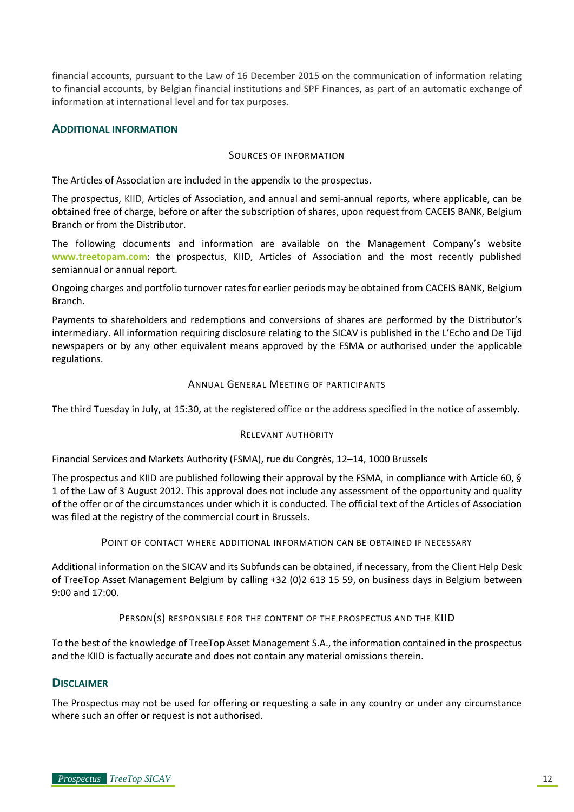financial accounts, pursuant to the Law of 16 December 2015 on the communication of information relating to financial accounts, by Belgian financial institutions and SPF Finances, as part of an automatic exchange of information at international level and for tax purposes.

# <span id="page-11-1"></span><span id="page-11-0"></span>**ADDITIONAL INFORMATION**

## SOURCES OF INFORMATION

The Articles of Association are included in the appendix to the prospectus.

The prospectus, KIID, Articles of Association, and annual and semi-annual reports, where applicable, can be obtained free of charge, before or after the subscription of shares, upon request from CACEIS BANK, Belgium Branch or from the Distributor.

The following documents and information are available on the Management Company's website **[www.treetopam.com](http://www.treetopam.com/)**: the prospectus, KIID, Articles of Association and the most recently published semiannual or annual report.

Ongoing charges and portfolio turnover rates for earlier periods may be obtained from CACEIS BANK, Belgium Branch.

Payments to shareholders and redemptions and conversions of shares are performed by the Distributor's intermediary. All information requiring disclosure relating to the SICAV is published in the L'Echo and De Tijd newspapers or by any other equivalent means approved by the FSMA or authorised under the applicable regulations.

#### ANNUAL GENERAL MEETING OF PARTICIPANTS

<span id="page-11-3"></span><span id="page-11-2"></span>The third Tuesday in July, at 15:30, at the registered office or the address specified in the notice of assembly.

# RELEVANT AUTHORITY

Financial Services and Markets Authority (FSMA), rue du Congrès, 12–14, 1000 Brussels

The prospectus and KIID are published following their approval by the FSMA, in compliance with Article 60, § 1 of the Law of 3 August 2012. This approval does not include any assessment of the opportunity and quality of the offer or of the circumstances under which it is conducted. The official text of the Articles of Association was filed at the registry of the commercial court in Brussels.

POINT OF CONTACT WHERE ADDITIONAL INFORMATION CAN BE OBTAINED IF NECESSARY

<span id="page-11-4"></span>Additional information on the SICAV and its Subfunds can be obtained, if necessary, from the Client Help Desk of TreeTop Asset Management Belgium by calling +32 (0)2 613 15 59, on business days in Belgium between 9:00 and 17:00.

PERSON(S) RESPONSIBLE FOR THE CONTENT OF THE PROSPECTUS AND THE KIID

<span id="page-11-5"></span>To the best of the knowledge of TreeTop Asset Management S.A., the information contained in the prospectus and the KIID is factually accurate and does not contain any material omissions therein.

# <span id="page-11-6"></span>**DISCLAIMER**

The Prospectus may not be used for offering or requesting a sale in any country or under any circumstance where such an offer or request is not authorised.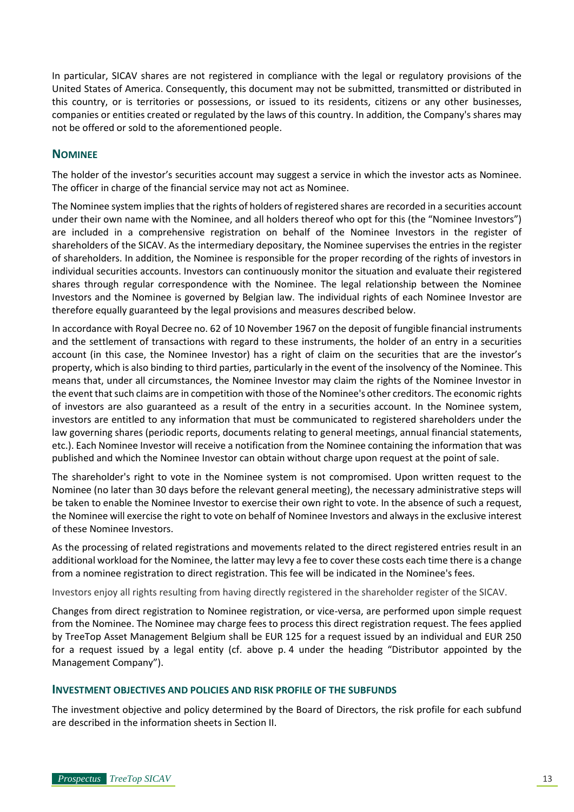In particular, SICAV shares are not registered in compliance with the legal or regulatory provisions of the United States of America. Consequently, this document may not be submitted, transmitted or distributed in this country, or is territories or possessions, or issued to its residents, citizens or any other businesses, companies or entities created or regulated by the laws of this country. In addition, the Company's shares may not be offered or sold to the aforementioned people.

# <span id="page-12-0"></span>**NOMINEE**

The holder of the investor's securities account may suggest a service in which the investor acts as Nominee. The officer in charge of the financial service may not act as Nominee.

The Nominee system implies that the rights of holders of registered shares are recorded in a securities account under their own name with the Nominee, and all holders thereof who opt for this (the "Nominee Investors") are included in a comprehensive registration on behalf of the Nominee Investors in the register of shareholders of the SICAV. As the intermediary depositary, the Nominee supervises the entries in the register of shareholders. In addition, the Nominee is responsible for the proper recording of the rights of investors in individual securities accounts. Investors can continuously monitor the situation and evaluate their registered shares through regular correspondence with the Nominee. The legal relationship between the Nominee Investors and the Nominee is governed by Belgian law. The individual rights of each Nominee Investor are therefore equally guaranteed by the legal provisions and measures described below.

In accordance with Royal Decree no. 62 of 10 November 1967 on the deposit of fungible financial instruments and the settlement of transactions with regard to these instruments, the holder of an entry in a securities account (in this case, the Nominee Investor) has a right of claim on the securities that are the investor's property, which is also binding to third parties, particularly in the event of the insolvency of the Nominee. This means that, under all circumstances, the Nominee Investor may claim the rights of the Nominee Investor in the event that such claims are in competition with those of the Nominee's other creditors. The economic rights of investors are also guaranteed as a result of the entry in a securities account. In the Nominee system, investors are entitled to any information that must be communicated to registered shareholders under the law governing shares (periodic reports, documents relating to general meetings, annual financial statements, etc.). Each Nominee Investor will receive a notification from the Nominee containing the information that was published and which the Nominee Investor can obtain without charge upon request at the point of sale.

The shareholder's right to vote in the Nominee system is not compromised. Upon written request to the Nominee (no later than 30 days before the relevant general meeting), the necessary administrative steps will be taken to enable the Nominee Investor to exercise their own right to vote. In the absence of such a request, the Nominee will exercise the right to vote on behalf of Nominee Investors and always in the exclusive interest of these Nominee Investors.

As the processing of related registrations and movements related to the direct registered entries result in an additional workload for the Nominee, the latter may levy a fee to cover these costs each time there is a change from a nominee registration to direct registration. This fee will be indicated in the Nominee's fees.

Investors enjoy all rights resulting from having directly registered in the shareholder register of the SICAV.

Changes from direct registration to Nominee registration, or vice-versa, are performed upon simple request from the Nominee. The Nominee may charge fees to process this direct registration request. The fees applied by TreeTop Asset Management Belgium shall be EUR 125 for a request issued by an individual and EUR 250 for a request issued by a legal entity (cf. above p. 4 under the heading "Distributor appointed by the Management Company").

# <span id="page-12-1"></span>**INVESTMENT OBJECTIVES AND POLICIES AND RISK PROFILE OF THE SUBFUNDS**

The investment objective and policy determined by the Board of Directors, the risk profile for each subfund are described in the information sheets in Section II.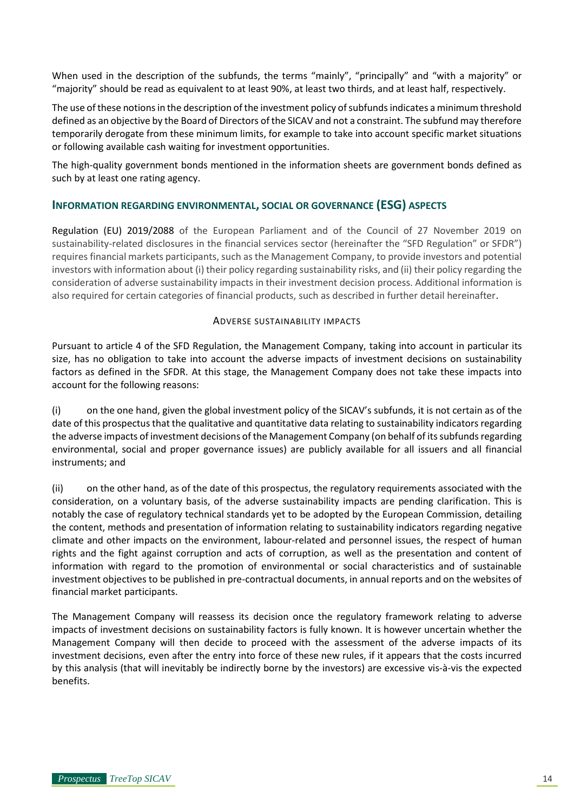When used in the description of the subfunds, the terms "mainly", "principally" and "with a majority" or "majority" should be read as equivalent to at least 90%, at least two thirds, and at least half, respectively.

The use of these notions in the description of the investment policy of subfunds indicates a minimum threshold defined as an objective by the Board of Directors of the SICAV and not a constraint. The subfund may therefore temporarily derogate from these minimum limits, for example to take into account specific market situations or following available cash waiting for investment opportunities.

The high-quality government bonds mentioned in the information sheets are government bonds defined as such by at least one rating agency.

# <span id="page-13-0"></span>**INFORMATION REGARDING ENVIRONMENTAL, SOCIAL OR GOVERNANCE (ESG) ASPECTS**

Regulation (EU) 2019/2088 of the European Parliament and of the Council of 27 November 2019 on sustainability-related disclosures in the financial services sector (hereinafter the "SFD Regulation" or SFDR") requires financial markets participants, such as the Management Company, to provide investors and potential investors with information about (i) their policy regarding sustainability risks, and (ii) their policy regarding the consideration of adverse sustainability impacts in their investment decision process. Additional information is also required for certain categories of financial products, such as described in further detail hereinafter.

# ADVERSE SUSTAINABILITY IMPACTS

<span id="page-13-1"></span>Pursuant to article 4 of the SFD Regulation, the Management Company, taking into account in particular its size, has no obligation to take into account the adverse impacts of investment decisions on sustainability factors as defined in the SFDR. At this stage, the Management Company does not take these impacts into account for the following reasons:

(i) on the one hand, given the global investment policy of the SICAV's subfunds, it is not certain as of the date of this prospectus that the qualitative and quantitative data relating to sustainability indicators regarding the adverse impacts of investment decisions of the Management Company (on behalf of its subfunds regarding environmental, social and proper governance issues) are publicly available for all issuers and all financial instruments; and

(ii) on the other hand, as of the date of this prospectus, the regulatory requirements associated with the consideration, on a voluntary basis, of the adverse sustainability impacts are pending clarification. This is notably the case of regulatory technical standards yet to be adopted by the European Commission, detailing the content, methods and presentation of information relating to sustainability indicators regarding negative climate and other impacts on the environment, labour-related and personnel issues, the respect of human rights and the fight against corruption and acts of corruption, as well as the presentation and content of information with regard to the promotion of environmental or social characteristics and of sustainable investment objectives to be published in pre-contractual documents, in annual reports and on the websites of financial market participants.

The Management Company will reassess its decision once the regulatory framework relating to adverse impacts of investment decisions on sustainability factors is fully known. It is however uncertain whether the Management Company will then decide to proceed with the assessment of the adverse impacts of its investment decisions, even after the entry into force of these new rules, if it appears that the costs incurred by this analysis (that will inevitably be indirectly borne by the investors) are excessive vis-à-vis the expected benefits.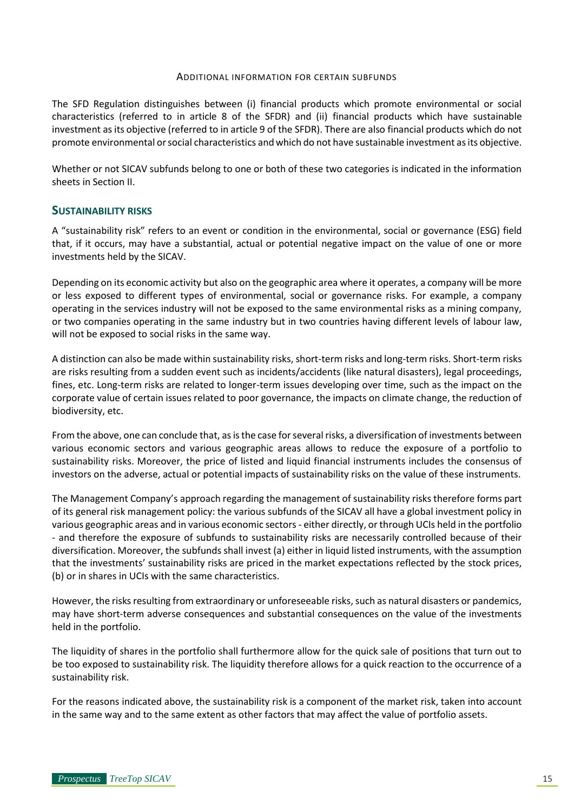#### ADDITIONAL INFORMATION FOR CERTAIN SUBFUNDS

<span id="page-14-0"></span>The SFD Regulation distinguishes between (i) financial products which promote environmental or social characteristics (referred to in article 8 of the SFDR) and (ii) financial products which have sustainable investment as its objective (referred to in article 9 of the SFDR). There are also financial products which do not promote environmental or social characteristics and which do not have sustainable investment as its objective.

Whether or not SICAV subfunds belong to one or both of these two categories is indicated in the information sheets in Section II.

# <span id="page-14-1"></span>**SUSTAINABILITY RISKS**

A "sustainability risk" refers to an event or condition in the environmental, social or governance (ESG) field that, if it occurs, may have a substantial, actual or potential negative impact on the value of one or more investments held by the SICAV.

Depending on its economic activity but also on the geographic area where it operates, a company will be more or less exposed to different types of environmental, social or governance risks. For example, a company operating in the services industry will not be exposed to the same environmental risks as a mining company, or two companies operating in the same industry but in two countries having different levels of labour law, will not be exposed to social risks in the same way.

A distinction can also be made within sustainability risks, short-term risks and long-term risks. Short-term risks are risks resulting from a sudden event such as incidents/accidents (like natural disasters), legal proceedings, fines, etc. Long-term risks are related to longer-term issues developing over time, such as the impact on the corporate value of certain issues related to poor governance, the impacts on climate change, the reduction of biodiversity, etc.

From the above, one can conclude that, as is the case for several risks, a diversification of investments between various economic sectors and various geographic areas allows to reduce the exposure of a portfolio to sustainability risks. Moreover, the price of listed and liquid financial instruments includes the consensus of investors on the adverse, actual or potential impacts of sustainability risks on the value of these instruments.

The Management Company's approach regarding the management of sustainability risks therefore forms part of its general risk management policy: the various subfunds of the SICAV all have a global investment policy in various geographic areas and in various economic sectors - either directly, or through UCIs held in the portfolio - and therefore the exposure of subfunds to sustainability risks are necessarily controlled because of their diversification. Moreover, the subfunds shall invest (a) either in liquid listed instruments, with the assumption that the investments' sustainability risks are priced in the market expectations reflected by the stock prices, (b) or in shares in UCIs with the same characteristics.

However, the risks resulting from extraordinary or unforeseeable risks, such as natural disasters or pandemics, may have short-term adverse consequences and substantial consequences on the value of the investments held in the portfolio.

The liquidity of shares in the portfolio shall furthermore allow for the quick sale of positions that turn out to be too exposed to sustainability risk. The liquidity therefore allows for a quick reaction to the occurrence of a sustainability risk.

For the reasons indicated above, the sustainability risk is a component of the market risk, taken into account in the same way and to the same extent as other factors that may affect the value of portfolio assets.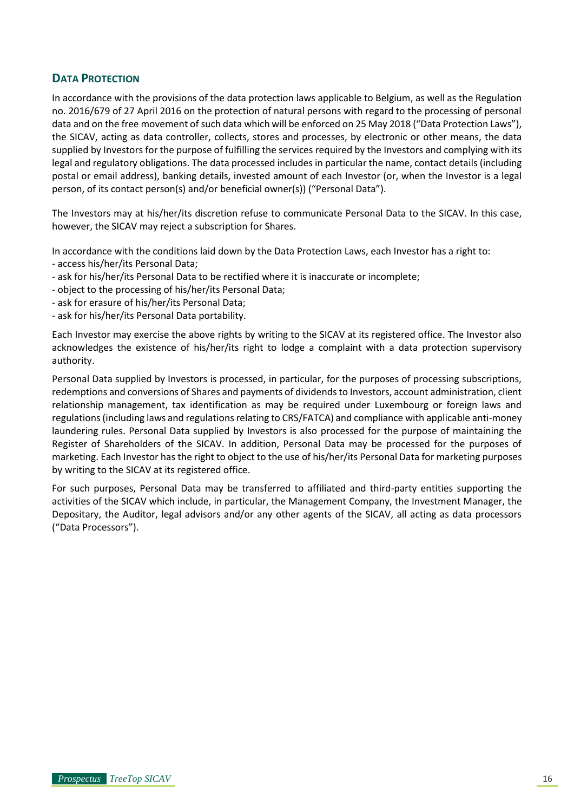# <span id="page-15-0"></span>**DATA PROTECTION**

In accordance with the provisions of the data protection laws applicable to Belgium, as well as the Regulation no. 2016/679 of 27 April 2016 on the protection of natural persons with regard to the processing of personal data and on the free movement of such data which will be enforced on 25 May 2018 ("Data Protection Laws"), the SICAV, acting as data controller, collects, stores and processes, by electronic or other means, the data supplied by Investors for the purpose of fulfilling the services required by the Investors and complying with its legal and regulatory obligations. The data processed includes in particular the name, contact details (including postal or email address), banking details, invested amount of each Investor (or, when the Investor is a legal person, of its contact person(s) and/or beneficial owner(s)) ("Personal Data").

The Investors may at his/her/its discretion refuse to communicate Personal Data to the SICAV. In this case, however, the SICAV may reject a subscription for Shares.

In accordance with the conditions laid down by the Data Protection Laws, each Investor has a right to:

- access his/her/its Personal Data;
- ask for his/her/its Personal Data to be rectified where it is inaccurate or incomplete;
- object to the processing of his/her/its Personal Data;
- ask for erasure of his/her/its Personal Data;
- ask for his/her/its Personal Data portability.

Each Investor may exercise the above rights by writing to the SICAV at its registered office. The Investor also acknowledges the existence of his/her/its right to lodge a complaint with a data protection supervisory authority.

Personal Data supplied by Investors is processed, in particular, for the purposes of processing subscriptions, redemptions and conversions of Shares and payments of dividends to Investors, account administration, client relationship management, tax identification as may be required under Luxembourg or foreign laws and regulations (including laws and regulations relating to CRS/FATCA) and compliance with applicable anti-money laundering rules. Personal Data supplied by Investors is also processed for the purpose of maintaining the Register of Shareholders of the SICAV. In addition, Personal Data may be processed for the purposes of marketing. Each Investor has the right to object to the use of his/her/its Personal Data for marketing purposes by writing to the SICAV at its registered office.

For such purposes, Personal Data may be transferred to affiliated and third-party entities supporting the activities of the SICAV which include, in particular, the Management Company, the Investment Manager, the Depositary, the Auditor, legal advisors and/or any other agents of the SICAV, all acting as data processors ("Data Processors").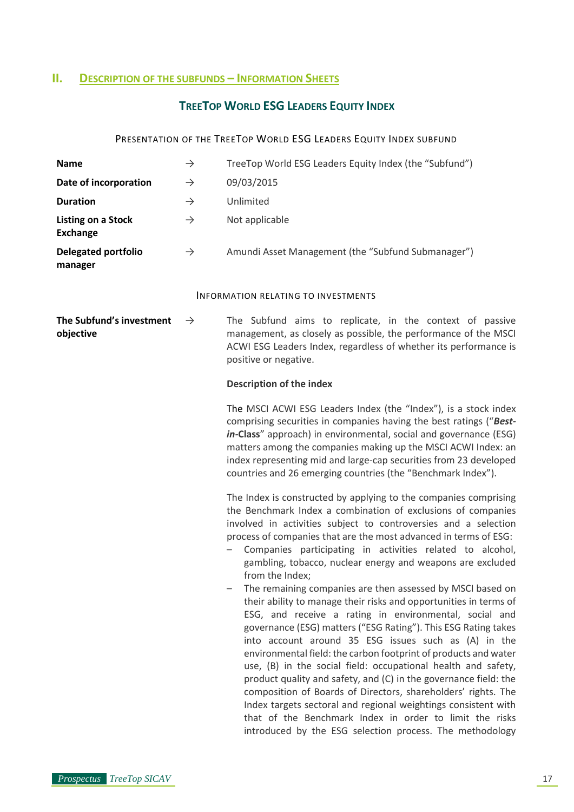# <span id="page-16-1"></span><span id="page-16-0"></span>**II. DESCRIPTION OF THE SUBFUNDS – INFORMATION SHEETS**

# **TREETOP WORLD ESG LEADERS EQUITY INDEX**

# PRESENTATION OF THE TREETOP WORLD ESG LEADERS EQUITY INDEX SUBFUND

<span id="page-16-3"></span><span id="page-16-2"></span>

| <b>Name</b>                                            | $\rightarrow$ | TreeTop World ESG Leaders Equity Index (the "Subfund")                                                                                                                                                                                                                                                                                                                                                                                                                                                                                                                                                                                                                                                                                                                                                                                                                                                                                                                                                                                                                                                                                                                                                                                                                                                                                                                                                                                                                                                                                                                                                                                                         |  |  |
|--------------------------------------------------------|---------------|----------------------------------------------------------------------------------------------------------------------------------------------------------------------------------------------------------------------------------------------------------------------------------------------------------------------------------------------------------------------------------------------------------------------------------------------------------------------------------------------------------------------------------------------------------------------------------------------------------------------------------------------------------------------------------------------------------------------------------------------------------------------------------------------------------------------------------------------------------------------------------------------------------------------------------------------------------------------------------------------------------------------------------------------------------------------------------------------------------------------------------------------------------------------------------------------------------------------------------------------------------------------------------------------------------------------------------------------------------------------------------------------------------------------------------------------------------------------------------------------------------------------------------------------------------------------------------------------------------------------------------------------------------------|--|--|
| Date of incorporation                                  | $\rightarrow$ | 09/03/2015                                                                                                                                                                                                                                                                                                                                                                                                                                                                                                                                                                                                                                                                                                                                                                                                                                                                                                                                                                                                                                                                                                                                                                                                                                                                                                                                                                                                                                                                                                                                                                                                                                                     |  |  |
| <b>Duration</b><br>$\rightarrow$                       |               | Unlimited                                                                                                                                                                                                                                                                                                                                                                                                                                                                                                                                                                                                                                                                                                                                                                                                                                                                                                                                                                                                                                                                                                                                                                                                                                                                                                                                                                                                                                                                                                                                                                                                                                                      |  |  |
| <b>Listing on a Stock</b><br><b>Exchange</b>           | $\rightarrow$ | Not applicable                                                                                                                                                                                                                                                                                                                                                                                                                                                                                                                                                                                                                                                                                                                                                                                                                                                                                                                                                                                                                                                                                                                                                                                                                                                                                                                                                                                                                                                                                                                                                                                                                                                 |  |  |
| <b>Delegated portfolio</b><br>manager                  | $\rightarrow$ | Amundi Asset Management (the "Subfund Submanager")                                                                                                                                                                                                                                                                                                                                                                                                                                                                                                                                                                                                                                                                                                                                                                                                                                                                                                                                                                                                                                                                                                                                                                                                                                                                                                                                                                                                                                                                                                                                                                                                             |  |  |
|                                                        |               | <b>INFORMATION RELATING TO INVESTMENTS</b>                                                                                                                                                                                                                                                                                                                                                                                                                                                                                                                                                                                                                                                                                                                                                                                                                                                                                                                                                                                                                                                                                                                                                                                                                                                                                                                                                                                                                                                                                                                                                                                                                     |  |  |
| The Subfund's investment<br>$\rightarrow$<br>objective |               | The Subfund aims to replicate, in the context of passive<br>management, as closely as possible, the performance of the MSCI<br>ACWI ESG Leaders Index, regardless of whether its performance is<br>positive or negative.                                                                                                                                                                                                                                                                                                                                                                                                                                                                                                                                                                                                                                                                                                                                                                                                                                                                                                                                                                                                                                                                                                                                                                                                                                                                                                                                                                                                                                       |  |  |
|                                                        |               | <b>Description of the index</b>                                                                                                                                                                                                                                                                                                                                                                                                                                                                                                                                                                                                                                                                                                                                                                                                                                                                                                                                                                                                                                                                                                                                                                                                                                                                                                                                                                                                                                                                                                                                                                                                                                |  |  |
|                                                        |               | The MSCI ACWI ESG Leaders Index (the "Index"), is a stock index<br>comprising securities in companies having the best ratings ("Best-<br>in-Class" approach) in environmental, social and governance (ESG)<br>matters among the companies making up the MSCI ACWI Index: an<br>index representing mid and large-cap securities from 23 developed<br>countries and 26 emerging countries (the "Benchmark Index").<br>The Index is constructed by applying to the companies comprising<br>the Benchmark Index a combination of exclusions of companies<br>involved in activities subject to controversies and a selection<br>process of companies that are the most advanced in terms of ESG:<br>Companies participating in activities related to alcohol,<br>$\overline{\phantom{0}}$<br>gambling, tobacco, nuclear energy and weapons are excluded<br>from the Index;<br>The remaining companies are then assessed by MSCI based on<br>their ability to manage their risks and opportunities in terms of<br>ESG, and receive a rating in environmental, social and<br>governance (ESG) matters ("ESG Rating"). This ESG Rating takes<br>into account around 35 ESG issues such as (A) in the<br>environmental field: the carbon footprint of products and water<br>use, (B) in the social field: occupational health and safety,<br>product quality and safety, and (C) in the governance field: the<br>composition of Boards of Directors, shareholders' rights. The<br>Index targets sectoral and regional weightings consistent with<br>that of the Benchmark Index in order to limit the risks<br>introduced by the ESG selection process. The methodology |  |  |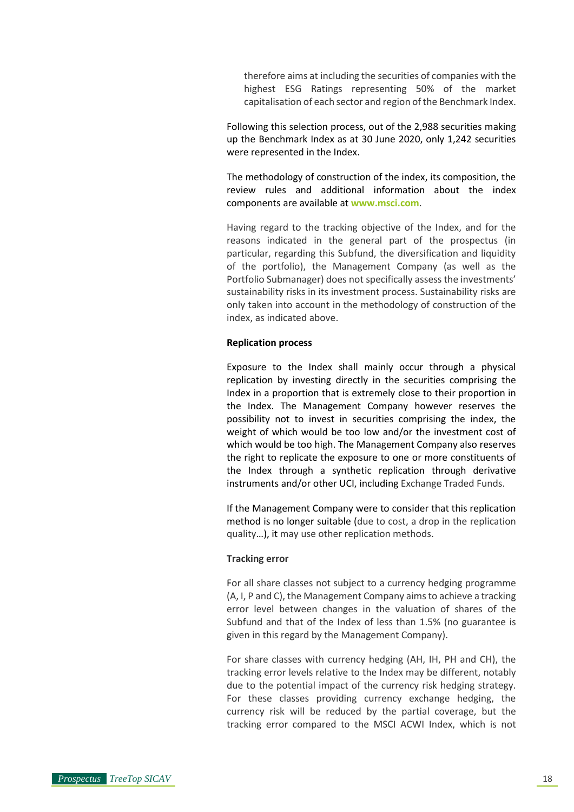therefore aims at including the securities of companies with the highest ESG Ratings representing 50% of the market capitalisation of each sector and region of the Benchmark Index.

Following this selection process, out of the 2,988 securities making up the Benchmark Index as at 30 June 2020, only 1,242 securities were represented in the Index.

The methodology of construction of the index, its composition, the review rules and additional information about the index components are available at **[www.msci.com](http://www.msci.com/)**.

Having regard to the tracking objective of the Index, and for the reasons indicated in the general part of the prospectus (in particular, regarding this Subfund, the diversification and liquidity of the portfolio), the Management Company (as well as the Portfolio Submanager) does not specifically assess the investments' sustainability risks in its investment process. Sustainability risks are only taken into account in the methodology of construction of the index, as indicated above.

#### **Replication process**

Exposure to the Index shall mainly occur through a physical replication by investing directly in the securities comprising the Index in a proportion that is extremely close to their proportion in the Index. The Management Company however reserves the possibility not to invest in securities comprising the index, the weight of which would be too low and/or the investment cost of which would be too high. The Management Company also reserves the right to replicate the exposure to one or more constituents of the Index through a synthetic replication through derivative instruments and/or other UCI, including Exchange Traded Funds.

If the Management Company were to consider that this replication method is no longer suitable (due to cost, a drop in the replication quality…), it may use other replication methods.

#### **Tracking error**

For all share classes not subject to a currency hedging programme (A, I, P and C), the Management Company aims to achieve a tracking error level between changes in the valuation of shares of the Subfund and that of the Index of less than 1.5% (no guarantee is given in this regard by the Management Company).

For share classes with currency hedging (AH, IH, PH and CH), the tracking error levels relative to the Index may be different, notably due to the potential impact of the currency risk hedging strategy. For these classes providing currency exchange hedging, the currency risk will be reduced by the partial coverage, but the tracking error compared to the MSCI ACWI Index, which is not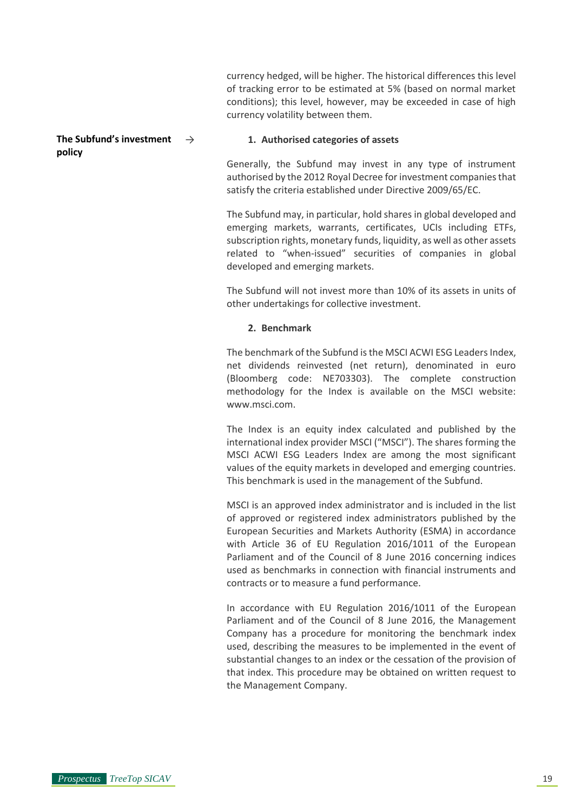currency hedged, will be higher. The historical differences this level of tracking error to be estimated at 5% (based on normal market conditions); this level, however, may be exceeded in case of high currency volatility between them.

#### **The Subfund's investment policy**

#### 1. Authorised categories of assets

Generally, the Subfund may invest in any type of instrument authorised by the 2012 Royal Decree for investment companies that satisfy the criteria established under Directive 2009/65/EC.

The Subfund may, in particular, hold shares in global developed and emerging markets, warrants, certificates, UCIs including ETFs, subscription rights, monetary funds, liquidity, as well as other assets related to "when-issued" securities of companies in global developed and emerging markets.

The Subfund will not invest more than 10% of its assets in units of other undertakings for collective investment.

# **2. Benchmark**

The benchmark of the Subfund is the MSCI ACWI ESG Leaders Index, net dividends reinvested (net return), denominated in euro (Bloomberg code: NE703303). The complete construction methodology for the Index is available on the MSCI website: www.msci.com.

The Index is an equity index calculated and published by the international index provider MSCI ("MSCI"). The shares forming the MSCI ACWI ESG Leaders Index are among the most significant values of the equity markets in developed and emerging countries. This benchmark is used in the management of the Subfund.

MSCI is an approved index administrator and is included in the list of approved or registered index administrators published by the European Securities and Markets Authority (ESMA) in accordance with Article 36 of EU Regulation 2016/1011 of the European Parliament and of the Council of 8 June 2016 concerning indices used as benchmarks in connection with financial instruments and contracts or to measure a fund performance.

In accordance with EU Regulation 2016/1011 of the European Parliament and of the Council of 8 June 2016, the Management Company has a procedure for monitoring the benchmark index used, describing the measures to be implemented in the event of substantial changes to an index or the cessation of the provision of that index. This procedure may be obtained on written request to the Management Company.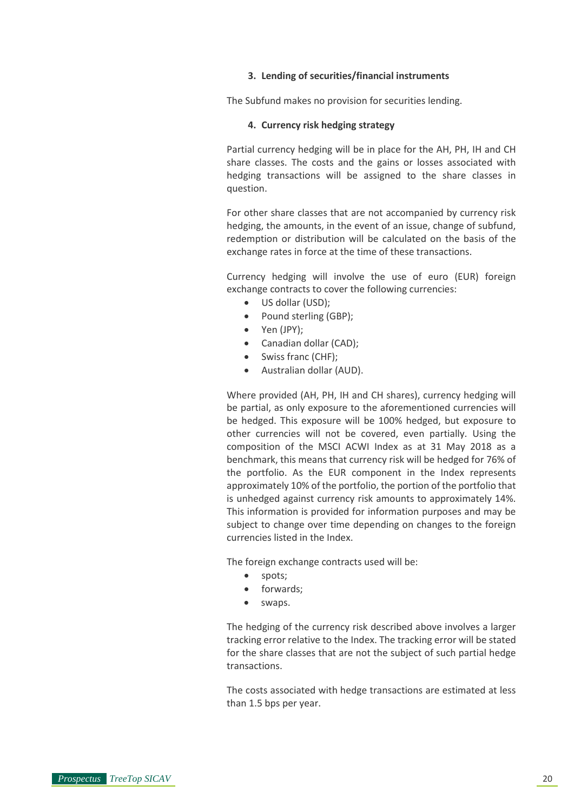#### **3. Lending of securities/financial instruments**

The Subfund makes no provision for securities lending.

#### **4. Currency risk hedging strategy**

Partial currency hedging will be in place for the AH, PH, IH and CH share classes. The costs and the gains or losses associated with hedging transactions will be assigned to the share classes in question.

For other share classes that are not accompanied by currency risk hedging, the amounts, in the event of an issue, change of subfund, redemption or distribution will be calculated on the basis of the exchange rates in force at the time of these transactions.

Currency hedging will involve the use of euro (EUR) foreign exchange contracts to cover the following currencies:

- US dollar (USD):
- Pound sterling (GBP):
- Yen (JPY);
- Canadian dollar (CAD);
- Swiss franc (CHF);
- Australian dollar (AUD).

Where provided (AH, PH, IH and CH shares), currency hedging will be partial, as only exposure to the aforementioned currencies will be hedged. This exposure will be 100% hedged, but exposure to other currencies will not be covered, even partially. Using the composition of the MSCI ACWI Index as at 31 May 2018 as a benchmark, this means that currency risk will be hedged for 76% of the portfolio. As the EUR component in the Index represents approximately 10% of the portfolio, the portion of the portfolio that is unhedged against currency risk amounts to approximately 14%. This information is provided for information purposes and may be subject to change over time depending on changes to the foreign currencies listed in the Index.

The foreign exchange contracts used will be:

- spots;
- forwards;
- swaps.

The hedging of the currency risk described above involves a larger tracking error relative to the Index. The tracking error will be stated for the share classes that are not the subject of such partial hedge transactions.

The costs associated with hedge transactions are estimated at less than 1.5 bps per year.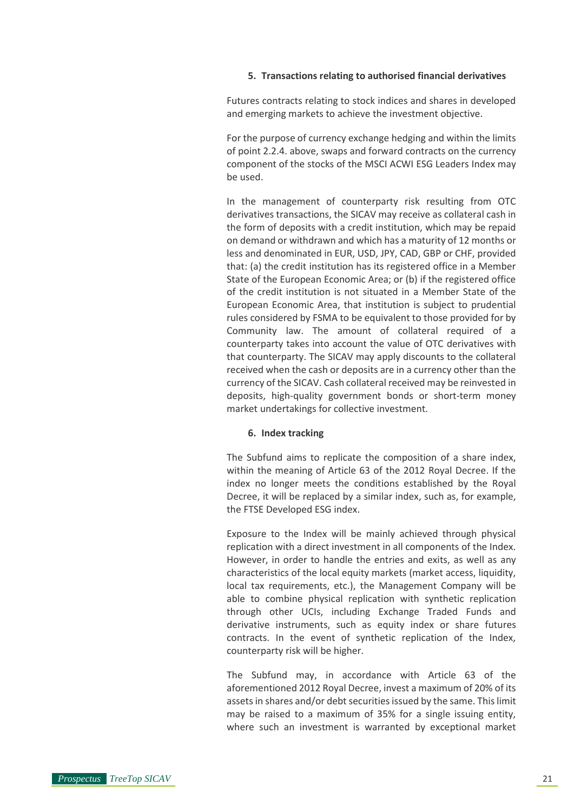#### **5. Transactions relating to authorised financial derivatives**

Futures contracts relating to stock indices and shares in developed and emerging markets to achieve the investment objective.

For the purpose of currency exchange hedging and within the limits of point 2.2.4. above, swaps and forward contracts on the currency component of the stocks of the MSCI ACWI ESG Leaders Index may be used.

In the management of counterparty risk resulting from OTC derivatives transactions, the SICAV may receive as collateral cash in the form of deposits with a credit institution, which may be repaid on demand or withdrawn and which has a maturity of 12 months or less and denominated in EUR, USD, JPY, CAD, GBP or CHF, provided that: (a) the credit institution has its registered office in a Member State of the European Economic Area; or (b) if the registered office of the credit institution is not situated in a Member State of the European Economic Area, that institution is subject to prudential rules considered by FSMA to be equivalent to those provided for by Community law. The amount of collateral required of a counterparty takes into account the value of OTC derivatives with that counterparty. The SICAV may apply discounts to the collateral received when the cash or deposits are in a currency other than the currency of the SICAV. Cash collateral received may be reinvested in deposits, high-quality government bonds or short-term money market undertakings for collective investment.

#### **6. Index tracking**

The Subfund aims to replicate the composition of a share index, within the meaning of Article 63 of the 2012 Royal Decree. If the index no longer meets the conditions established by the Royal Decree, it will be replaced by a similar index, such as, for example, the FTSE Developed ESG index.

Exposure to the Index will be mainly achieved through physical replication with a direct investment in all components of the Index. However, in order to handle the entries and exits, as well as any characteristics of the local equity markets (market access, liquidity, local tax requirements, etc.), the Management Company will be able to combine physical replication with synthetic replication through other UCIs, including Exchange Traded Funds and derivative instruments, such as equity index or share futures contracts. In the event of synthetic replication of the Index, counterparty risk will be higher.

The Subfund may, in accordance with Article 63 of the aforementioned 2012 Royal Decree, invest a maximum of 20% of its assets in shares and/or debt securities issued by the same. This limit may be raised to a maximum of 35% for a single issuing entity, where such an investment is warranted by exceptional market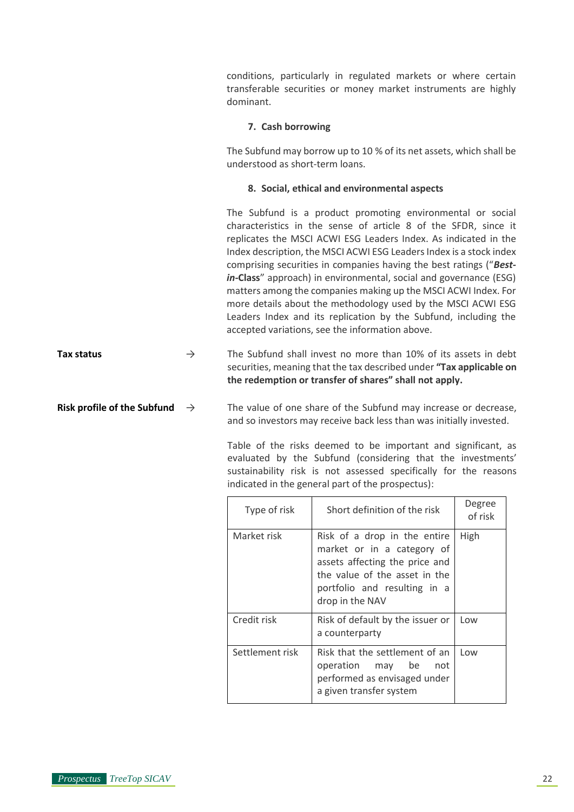conditions, particularly in regulated markets or where certain transferable securities or money market instruments are highly dominant.

#### **7. Cash borrowing**

The Subfund may borrow up to 10 % of its net assets, which shall be understood as short-term loans.

#### **8. Social, ethical and environmental aspects**

The Subfund is a product promoting environmental or social characteristics in the sense of article 8 of the SFDR, since it replicates the MSCI ACWI ESG Leaders Index. As indicated in the Index description, the MSCI ACWI ESG Leaders Index is a stock index comprising securities in companies having the best ratings ("*Bestin-***Class**" approach) in environmental, social and governance (ESG) matters among the companies making up the MSCI ACWI Index. For more details about the methodology used by the MSCI ACWI ESG Leaders Index and its replication by the Subfund, including the accepted variations, see the information above.

**Tax status**  $\rightarrow$  The Subfund shall invest no more than 10% of its assets in debt securities, meaning that the tax described under **"Tax applicable on the redemption or transfer of shares" shall not apply.**

**Risk profile of the Subfund**  $\rightarrow$  The value of one share of the Subfund may increase or decrease, and so investors may receive back less than was initially invested.

> Table of the risks deemed to be important and significant, as evaluated by the Subfund (considering that the investments' sustainability risk is not assessed specifically for the reasons indicated in the general part of the prospectus):

| Type of risk    | Short definition of the risk                                                                                                                                                     | Degree<br>of risk |
|-----------------|----------------------------------------------------------------------------------------------------------------------------------------------------------------------------------|-------------------|
| Market risk     | Risk of a drop in the entire<br>market or in a category of<br>assets affecting the price and<br>the value of the asset in the<br>portfolio and resulting in a<br>drop in the NAV | High              |
| Credit risk     | Risk of default by the issuer or<br>a counterparty                                                                                                                               | Low               |
| Settlement risk | Risk that the settlement of an<br>operation may be<br>not<br>performed as envisaged under<br>a given transfer system                                                             | Low               |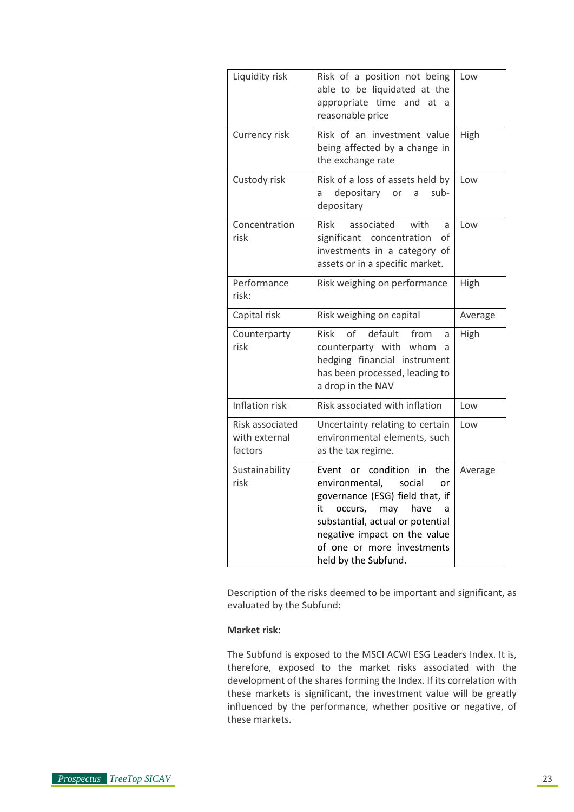| Liquidity risk                              | Risk of a position not being<br>able to be liquidated at the<br>appropriate time and at<br>a<br>reasonable price                                                                                                                                                          | Low     |
|---------------------------------------------|---------------------------------------------------------------------------------------------------------------------------------------------------------------------------------------------------------------------------------------------------------------------------|---------|
| Currency risk                               | Risk of an investment value<br>being affected by a change in<br>the exchange rate                                                                                                                                                                                         | High    |
| Custody risk                                | Risk of a loss of assets held by<br>depositary<br>sub-<br>a<br>or<br>a<br>depositary                                                                                                                                                                                      | Low     |
| Concentration<br>risk                       | associated<br><b>Risk</b><br>with<br>a<br>significant concentration<br>οf<br>investments in a category of<br>assets or in a specific market.                                                                                                                              | Low     |
| Performance<br>risk:                        | Risk weighing on performance                                                                                                                                                                                                                                              | High    |
| Capital risk                                | Risk weighing on capital                                                                                                                                                                                                                                                  | Average |
| Counterparty<br>risk                        | of<br>default<br>from<br><b>Risk</b><br>a<br>counterparty with whom<br>a<br>hedging financial instrument<br>has been processed, leading to<br>a drop in the NAV                                                                                                           | High    |
| <b>Inflation risk</b>                       | Risk associated with inflation                                                                                                                                                                                                                                            | Low     |
| Risk associated<br>with external<br>factors | Uncertainty relating to certain<br>environmental elements, such<br>as the tax regime.                                                                                                                                                                                     | Low     |
| Sustainability<br>risk                      | condition<br>Event<br>in<br>the<br>or<br>social<br>environmental,<br>or<br>governance (ESG) field that, if<br>may<br>have<br>it<br>occurs,<br>a<br>substantial, actual or potential<br>negative impact on the value<br>of one or more investments<br>held by the Subfund. | Average |

Description of the risks deemed to be important and significant, as evaluated by the Subfund:

# **Market risk:**

The Subfund is exposed to the MSCI ACWI ESG Leaders Index. It is, therefore, exposed to the market risks associated with the development of the shares forming the Index. If its correlation with these markets is significant, the investment value will be greatly influenced by the performance, whether positive or negative, of these markets.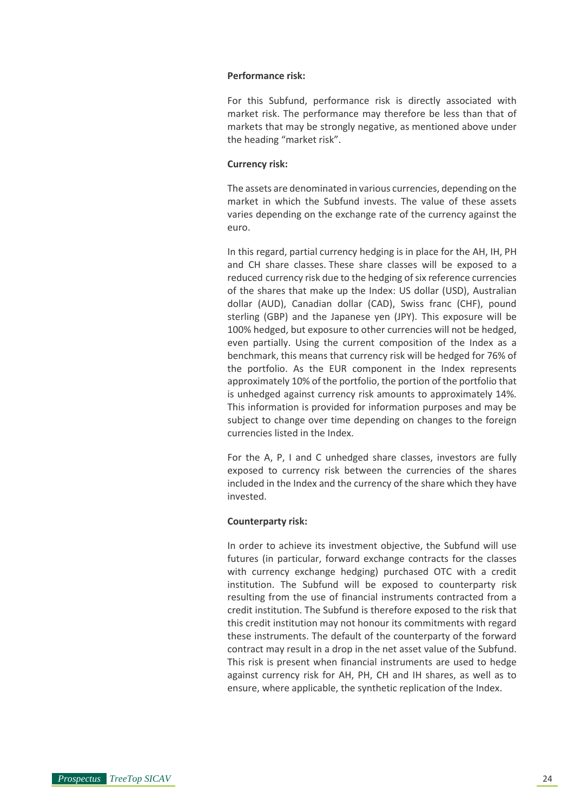#### **Performance risk:**

For this Subfund, performance risk is directly associated with market risk. The performance may therefore be less than that of markets that may be strongly negative, as mentioned above under the heading "market risk".

#### **Currency risk:**

The assets are denominated in various currencies, depending on the market in which the Subfund invests. The value of these assets varies depending on the exchange rate of the currency against the euro.

In this regard, partial currency hedging is in place for the AH, IH, PH and CH share classes. These share classes will be exposed to a reduced currency risk due to the hedging of six reference currencies of the shares that make up the Index: US dollar (USD), Australian dollar (AUD), Canadian dollar (CAD), Swiss franc (CHF), pound sterling (GBP) and the Japanese yen (JPY). This exposure will be 100% hedged, but exposure to other currencies will not be hedged, even partially. Using the current composition of the Index as a benchmark, this means that currency risk will be hedged for 76% of the portfolio. As the EUR component in the Index represents approximately 10% of the portfolio, the portion of the portfolio that is unhedged against currency risk amounts to approximately 14%. This information is provided for information purposes and may be subject to change over time depending on changes to the foreign currencies listed in the Index.

For the A, P, I and C unhedged share classes, investors are fully exposed to currency risk between the currencies of the shares included in the Index and the currency of the share which they have invested.

#### **Counterparty risk:**

In order to achieve its investment objective, the Subfund will use futures (in particular, forward exchange contracts for the classes with currency exchange hedging) purchased OTC with a credit institution. The Subfund will be exposed to counterparty risk resulting from the use of financial instruments contracted from a credit institution. The Subfund is therefore exposed to the risk that this credit institution may not honour its commitments with regard these instruments. The default of the counterparty of the forward contract may result in a drop in the net asset value of the Subfund. This risk is present when financial instruments are used to hedge against currency risk for AH, PH, CH and IH shares, as well as to ensure, where applicable, the synthetic replication of the Index.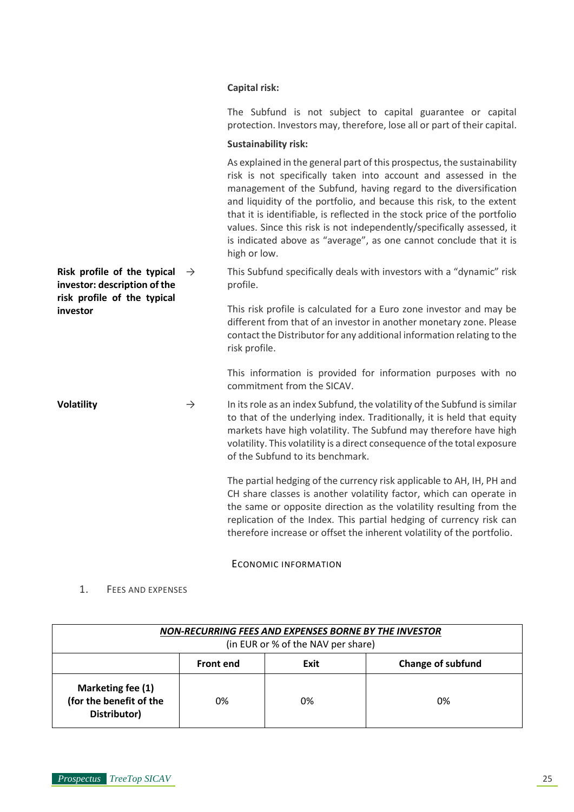# **Capital risk:**

The Subfund is not subject to capital guarantee or capital protection. Investors may, therefore, lose all or part of their capital.

#### **Sustainability risk:**

As explained in the general part of this prospectus, the sustainability risk is not specifically taken into account and assessed in the management of the Subfund, having regard to the diversification and liquidity of the portfolio, and because this risk, to the extent that it is identifiable, is reflected in the stock price of the portfolio values. Since this risk is not independently/specifically assessed, it is indicated above as "average", as one cannot conclude that it is high or low.

**Risk profile of the typical**  $\rightarrow$ **investor: description of the**  This Subfund specifically deals with investors with a "dynamic" risk profile.

> This risk profile is calculated for a Euro zone investor and may be different from that of an investor in another monetary zone. Please contact the Distributor for any additional information relating to the risk profile.

> This information is provided for information purposes with no commitment from the SICAV.

**Volatility**  $\rightarrow$  In its role as an index Subfund, the volatility of the Subfund is similar to that of the underlying index. Traditionally, it is held that equity markets have high volatility. The Subfund may therefore have high volatility. This volatility is a direct consequence of the total exposure of the Subfund to its benchmark.

> The partial hedging of the currency risk applicable to AH, IH, PH and CH share classes is another volatility factor, which can operate in the same or opposite direction as the volatility resulting from the replication of the Index. This partial hedging of currency risk can therefore increase or offset the inherent volatility of the portfolio.

# ECONOMIC INFORMATION

# <span id="page-24-0"></span>1. FEES AND EXPENSES

**risk profile of the typical** 

**investor**

| NON-RECURRING FEES AND EXPENSES BORNE BY THE INVESTOR<br>(in EUR or % of the NAV per share) |                  |      |                          |  |
|---------------------------------------------------------------------------------------------|------------------|------|--------------------------|--|
|                                                                                             | <b>Front end</b> | Exit | <b>Change of subfund</b> |  |
| Marketing fee (1)<br>(for the benefit of the<br>Distributor)                                | 0%               | 0%   | 0%                       |  |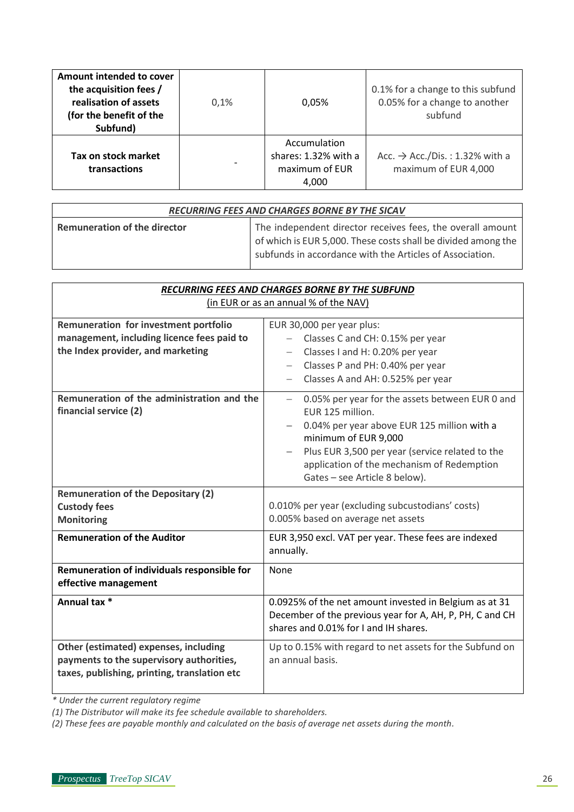| Amount intended to cover<br>the acquisition fees /<br>realisation of assets<br>(for the benefit of the<br>Subfund) | 0.1% | 0,05%                                                           | 0.1% for a change to this subfund<br>0.05% for a change to another<br>subfund |
|--------------------------------------------------------------------------------------------------------------------|------|-----------------------------------------------------------------|-------------------------------------------------------------------------------|
| Tax on stock market<br>transactions                                                                                |      | Accumulation<br>shares: 1.32% with a<br>maximum of EUR<br>4,000 | Acc. $\rightarrow$ Acc./Dis.: 1.32% with a<br>maximum of EUR 4,000            |

| RECURRING FEES AND CHARGES BORNE BY THE SICAV |                                                                                                                                                                                         |  |
|-----------------------------------------------|-----------------------------------------------------------------------------------------------------------------------------------------------------------------------------------------|--|
| <b>Remuneration of the director</b>           | The independent director receives fees, the overall amount<br>of which is EUR 5,000. These costs shall be divided among the<br>subfunds in accordance with the Articles of Association. |  |

| RECURRING FEES AND CHARGES BORNE BY THE SUBFUND                                                                                   |                                                                                                                                                                                                                                                                                                          |  |
|-----------------------------------------------------------------------------------------------------------------------------------|----------------------------------------------------------------------------------------------------------------------------------------------------------------------------------------------------------------------------------------------------------------------------------------------------------|--|
| (in EUR or as an annual % of the NAV)                                                                                             |                                                                                                                                                                                                                                                                                                          |  |
| Remuneration for investment portfolio<br>management, including licence fees paid to<br>the Index provider, and marketing          | EUR 30,000 per year plus:<br>Classes C and CH: 0.15% per year<br>Classes I and H: 0.20% per year<br>Classes P and PH: 0.40% per year<br>$-$<br>Classes A and AH: 0.525% per year                                                                                                                         |  |
| Remuneration of the administration and the<br>financial service (2)                                                               | 0.05% per year for the assets between EUR 0 and<br>$\overline{\phantom{0}}$<br>EUR 125 million.<br>0.04% per year above EUR 125 million with a<br>minimum of EUR 9,000<br>Plus EUR 3,500 per year (service related to the<br>application of the mechanism of Redemption<br>Gates - see Article 8 below). |  |
| <b>Remuneration of the Depositary (2)</b><br><b>Custody fees</b><br><b>Monitoring</b>                                             | 0.010% per year (excluding subcustodians' costs)<br>0.005% based on average net assets                                                                                                                                                                                                                   |  |
| <b>Remuneration of the Auditor</b>                                                                                                | EUR 3,950 excl. VAT per year. These fees are indexed<br>annually.                                                                                                                                                                                                                                        |  |
| Remuneration of individuals responsible for<br>effective management                                                               | None                                                                                                                                                                                                                                                                                                     |  |
| Annual tax *                                                                                                                      | 0.0925% of the net amount invested in Belgium as at 31<br>December of the previous year for A, AH, P, PH, C and CH<br>shares and 0.01% for I and IH shares.                                                                                                                                              |  |
| Other (estimated) expenses, including<br>payments to the supervisory authorities,<br>taxes, publishing, printing, translation etc | Up to 0.15% with regard to net assets for the Subfund on<br>an annual basis.                                                                                                                                                                                                                             |  |

*\* Under the current regulatory regime*

*(1) The Distributor will make its fee schedule available to shareholders.*

*(2) These fees are payable monthly and calculated on the basis of average net assets during the month.*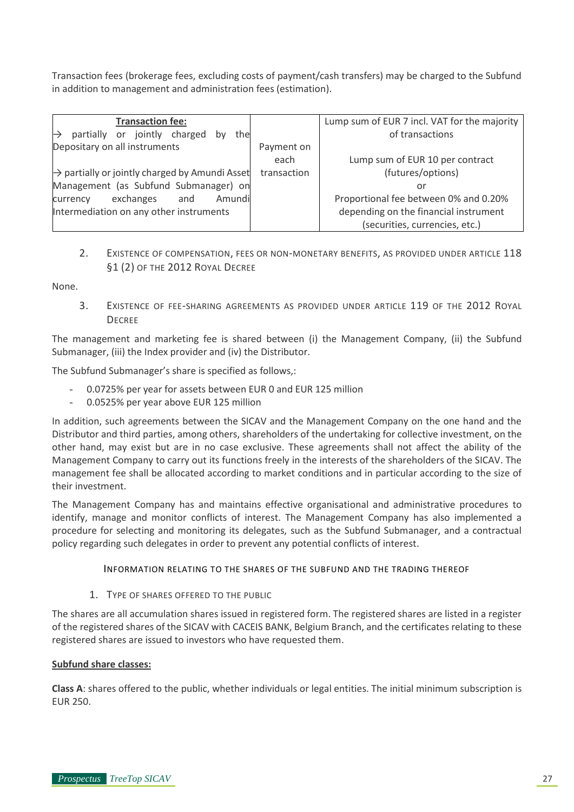Transaction fees (brokerage fees, excluding costs of payment/cash transfers) may be charged to the Subfund in addition to management and administration fees (estimation).

| <b>Transaction fee:</b>                                    |             | Lump sum of EUR 7 incl. VAT for the majority |
|------------------------------------------------------------|-------------|----------------------------------------------|
| jointly charged<br>partially<br>the<br>or<br>bv            |             | of transactions                              |
| Depositary on all instruments                              | Payment on  |                                              |
|                                                            | each        | Lump sum of EUR 10 per contract              |
| $\rightarrow$ partially or jointly charged by Amundi Asset | transaction | (futures/options)                            |
| Management (as Subfund Submanager) on                      |             | or                                           |
| exchanges<br>Amundi<br>and<br>currency                     |             | Proportional fee between 0% and 0.20%        |
| Intermediation on any other instruments                    |             | depending on the financial instrument        |
|                                                            |             | (securities, currencies, etc.)               |

2. EXISTENCE OF COMPENSATION, FEES OR NON-MONETARY BENEFITS, AS PROVIDED UNDER ARTICLE 118 §1 (2) OF THE 2012 ROYAL DECREE

None.

3. EXISTENCE OF FEE-SHARING AGREEMENTS AS PROVIDED UNDER ARTICLE 119 OF THE 2012 ROYAL **DECREE** 

The management and marketing fee is shared between (i) the Management Company, (ii) the Subfund Submanager, (iii) the Index provider and (iv) the Distributor.

The Subfund Submanager's share is specified as follows,:

- 0.0725% per year for assets between EUR 0 and EUR 125 million
- 0.0525% per year above EUR 125 million

In addition, such agreements between the SICAV and the Management Company on the one hand and the Distributor and third parties, among others, shareholders of the undertaking for collective investment, on the other hand, may exist but are in no case exclusive. These agreements shall not affect the ability of the Management Company to carry out its functions freely in the interests of the shareholders of the SICAV. The management fee shall be allocated according to market conditions and in particular according to the size of their investment.

The Management Company has and maintains effective organisational and administrative procedures to identify, manage and monitor conflicts of interest. The Management Company has also implemented a procedure for selecting and monitoring its delegates, such as the Subfund Submanager, and a contractual policy regarding such delegates in order to prevent any potential conflicts of interest.

# INFORMATION RELATING TO THE SHARES OF THE SUBFUND AND THE TRADING THEREOF

# <span id="page-26-0"></span>1. TYPE OF SHARES OFFERED TO THE PUBLIC

The shares are all accumulation shares issued in registered form. The registered shares are listed in a register of the registered shares of the SICAV with CACEIS BANK, Belgium Branch, and the certificates relating to these registered shares are issued to investors who have requested them.

# **Subfund share classes:**

**Class A**: shares offered to the public, whether individuals or legal entities. The initial minimum subscription is EUR 250.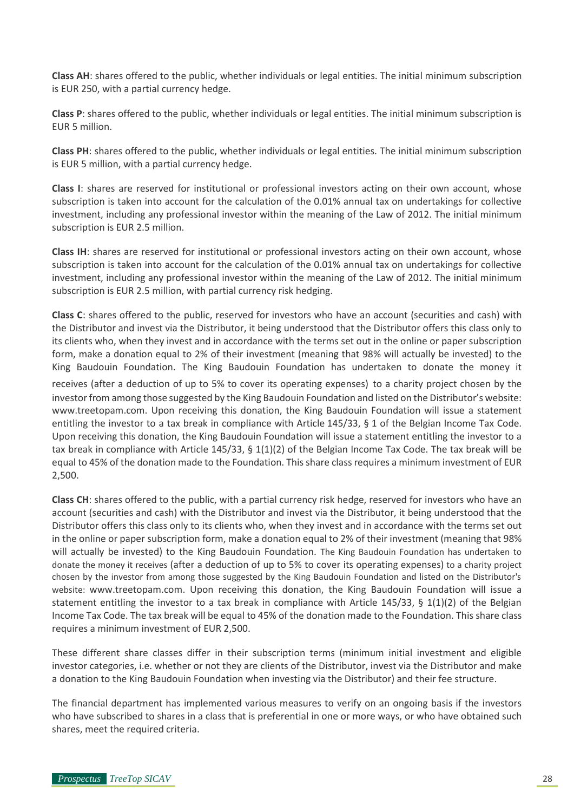**Class AH**: shares offered to the public, whether individuals or legal entities. The initial minimum subscription is EUR 250, with a partial currency hedge.

**Class P**: shares offered to the public, whether individuals or legal entities. The initial minimum subscription is EUR 5 million.

**Class PH**: shares offered to the public, whether individuals or legal entities. The initial minimum subscription is EUR 5 million, with a partial currency hedge.

**Class I**: shares are reserved for institutional or professional investors acting on their own account, whose subscription is taken into account for the calculation of the 0.01% annual tax on undertakings for collective investment, including any professional investor within the meaning of the Law of 2012. The initial minimum subscription is EUR 2.5 million.

**Class IH**: shares are reserved for institutional or professional investors acting on their own account, whose subscription is taken into account for the calculation of the 0.01% annual tax on undertakings for collective investment, including any professional investor within the meaning of the Law of 2012. The initial minimum subscription is EUR 2.5 million, with partial currency risk hedging.

**Class C**: shares offered to the public, reserved for investors who have an account (securities and cash) with the Distributor and invest via the Distributor, it being understood that the Distributor offers this class only to its clients who, when they invest and in accordance with the terms set out in the online or paper subscription form, make a donation equal to 2% of their investment (meaning that 98% will actually be invested) to the King Baudouin Foundation. The King Baudouin Foundation has undertaken to donate the money it

receives (after a deduction of up to 5% to cover its operating expenses) to a charity project chosen by the investor from among those suggested by the King Baudouin Foundation and listed on the Distributor's website: www.treetopam.com. Upon receiving this donation, the King Baudouin Foundation will issue a statement entitling the investor to a tax break in compliance with Article 145/33, § 1 of the Belgian Income Tax Code. Upon receiving this donation, the King Baudouin Foundation will issue a statement entitling the investor to a tax break in compliance with Article 145/33, § 1(1)(2) of the Belgian Income Tax Code. The tax break will be equal to 45% of the donation made to the Foundation. This share class requires a minimum investment of EUR 2,500.

**Class CH**: shares offered to the public, with a partial currency risk hedge, reserved for investors who have an account (securities and cash) with the Distributor and invest via the Distributor, it being understood that the Distributor offers this class only to its clients who, when they invest and in accordance with the terms set out in the online or paper subscription form, make a donation equal to 2% of their investment (meaning that 98% will actually be invested) to the King Baudouin Foundation. The King Baudouin Foundation has undertaken to donate the money it receives (after a deduction of up to 5% to cover its operating expenses) to a charity project chosen by the investor from among those suggested by the King Baudouin Foundation and listed on the Distributor's website: www.treetopam.com. Upon receiving this donation, the King Baudouin Foundation will issue a statement entitling the investor to a tax break in compliance with Article 145/33, § 1(1)(2) of the Belgian Income Tax Code. The tax break will be equal to 45% of the donation made to the Foundation. This share class requires a minimum investment of EUR 2,500.

These different share classes differ in their subscription terms (minimum initial investment and eligible investor categories, i.e. whether or not they are clients of the Distributor, invest via the Distributor and make a donation to the King Baudouin Foundation when investing via the Distributor) and their fee structure.

The financial department has implemented various measures to verify on an ongoing basis if the investors who have subscribed to shares in a class that is preferential in one or more ways, or who have obtained such shares, meet the required criteria.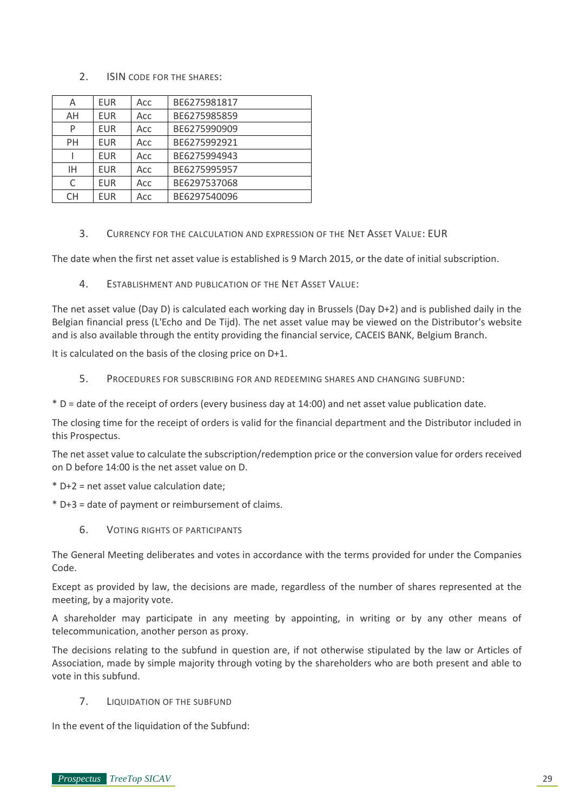# 2. ISIN CODE FOR THE SHARES:

| A         | <b>EUR</b> | Acc | BE6275981817 |
|-----------|------------|-----|--------------|
| AH        | <b>EUR</b> | Acc | BE6275985859 |
| P         | <b>EUR</b> | Acc | BE6275990909 |
| <b>PH</b> | <b>EUR</b> | Acc | BE6275992921 |
|           | <b>EUR</b> | Acc | BE6275994943 |
| ΙH        | <b>EUR</b> | Acc | BE6275995957 |
| C         | <b>EUR</b> | Acc | BE6297537068 |
| CH.       | <b>EUR</b> | Acc | BE6297540096 |

3. CURRENCY FOR THE CALCULATION AND EXPRESSION OF THE NET ASSET VALUE: EUR

The date when the first net asset value is established is 9 March 2015, or the date of initial subscription.

4. ESTABLISHMENT AND PUBLICATION OF THE NET ASSET VALUE:

The net asset value (Day D) is calculated each working day in Brussels (Day D+2) and is published daily in the Belgian financial press (L'Echo and De Tijd). The net asset value may be viewed on the Distributor's website and is also available through the entity providing the financial service, CACEIS BANK, Belgium Branch.

It is calculated on the basis of the closing price on D+1.

- 5. PROCEDURES FOR SUBSCRIBING FOR AND REDEEMING SHARES AND CHANGING SUBFUND:
- \* D = date of the receipt of orders (every business day at 14:00) and net asset value publication date.

The closing time for the receipt of orders is valid for the financial department and the Distributor included in this Prospectus.

The net asset value to calculate the subscription/redemption price or the conversion value for orders received on D before 14:00 is the net asset value on D.

- \* D+2 = net asset value calculation date;
- \* D+3 = date of payment or reimbursement of claims.
	- 6. VOTING RIGHTS OF PARTICIPANTS

The General Meeting deliberates and votes in accordance with the terms provided for under the Companies Code.

Except as provided by law, the decisions are made, regardless of the number of shares represented at the meeting, by a majority vote.

A shareholder may participate in any meeting by appointing, in writing or by any other means of telecommunication, another person as proxy.

The decisions relating to the subfund in question are, if not otherwise stipulated by the law or Articles of Association, made by simple majority through voting by the shareholders who are both present and able to vote in this subfund.

7. LIQUIDATION OF THE SUBFUND

In the event of the liquidation of the Subfund: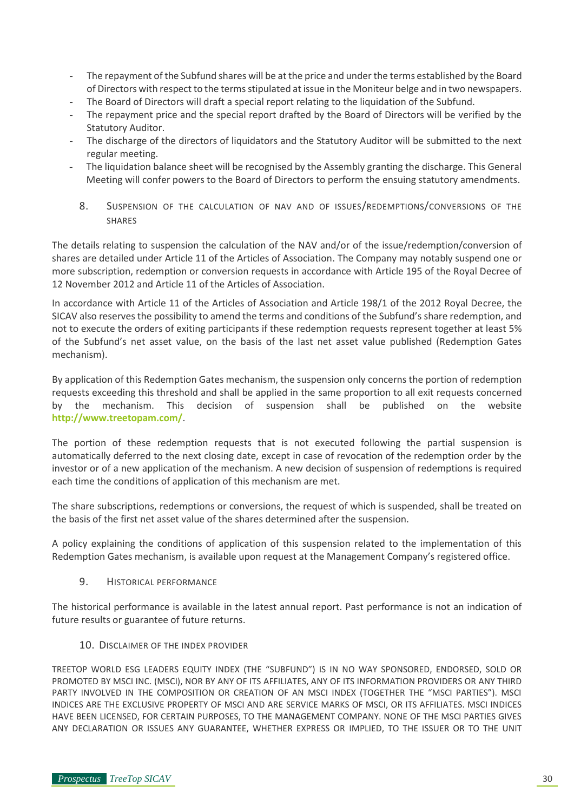- The repayment of the Subfund shares will be at the price and under the terms established by the Board of Directors with respect to the terms stipulated at issue in the Moniteur belge and in two newspapers.
- The Board of Directors will draft a special report relating to the liquidation of the Subfund.
- The repayment price and the special report drafted by the Board of Directors will be verified by the Statutory Auditor.
- The discharge of the directors of liquidators and the Statutory Auditor will be submitted to the next regular meeting.
- The liquidation balance sheet will be recognised by the Assembly granting the discharge. This General Meeting will confer powers to the Board of Directors to perform the ensuing statutory amendments.
	- 8. SUSPENSION OF THE CALCULATION OF NAV AND OF ISSUES/REDEMPTIONS/CONVERSIONS OF THE SHARES

The details relating to suspension the calculation of the NAV and/or of the issue/redemption/conversion of shares are detailed under Article 11 of the Articles of Association. The Company may notably suspend one or more subscription, redemption or conversion requests in accordance with Article 195 of the Royal Decree of 12 November 2012 and Article 11 of the Articles of Association.

In accordance with Article 11 of the Articles of Association and Article 198/1 of the 2012 Royal Decree, the SICAV also reserves the possibility to amend the terms and conditions of the Subfund's share redemption, and not to execute the orders of exiting participants if these redemption requests represent together at least 5% of the Subfund's net asset value, on the basis of the last net asset value published (Redemption Gates mechanism).

By application of this Redemption Gates mechanism, the suspension only concerns the portion of redemption requests exceeding this threshold and shall be applied in the same proportion to all exit requests concerned by the mechanism. This decision of suspension shall be published on the website **<http://www.treetopam.com/>**.

The portion of these redemption requests that is not executed following the partial suspension is automatically deferred to the next closing date, except in case of revocation of the redemption order by the investor or of a new application of the mechanism. A new decision of suspension of redemptions is required each time the conditions of application of this mechanism are met.

The share subscriptions, redemptions or conversions, the request of which is suspended, shall be treated on the basis of the first net asset value of the shares determined after the suspension.

A policy explaining the conditions of application of this suspension related to the implementation of this Redemption Gates mechanism, is available upon request at the Management Company's registered office.

9. HISTORICAL PERFORMANCE

The historical performance is available in the latest annual report. Past performance is not an indication of future results or guarantee of future returns.

10. DISCLAIMER OF THE INDEX PROVIDER

TREETOP WORLD ESG LEADERS EQUITY INDEX (THE "SUBFUND") IS IN NO WAY SPONSORED, ENDORSED, SOLD OR PROMOTED BY MSCI INC. (MSCI), NOR BY ANY OF ITS AFFILIATES, ANY OF ITS INFORMATION PROVIDERS OR ANY THIRD PARTY INVOLVED IN THE COMPOSITION OR CREATION OF AN MSCI INDEX (TOGETHER THE "MSCI PARTIES"). MSCI INDICES ARE THE EXCLUSIVE PROPERTY OF MSCI AND ARE SERVICE MARKS OF MSCI, OR ITS AFFILIATES. MSCI INDICES HAVE BEEN LICENSED, FOR CERTAIN PURPOSES, TO THE MANAGEMENT COMPANY. NONE OF THE MSCI PARTIES GIVES ANY DECLARATION OR ISSUES ANY GUARANTEE, WHETHER EXPRESS OR IMPLIED, TO THE ISSUER OR TO THE UNIT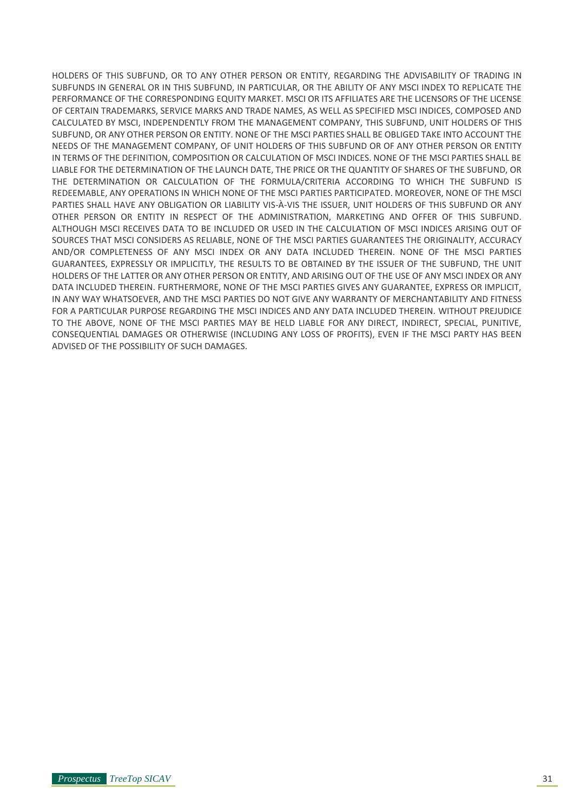HOLDERS OF THIS SUBFUND, OR TO ANY OTHER PERSON OR ENTITY, REGARDING THE ADVISABILITY OF TRADING IN SUBFUNDS IN GENERAL OR IN THIS SUBFUND, IN PARTICULAR, OR THE ABILITY OF ANY MSCI INDEX TO REPLICATE THE PERFORMANCE OF THE CORRESPONDING EQUITY MARKET. MSCI OR ITS AFFILIATES ARE THE LICENSORS OF THE LICENSE OF CERTAIN TRADEMARKS, SERVICE MARKS AND TRADE NAMES, AS WELL AS SPECIFIED MSCI INDICES, COMPOSED AND CALCULATED BY MSCI, INDEPENDENTLY FROM THE MANAGEMENT COMPANY, THIS SUBFUND, UNIT HOLDERS OF THIS SUBFUND, OR ANY OTHER PERSON OR ENTITY. NONE OF THE MSCI PARTIES SHALL BE OBLIGED TAKE INTO ACCOUNT THE NEEDS OF THE MANAGEMENT COMPANY, OF UNIT HOLDERS OF THIS SUBFUND OR OF ANY OTHER PERSON OR ENTITY IN TERMS OF THE DEFINITION, COMPOSITION OR CALCULATION OF MSCI INDICES. NONE OF THE MSCI PARTIES SHALL BE LIABLE FOR THE DETERMINATION OF THE LAUNCH DATE, THE PRICE OR THE QUANTITY OF SHARES OF THE SUBFUND, OR THE DETERMINATION OR CALCULATION OF THE FORMULA/CRITERIA ACCORDING TO WHICH THE SUBFUND IS REDEEMABLE, ANY OPERATIONS IN WHICH NONE OF THE MSCI PARTIES PARTICIPATED. MOREOVER, NONE OF THE MSCI PARTIES SHALL HAVE ANY OBLIGATION OR LIABILITY VIS-À-VIS THE ISSUER, UNIT HOLDERS OF THIS SUBFUND OR ANY OTHER PERSON OR ENTITY IN RESPECT OF THE ADMINISTRATION, MARKETING AND OFFER OF THIS SUBFUND. ALTHOUGH MSCI RECEIVES DATA TO BE INCLUDED OR USED IN THE CALCULATION OF MSCI INDICES ARISING OUT OF SOURCES THAT MSCI CONSIDERS AS RELIABLE, NONE OF THE MSCI PARTIES GUARANTEES THE ORIGINALITY, ACCURACY AND/OR COMPLETENESS OF ANY MSCI INDEX OR ANY DATA INCLUDED THEREIN. NONE OF THE MSCI PARTIES GUARANTEES, EXPRESSLY OR IMPLICITLY, THE RESULTS TO BE OBTAINED BY THE ISSUER OF THE SUBFUND, THE UNIT HOLDERS OF THE LATTER OR ANY OTHER PERSON OR ENTITY, AND ARISING OUT OF THE USE OF ANY MSCI INDEX OR ANY DATA INCLUDED THEREIN. FURTHERMORE, NONE OF THE MSCI PARTIES GIVES ANY GUARANTEE, EXPRESS OR IMPLICIT, IN ANY WAY WHATSOEVER, AND THE MSCI PARTIES DO NOT GIVE ANY WARRANTY OF MERCHANTABILITY AND FITNESS FOR A PARTICULAR PURPOSE REGARDING THE MSCI INDICES AND ANY DATA INCLUDED THEREIN. WITHOUT PREJUDICE TO THE ABOVE, NONE OF THE MSCI PARTIES MAY BE HELD LIABLE FOR ANY DIRECT, INDIRECT, SPECIAL, PUNITIVE, CONSEQUENTIAL DAMAGES OR OTHERWISE (INCLUDING ANY LOSS OF PROFITS), EVEN IF THE MSCI PARTY HAS BEEN ADVISED OF THE POSSIBILITY OF SUCH DAMAGES.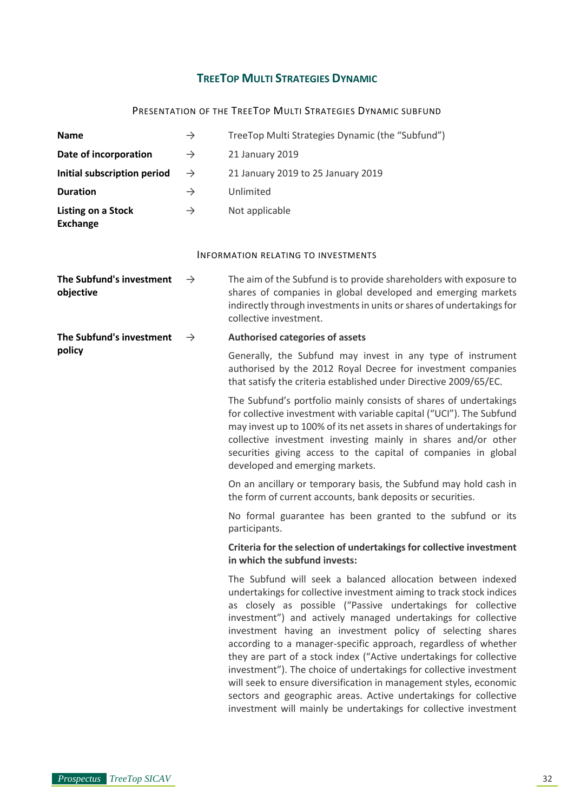# **TREETOP MULTI STRATEGIES DYNAMIC**

# PRESENTATION OF THE TREETOP MULTI STRATEGIES DYNAMIC SUBFUND

<span id="page-31-2"></span><span id="page-31-1"></span><span id="page-31-0"></span>

| <b>Name</b>                                  | $\rightarrow$ | TreeTop Multi Strategies Dynamic (the "Subfund")                                                                                                                                                                                                                                                                                                                                                                                                                                                                                                                                                                                                                                                                                                                 |
|----------------------------------------------|---------------|------------------------------------------------------------------------------------------------------------------------------------------------------------------------------------------------------------------------------------------------------------------------------------------------------------------------------------------------------------------------------------------------------------------------------------------------------------------------------------------------------------------------------------------------------------------------------------------------------------------------------------------------------------------------------------------------------------------------------------------------------------------|
| Date of incorporation                        | $\rightarrow$ | 21 January 2019                                                                                                                                                                                                                                                                                                                                                                                                                                                                                                                                                                                                                                                                                                                                                  |
| Initial subscription period                  | $\rightarrow$ | 21 January 2019 to 25 January 2019                                                                                                                                                                                                                                                                                                                                                                                                                                                                                                                                                                                                                                                                                                                               |
| <b>Duration</b>                              | $\rightarrow$ | Unlimited                                                                                                                                                                                                                                                                                                                                                                                                                                                                                                                                                                                                                                                                                                                                                        |
| <b>Listing on a Stock</b><br><b>Exchange</b> | $\rightarrow$ | Not applicable                                                                                                                                                                                                                                                                                                                                                                                                                                                                                                                                                                                                                                                                                                                                                   |
|                                              |               | <b>INFORMATION RELATING TO INVESTMENTS</b>                                                                                                                                                                                                                                                                                                                                                                                                                                                                                                                                                                                                                                                                                                                       |
| The Subfund's investment<br>objective        | $\rightarrow$ | The aim of the Subfund is to provide shareholders with exposure to<br>shares of companies in global developed and emerging markets<br>indirectly through investments in units or shares of undertakings for<br>collective investment.                                                                                                                                                                                                                                                                                                                                                                                                                                                                                                                            |
| The Subfund's investment                     | $\rightarrow$ | Authorised categories of assets                                                                                                                                                                                                                                                                                                                                                                                                                                                                                                                                                                                                                                                                                                                                  |
| policy                                       |               | Generally, the Subfund may invest in any type of instrument<br>authorised by the 2012 Royal Decree for investment companies<br>that satisfy the criteria established under Directive 2009/65/EC.                                                                                                                                                                                                                                                                                                                                                                                                                                                                                                                                                                 |
|                                              |               | The Subfund's portfolio mainly consists of shares of undertakings<br>for collective investment with variable capital ("UCI"). The Subfund<br>may invest up to 100% of its net assets in shares of undertakings for<br>collective investment investing mainly in shares and/or other<br>securities giving access to the capital of companies in global<br>developed and emerging markets.                                                                                                                                                                                                                                                                                                                                                                         |
|                                              |               | On an ancillary or temporary basis, the Subfund may hold cash in<br>the form of current accounts, bank deposits or securities.                                                                                                                                                                                                                                                                                                                                                                                                                                                                                                                                                                                                                                   |
|                                              |               | No formal guarantee has been granted to the subfund or its<br>participants.                                                                                                                                                                                                                                                                                                                                                                                                                                                                                                                                                                                                                                                                                      |
|                                              |               | Criteria for the selection of undertakings for collective investment<br>in which the subfund invests:                                                                                                                                                                                                                                                                                                                                                                                                                                                                                                                                                                                                                                                            |
|                                              |               | The Subfund will seek a balanced allocation between indexed<br>undertakings for collective investment aiming to track stock indices<br>as closely as possible ("Passive undertakings for collective<br>investment") and actively managed undertakings for collective<br>investment having an investment policy of selecting shares<br>according to a manager-specific approach, regardless of whether<br>they are part of a stock index ("Active undertakings for collective<br>investment"). The choice of undertakings for collective investment<br>will seek to ensure diversification in management styles, economic<br>sectors and geographic areas. Active undertakings for collective<br>investment will mainly be undertakings for collective investment |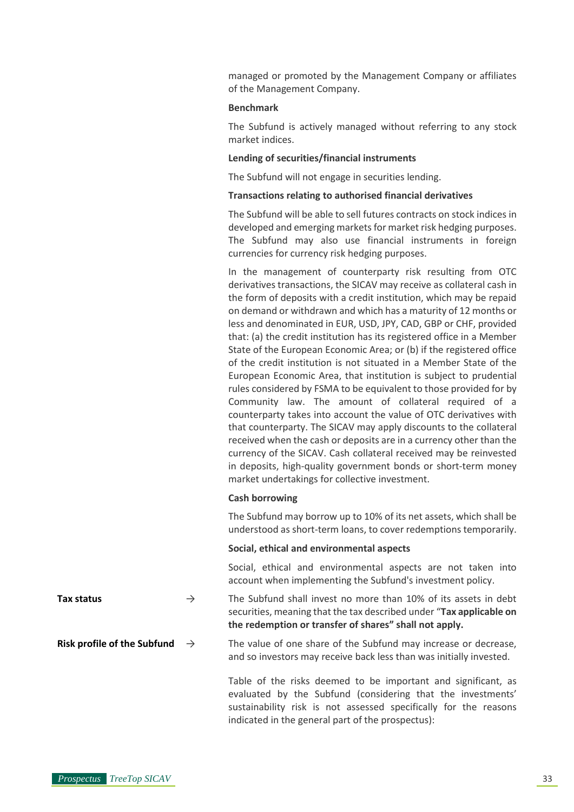managed or promoted by the Management Company or affiliates of the Management Company.

#### **Benchmark**

The Subfund is actively managed without referring to any stock market indices.

#### **Lending of securities/financial instruments**

The Subfund will not engage in securities lending.

#### **Transactions relating to authorised financial derivatives**

The Subfund will be able to sell futures contracts on stock indices in developed and emerging markets for market risk hedging purposes. The Subfund may also use financial instruments in foreign currencies for currency risk hedging purposes.

In the management of counterparty risk resulting from OTC derivatives transactions, the SICAV may receive as collateral cash in the form of deposits with a credit institution, which may be repaid on demand or withdrawn and which has a maturity of 12 months or less and denominated in EUR, USD, JPY, CAD, GBP or CHF, provided that: (a) the credit institution has its registered office in a Member State of the European Economic Area; or (b) if the registered office of the credit institution is not situated in a Member State of the European Economic Area, that institution is subject to prudential rules considered by FSMA to be equivalent to those provided for by Community law. The amount of collateral required of a counterparty takes into account the value of OTC derivatives with that counterparty. The SICAV may apply discounts to the collateral received when the cash or deposits are in a currency other than the currency of the SICAV. Cash collateral received may be reinvested in deposits, high-quality government bonds or short-term money market undertakings for collective investment.

#### **Cash borrowing**

The Subfund may borrow up to 10% of its net assets, which shall be understood as short-term loans, to cover redemptions temporarily.

#### **Social, ethical and environmental aspects**

Social, ethical and environmental aspects are not taken into account when implementing the Subfund's investment policy.

**Tax status** → The Subfund shall invest no more than 10% of its assets in debt securities, meaning that the tax described under "**Tax applicable on the redemption or transfer of shares" shall not apply.**

**Risk profile of the Subfund**  $\rightarrow$  The value of one share of the Subfund may increase or decrease, and so investors may receive back less than was initially invested.

> Table of the risks deemed to be important and significant, as evaluated by the Subfund (considering that the investments' sustainability risk is not assessed specifically for the reasons indicated in the general part of the prospectus):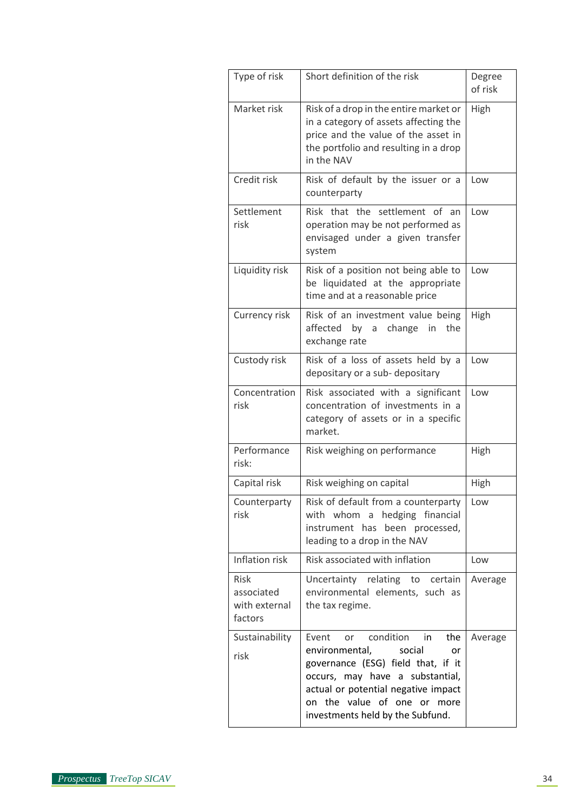| Type of risk                                          | Short definition of the risk                                                                                                                                                                                                                            | Degree<br>of risk |
|-------------------------------------------------------|---------------------------------------------------------------------------------------------------------------------------------------------------------------------------------------------------------------------------------------------------------|-------------------|
| Market risk                                           | Risk of a drop in the entire market or<br>in a category of assets affecting the<br>price and the value of the asset in<br>the portfolio and resulting in a drop<br>in the NAV                                                                           | High              |
| Credit risk                                           | Risk of default by the issuer or a<br>counterparty                                                                                                                                                                                                      | Low               |
| Settlement<br>risk                                    | Risk that the settlement of<br>an<br>operation may be not performed as<br>envisaged under a given transfer<br>system                                                                                                                                    | Low               |
| Liquidity risk                                        | Risk of a position not being able to<br>be liquidated at the appropriate<br>time and at a reasonable price                                                                                                                                              | Low               |
| Currency risk                                         | Risk of an investment value being<br>affected by a change<br>in<br>the<br>exchange rate                                                                                                                                                                 | High              |
| Custody risk                                          | Risk of a loss of assets held by a<br>depositary or a sub-depositary                                                                                                                                                                                    | Low               |
| Concentration<br>risk                                 | Risk associated with a significant<br>concentration of investments in a<br>category of assets or in a specific<br>market.                                                                                                                               | Low               |
| Performance<br>risk:                                  | Risk weighing on performance                                                                                                                                                                                                                            | High              |
| Capital risk                                          | Risk weighing on capital                                                                                                                                                                                                                                | High              |
| Counterparty<br>risk                                  | Risk of default from a counterparty<br>hedging financial<br>with whom a<br>instrument has been processed,<br>leading to a drop in the NAV                                                                                                               | Low               |
| Inflation risk                                        | Risk associated with inflation                                                                                                                                                                                                                          | Low               |
| <b>Risk</b><br>associated<br>with external<br>factors | Uncertainty relating to certain<br>environmental elements, such as<br>the tax regime.                                                                                                                                                                   | Average           |
| Sustainability<br>risk                                | Event<br>condition in<br>the<br>or<br>environmental,<br>social<br>or<br>governance (ESG) field that, if it<br>occurs, may have a substantial,<br>actual or potential negative impact<br>on the value of one or more<br>investments held by the Subfund. | Average           |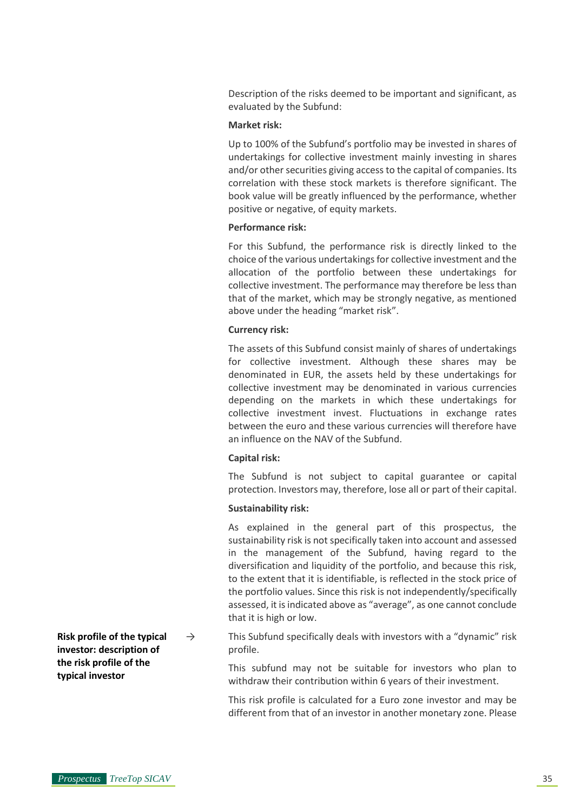Description of the risks deemed to be important and significant, as evaluated by the Subfund:

#### **Market risk:**

Up to 100% of the Subfund's portfolio may be invested in shares of undertakings for collective investment mainly investing in shares and/or other securities giving access to the capital of companies. Its correlation with these stock markets is therefore significant. The book value will be greatly influenced by the performance, whether positive or negative, of equity markets.

## **Performance risk:**

For this Subfund, the performance risk is directly linked to the choice of the various undertakings for collective investment and the allocation of the portfolio between these undertakings for collective investment. The performance may therefore be less than that of the market, which may be strongly negative, as mentioned above under the heading "market risk".

#### **Currency risk:**

The assets of this Subfund consist mainly of shares of undertakings for collective investment. Although these shares may be denominated in EUR, the assets held by these undertakings for collective investment may be denominated in various currencies depending on the markets in which these undertakings for collective investment invest. Fluctuations in exchange rates between the euro and these various currencies will therefore have an influence on the NAV of the Subfund.

#### **Capital risk:**

The Subfund is not subject to capital guarantee or capital protection. Investors may, therefore, lose all or part of their capital.

#### **Sustainability risk:**

As explained in the general part of this prospectus, the sustainability risk is not specifically taken into account and assessed in the management of the Subfund, having regard to the diversification and liquidity of the portfolio, and because this risk, to the extent that it is identifiable, is reflected in the stock price of the portfolio values. Since this risk is not independently/specifically assessed, it is indicated above as "average", as one cannot conclude that it is high or low.

 $\rightarrow$  This Subfund specifically deals with investors with a "dynamic" risk profile.

> This subfund may not be suitable for investors who plan to withdraw their contribution within 6 years of their investment.

> This risk profile is calculated for a Euro zone investor and may be different from that of an investor in another monetary zone. Please

**Risk profile of the typical investor: description of the risk profile of the typical investor**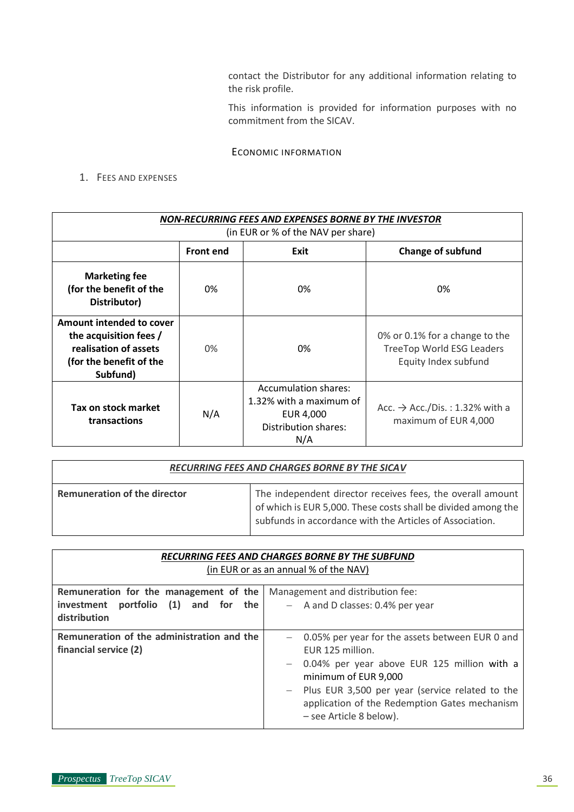contact the Distributor for any additional information relating to the risk profile.

This information is provided for information purposes with no commitment from the SICAV.

## ECONOMIC INFORMATION

<span id="page-35-0"></span>1. FEES AND EXPENSES

| NON-RECURRING FEES AND EXPENSES BORNE BY THE INVESTOR<br>(in EUR or % of the NAV per share)                        |                                                      |                                                                                             |                                                                                            |
|--------------------------------------------------------------------------------------------------------------------|------------------------------------------------------|---------------------------------------------------------------------------------------------|--------------------------------------------------------------------------------------------|
|                                                                                                                    | <b>Front end</b><br><b>Change of subfund</b><br>Exit |                                                                                             |                                                                                            |
| <b>Marketing fee</b><br>(for the benefit of the<br>Distributor)                                                    | 0%                                                   | 0%                                                                                          | 0%                                                                                         |
| Amount intended to cover<br>the acquisition fees /<br>realisation of assets<br>(for the benefit of the<br>Subfund) | 0%                                                   | 0%                                                                                          | 0% or 0.1% for a change to the<br><b>TreeTop World ESG Leaders</b><br>Equity Index subfund |
| Tax on stock market<br>transactions                                                                                | N/A                                                  | Accumulation shares:<br>1.32% with a maximum of<br>EUR 4,000<br>Distribution shares:<br>N/A | Acc. $\rightarrow$ Acc./Dis.: 1.32% with a<br>maximum of EUR 4,000                         |

| RECURRING FEES AND CHARGES BORNE BY THE SICAV |                                                                                                                                                                                         |
|-----------------------------------------------|-----------------------------------------------------------------------------------------------------------------------------------------------------------------------------------------|
| <b>Remuneration of the director</b>           | The independent director receives fees, the overall amount<br>of which is EUR 5,000. These costs shall be divided among the<br>subfunds in accordance with the Articles of Association. |

| <b>RECURRING FEES AND CHARGES BORNE BY THE SUBFUND</b><br>(in EUR or as an annual % of the NAV) |                                                                                                                                                                                                                                                                                 |  |  |
|-------------------------------------------------------------------------------------------------|---------------------------------------------------------------------------------------------------------------------------------------------------------------------------------------------------------------------------------------------------------------------------------|--|--|
| Remuneration for the management of the<br>investment portfolio $(1)$ and for the                | Management and distribution fee:<br>- A and D classes: 0.4% per year                                                                                                                                                                                                            |  |  |
| distribution                                                                                    |                                                                                                                                                                                                                                                                                 |  |  |
| Remuneration of the administration and the<br>financial service (2)                             | - 0.05% per year for the assets between EUR 0 and<br>EUR 125 million.<br>- 0.04% per year above EUR 125 million with a<br>minimum of EUR 9,000<br>- Plus EUR 3,500 per year (service related to the<br>application of the Redemption Gates mechanism<br>- see Article 8 below). |  |  |

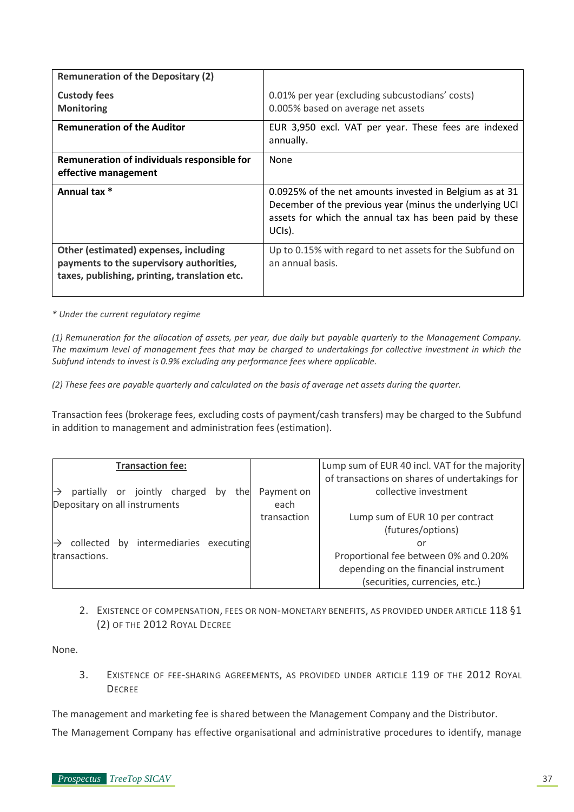| <b>Remuneration of the Depositary (2)</b>                                                                                          |                                                                                                                                                                                        |
|------------------------------------------------------------------------------------------------------------------------------------|----------------------------------------------------------------------------------------------------------------------------------------------------------------------------------------|
| <b>Custody fees</b><br><b>Monitoring</b>                                                                                           | 0.01% per year (excluding subcustodians' costs)<br>0.005% based on average net assets                                                                                                  |
| <b>Remuneration of the Auditor</b>                                                                                                 | EUR 3,950 excl. VAT per year. These fees are indexed<br>annually.                                                                                                                      |
| Remuneration of individuals responsible for<br>effective management                                                                | None                                                                                                                                                                                   |
| Annual tax *                                                                                                                       | 0.0925% of the net amounts invested in Belgium as at 31<br>December of the previous year (minus the underlying UCI<br>assets for which the annual tax has been paid by these<br>UCIS). |
| Other (estimated) expenses, including<br>payments to the supervisory authorities,<br>taxes, publishing, printing, translation etc. | Up to 0.15% with regard to net assets for the Subfund on<br>an annual basis.                                                                                                           |

*\* Under the current regulatory regime*

*(1) Remuneration for the allocation of assets, per year, due daily but payable quarterly to the Management Company. The maximum level of management fees that may be charged to undertakings for collective investment in which the Subfund intends to invest is 0.9% excluding any performance fees where applicable.*

*(2) These fees are payable quarterly and calculated on the basis of average net assets during the quarter.*

Transaction fees (brokerage fees, excluding costs of payment/cash transfers) may be charged to the Subfund in addition to management and administration fees (estimation).

| <b>Transaction fee:</b>                   |             | Lump sum of EUR 40 incl. VAT for the majority |
|-------------------------------------------|-------------|-----------------------------------------------|
|                                           |             | of transactions on shares of undertakings for |
| partially or jointly charged<br>the<br>bv | Payment on  | collective investment                         |
| Depositary on all instruments             | each        |                                               |
|                                           | transaction | Lump sum of EUR 10 per contract               |
|                                           |             | (futures/options)                             |
| by intermediaries executing<br>collected  |             | or                                            |
| transactions.                             |             | Proportional fee between 0% and 0.20%         |
|                                           |             | depending on the financial instrument         |
|                                           |             | (securities, currencies, etc.)                |

2. EXISTENCE OF COMPENSATION, FEES OR NON-MONETARY BENEFITS, AS PROVIDED UNDER ARTICLE 118 §1 (2) OF THE 2012 ROYAL DECREE

None.

3. EXISTENCE OF FEE-SHARING AGREEMENTS, AS PROVIDED UNDER ARTICLE 119 OF THE 2012 ROYAL **DECREE** 

The management and marketing fee is shared between the Management Company and the Distributor.

The Management Company has effective organisational and administrative procedures to identify, manage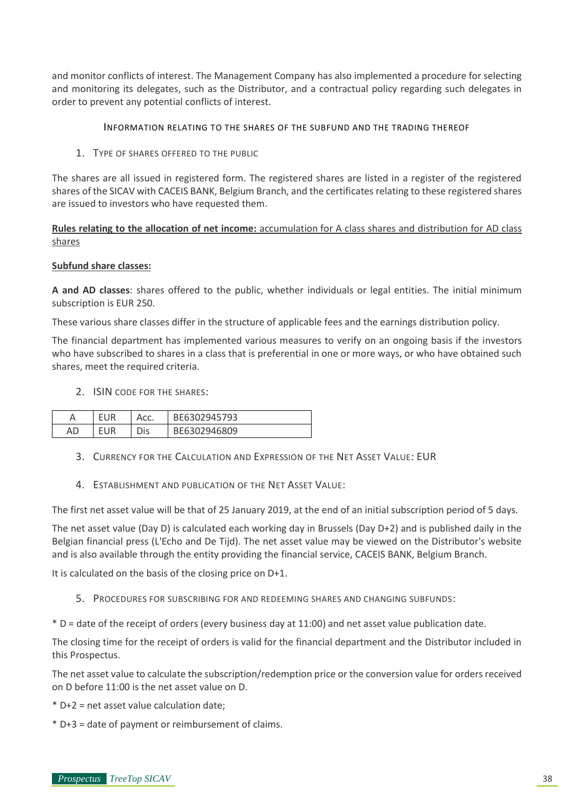and monitor conflicts of interest. The Management Company has also implemented a procedure for selecting and monitoring its delegates, such as the Distributor, and a contractual policy regarding such delegates in order to prevent any potential conflicts of interest.

#### INFORMATION RELATING TO THE SHARES OF THE SUBFUND AND THE TRADING THEREOF

1. TYPE OF SHARES OFFERED TO THE PUBLIC

The shares are all issued in registered form. The registered shares are listed in a register of the registered shares of the SICAV with CACEIS BANK, Belgium Branch, and the certificates relating to these registered shares are issued to investors who have requested them.

**Rules relating to the allocation of net income:** accumulation for A class shares and distribution for AD class shares

#### **Subfund share classes:**

**A and AD classes**: shares offered to the public, whether individuals or legal entities. The initial minimum subscription is EUR 250.

These various share classes differ in the structure of applicable fees and the earnings distribution policy.

The financial department has implemented various measures to verify on an ongoing basis if the investors who have subscribed to shares in a class that is preferential in one or more ways, or who have obtained such shares, meet the required criteria.

2. ISIN CODE FOR THE SHARES:

|    | - 1 | Acc. | BE6302945793 |
|----|-----|------|--------------|
| АC | - 1 | Dis  | BE6302946809 |

- 3. CURRENCY FOR THE CALCULATION AND EXPRESSION OF THE NET ASSET VALUE: EUR
- 4. ESTABLISHMENT AND PUBLICATION OF THE NET ASSET VALUE:

The first net asset value will be that of 25 January 2019, at the end of an initial subscription period of 5 days.

The net asset value (Day D) is calculated each working day in Brussels (Day D+2) and is published daily in the Belgian financial press (L'Echo and De Tijd). The net asset value may be viewed on the Distributor's website and is also available through the entity providing the financial service, CACEIS BANK, Belgium Branch.

It is calculated on the basis of the closing price on D+1.

- 5. PROCEDURES FOR SUBSCRIBING FOR AND REDEEMING SHARES AND CHANGING SUBFUNDS:
- \* D = date of the receipt of orders (every business day at 11:00) and net asset value publication date.

The closing time for the receipt of orders is valid for the financial department and the Distributor included in this Prospectus.

The net asset value to calculate the subscription/redemption price or the conversion value for orders received on D before 11:00 is the net asset value on D.

- \* D+2 = net asset value calculation date;
- \* D+3 = date of payment or reimbursement of claims.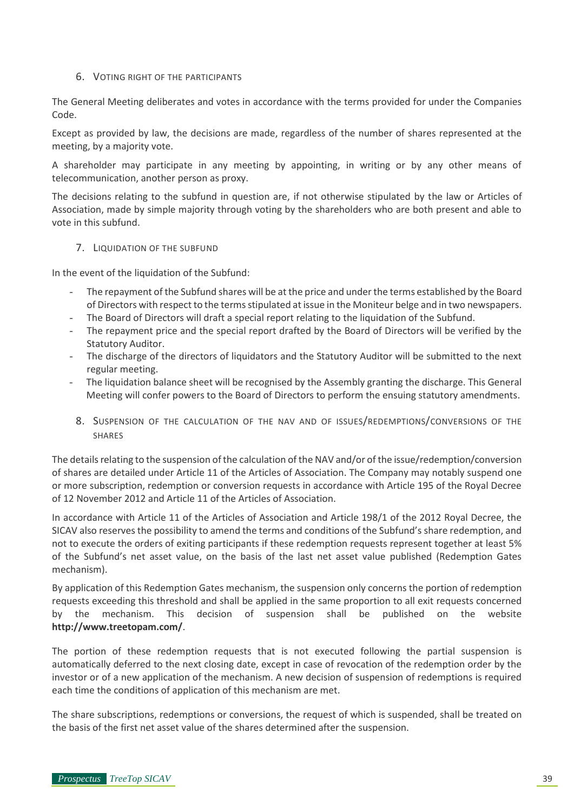#### 6. VOTING RIGHT OF THE PARTICIPANTS

The General Meeting deliberates and votes in accordance with the terms provided for under the Companies Code.

Except as provided by law, the decisions are made, regardless of the number of shares represented at the meeting, by a majority vote.

A shareholder may participate in any meeting by appointing, in writing or by any other means of telecommunication, another person as proxy.

The decisions relating to the subfund in question are, if not otherwise stipulated by the law or Articles of Association, made by simple majority through voting by the shareholders who are both present and able to vote in this subfund.

#### 7. LIQUIDATION OF THE SUBFUND

In the event of the liquidation of the Subfund:

- The repayment of the Subfund shares will be at the price and under the terms established by the Board of Directors with respect to the terms stipulated at issue in the Moniteur belge and in two newspapers.
- The Board of Directors will draft a special report relating to the liquidation of the Subfund.
- The repayment price and the special report drafted by the Board of Directors will be verified by the Statutory Auditor.
- The discharge of the directors of liquidators and the Statutory Auditor will be submitted to the next regular meeting.
- The liquidation balance sheet will be recognised by the Assembly granting the discharge. This General Meeting will confer powers to the Board of Directors to perform the ensuing statutory amendments.
- 8. SUSPENSION OF THE CALCULATION OF THE NAV AND OF ISSUES/REDEMPTIONS/CONVERSIONS OF THE SHARES

The details relating to the suspension of the calculation of the NAV and/or of the issue/redemption/conversion of shares are detailed under Article 11 of the Articles of Association. The Company may notably suspend one or more subscription, redemption or conversion requests in accordance with Article 195 of the Royal Decree of 12 November 2012 and Article 11 of the Articles of Association.

In accordance with Article 11 of the Articles of Association and Article 198/1 of the 2012 Royal Decree, the SICAV also reserves the possibility to amend the terms and conditions of the Subfund's share redemption, and not to execute the orders of exiting participants if these redemption requests represent together at least 5% of the Subfund's net asset value, on the basis of the last net asset value published (Redemption Gates mechanism).

By application of this Redemption Gates mechanism, the suspension only concerns the portion of redemption requests exceeding this threshold and shall be applied in the same proportion to all exit requests concerned by the mechanism. This decision of suspension shall be published on the website **<http://www.treetopam.com/>**.

The portion of these redemption requests that is not executed following the partial suspension is automatically deferred to the next closing date, except in case of revocation of the redemption order by the investor or of a new application of the mechanism. A new decision of suspension of redemptions is required each time the conditions of application of this mechanism are met.

The share subscriptions, redemptions or conversions, the request of which is suspended, shall be treated on the basis of the first net asset value of the shares determined after the suspension.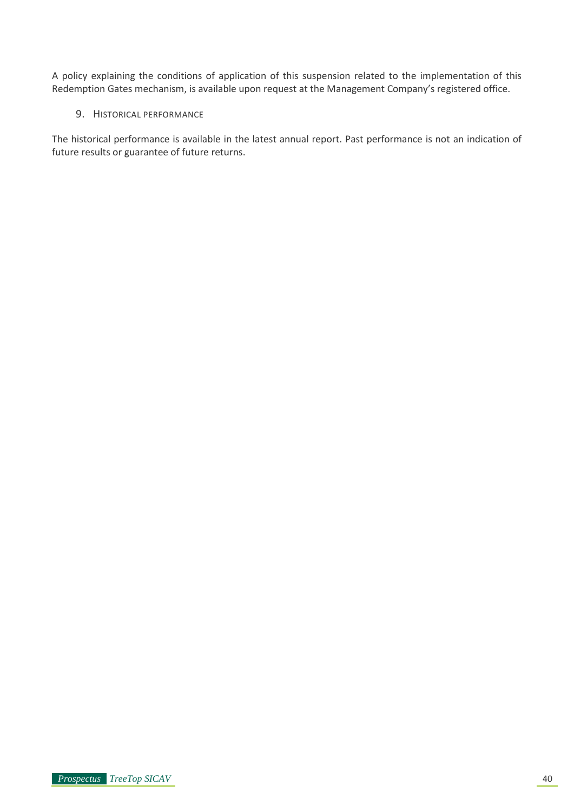A policy explaining the conditions of application of this suspension related to the implementation of this Redemption Gates mechanism, is available upon request at the Management Company's registered office.

9. HISTORICAL PERFORMANCE

The historical performance is available in the latest annual report. Past performance is not an indication of future results or guarantee of future returns.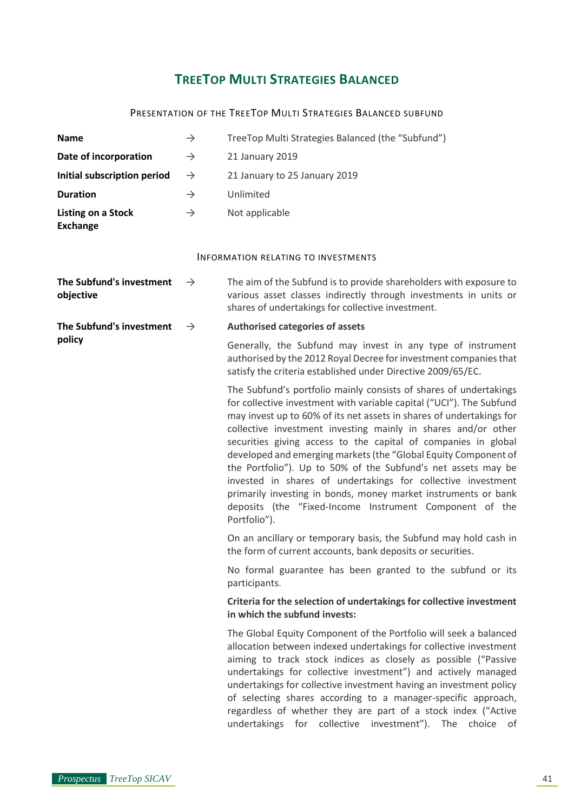# **TREETOP MULTI STRATEGIES BALANCED**

## PRESENTATION OF THE TREETOP MULTI STRATEGIES BALANCED SUBFUND

| <b>Name</b>                                  | $\rightarrow$ | TreeTop Multi Strategies Balanced (the "Subfund")                                                                                                                                                                                                                                                                                                                                                                                                                                                                                                                                                                                                                                                     |
|----------------------------------------------|---------------|-------------------------------------------------------------------------------------------------------------------------------------------------------------------------------------------------------------------------------------------------------------------------------------------------------------------------------------------------------------------------------------------------------------------------------------------------------------------------------------------------------------------------------------------------------------------------------------------------------------------------------------------------------------------------------------------------------|
| Date of incorporation                        | $\rightarrow$ | 21 January 2019                                                                                                                                                                                                                                                                                                                                                                                                                                                                                                                                                                                                                                                                                       |
| Initial subscription period                  | $\rightarrow$ | 21 January to 25 January 2019                                                                                                                                                                                                                                                                                                                                                                                                                                                                                                                                                                                                                                                                         |
| <b>Duration</b>                              | $\rightarrow$ | Unlimited                                                                                                                                                                                                                                                                                                                                                                                                                                                                                                                                                                                                                                                                                             |
| <b>Listing on a Stock</b><br><b>Exchange</b> | $\rightarrow$ | Not applicable                                                                                                                                                                                                                                                                                                                                                                                                                                                                                                                                                                                                                                                                                        |
|                                              |               | <b>INFORMATION RELATING TO INVESTMENTS</b>                                                                                                                                                                                                                                                                                                                                                                                                                                                                                                                                                                                                                                                            |
| The Subfund's investment<br>objective        | $\rightarrow$ | The aim of the Subfund is to provide shareholders with exposure to<br>various asset classes indirectly through investments in units or<br>shares of undertakings for collective investment.                                                                                                                                                                                                                                                                                                                                                                                                                                                                                                           |
| The Subfund's investment                     | $\rightarrow$ | <b>Authorised categories of assets</b>                                                                                                                                                                                                                                                                                                                                                                                                                                                                                                                                                                                                                                                                |
| policy                                       |               | Generally, the Subfund may invest in any type of instrument<br>authorised by the 2012 Royal Decree for investment companies that<br>satisfy the criteria established under Directive 2009/65/EC.                                                                                                                                                                                                                                                                                                                                                                                                                                                                                                      |
|                                              |               | The Subfund's portfolio mainly consists of shares of undertakings<br>for collective investment with variable capital ("UCI"). The Subfund<br>may invest up to 60% of its net assets in shares of undertakings for<br>collective investment investing mainly in shares and/or other<br>securities giving access to the capital of companies in global<br>developed and emerging markets (the "Global Equity Component of<br>the Portfolio"). Up to 50% of the Subfund's net assets may be<br>invested in shares of undertakings for collective investment<br>primarily investing in bonds, money market instruments or bank<br>deposits (the "Fixed-Income Instrument Component of the<br>Portfolio"). |
|                                              |               | On an ancillary or temporary basis, the Subfund may hold cash in<br>the form of current accounts, bank deposits or securities.                                                                                                                                                                                                                                                                                                                                                                                                                                                                                                                                                                        |
|                                              |               | No formal guarantee has been granted to the subfund or its<br>participants.                                                                                                                                                                                                                                                                                                                                                                                                                                                                                                                                                                                                                           |
|                                              |               | Criteria for the selection of undertakings for collective investment<br>in which the subfund invests:                                                                                                                                                                                                                                                                                                                                                                                                                                                                                                                                                                                                 |
|                                              |               | The Global Equity Component of the Portfolio will seek a balanced<br>allocation between indexed undertakings for collective investment<br>aiming to track stock indices as closely as possible ("Passive<br>undertakings for collective investment") and actively managed<br>undertakings for collective investment having an investment policy<br>of selecting shares according to a manager-specific approach,<br>regardless of whether they are part of a stock index ("Active<br>undertakings for collective investment"). The choice of                                                                                                                                                          |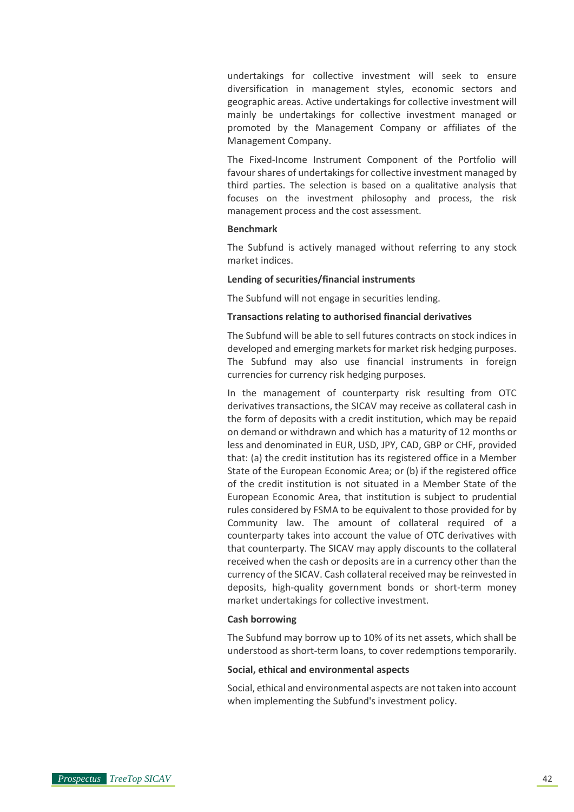undertakings for collective investment will seek to ensure diversification in management styles, economic sectors and geographic areas. Active undertakings for collective investment will mainly be undertakings for collective investment managed or promoted by the Management Company or affiliates of the Management Company.

The Fixed-Income Instrument Component of the Portfolio will favour shares of undertakings for collective investment managed by third parties. The selection is based on a qualitative analysis that focuses on the investment philosophy and process, the risk management process and the cost assessment.

#### **Benchmark**

The Subfund is actively managed without referring to any stock market indices.

#### **Lending of securities/financial instruments**

The Subfund will not engage in securities lending.

#### **Transactions relating to authorised financial derivatives**

The Subfund will be able to sell futures contracts on stock indices in developed and emerging markets for market risk hedging purposes. The Subfund may also use financial instruments in foreign currencies for currency risk hedging purposes.

In the management of counterparty risk resulting from OTC derivatives transactions, the SICAV may receive as collateral cash in the form of deposits with a credit institution, which may be repaid on demand or withdrawn and which has a maturity of 12 months or less and denominated in EUR, USD, JPY, CAD, GBP or CHF, provided that: (a) the credit institution has its registered office in a Member State of the European Economic Area; or (b) if the registered office of the credit institution is not situated in a Member State of the European Economic Area, that institution is subject to prudential rules considered by FSMA to be equivalent to those provided for by Community law. The amount of collateral required of a counterparty takes into account the value of OTC derivatives with that counterparty. The SICAV may apply discounts to the collateral received when the cash or deposits are in a currency other than the currency of the SICAV. Cash collateral received may be reinvested in deposits, high-quality government bonds or short-term money market undertakings for collective investment.

#### **Cash borrowing**

The Subfund may borrow up to 10% of its net assets, which shall be understood as short-term loans, to cover redemptions temporarily.

#### **Social, ethical and environmental aspects**

Social, ethical and environmental aspects are not taken into account when implementing the Subfund's investment policy.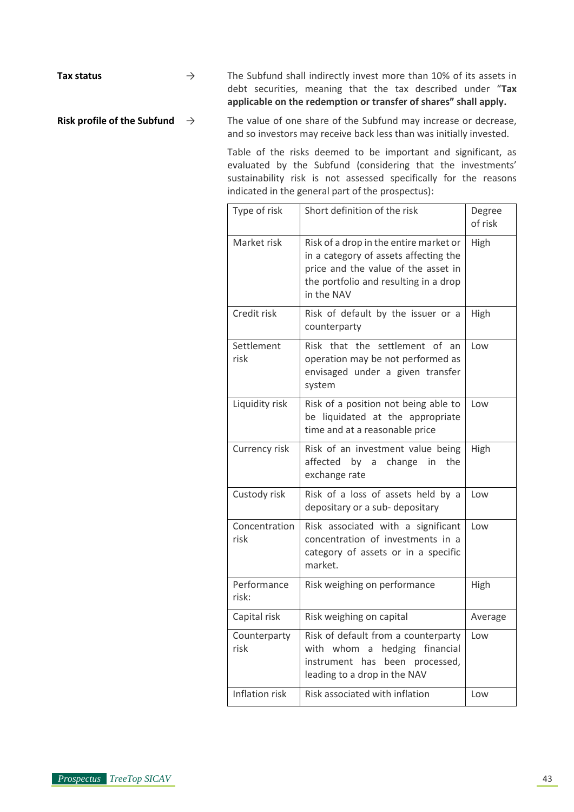Tax status → The Subfund shall indirectly invest more than 10% of its assets in debt securities, meaning that the tax described under "**Tax applicable on the redemption or transfer of shares" shall apply.**

**Risk profile of the Subfund** → The value of one share of the Subfund may increase or decrease, and so investors may receive back less than was initially invested.

> Table of the risks deemed to be important and significant, as evaluated by the Subfund (considering that the investments' sustainability risk is not assessed specifically for the reasons indicated in the general part of the prospectus):

| Type of risk          | Short definition of the risk                                                                                                                                                  | Degree<br>of risk |
|-----------------------|-------------------------------------------------------------------------------------------------------------------------------------------------------------------------------|-------------------|
| Market risk           | Risk of a drop in the entire market or<br>in a category of assets affecting the<br>price and the value of the asset in<br>the portfolio and resulting in a drop<br>in the NAV | High              |
| Credit risk           | Risk of default by the issuer or a<br>counterparty                                                                                                                            | High              |
| Settlement<br>risk    | the settlement of<br>Risk<br>that<br>an<br>operation may be not performed as<br>envisaged under a given transfer<br>system                                                    | Low               |
| Liquidity risk        | Risk of a position not being able to<br>be liquidated at the appropriate<br>time and at a reasonable price                                                                    | Low               |
| Currency risk         | Risk of an investment value being<br>affected by a<br>change<br>the<br>in<br>exchange rate                                                                                    | High              |
| Custody risk          | Risk of a loss of assets held by a<br>depositary or a sub-depositary                                                                                                          | Low               |
| Concentration<br>risk | Risk associated with a significant<br>concentration of investments in a<br>category of assets or in a specific<br>market.                                                     | Low               |
| Performance<br>risk:  | Risk weighing on performance                                                                                                                                                  | High              |
| Capital risk          | Risk weighing on capital                                                                                                                                                      | Average           |
| Counterparty<br>risk  | Risk of default from a counterparty<br>with whom<br>hedging financial<br>a<br>instrument has<br>been processed,<br>leading to a drop in the NAV                               | Low               |
| Inflation risk        | Risk associated with inflation                                                                                                                                                | Low               |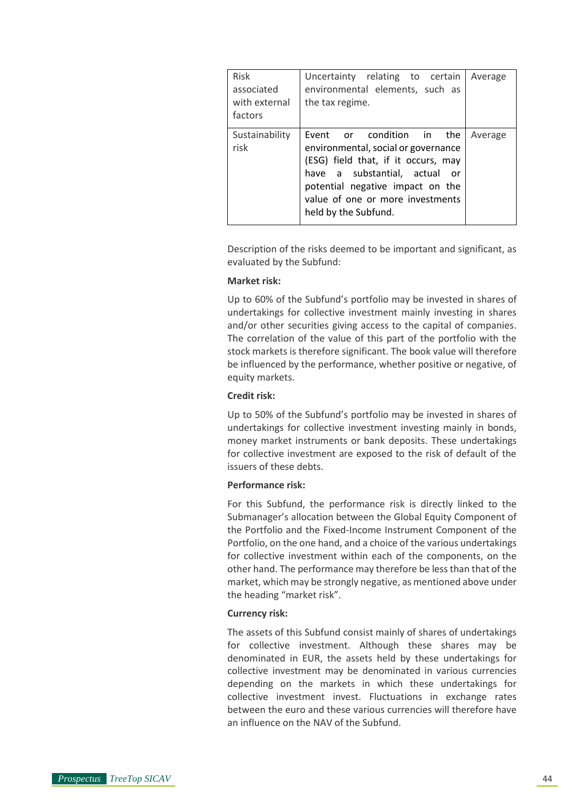| <b>Risk</b><br>associated<br>with external<br>factors | Uncertainty relating to certain<br>environmental elements, such as<br>the tax regime.                                                                                                                                                    | Average |
|-------------------------------------------------------|------------------------------------------------------------------------------------------------------------------------------------------------------------------------------------------------------------------------------------------|---------|
| Sustainability<br>risk                                | Event or condition in the<br>environmental, social or governance<br>(ESG) field that, if it occurs, may<br>have a substantial, actual or<br>potential negative impact on the<br>value of one or more investments<br>held by the Subfund. | Average |

Description of the risks deemed to be important and significant, as evaluated by the Subfund:

#### **Market risk:**

Up to 60% of the Subfund's portfolio may be invested in shares of undertakings for collective investment mainly investing in shares and/or other securities giving access to the capital of companies. The correlation of the value of this part of the portfolio with the stock markets is therefore significant. The book value will therefore be influenced by the performance, whether positive or negative, of equity markets.

#### **Credit risk:**

Up to 50% of the Subfund's portfolio may be invested in shares of undertakings for collective investment investing mainly in bonds, money market instruments or bank deposits. These undertakings for collective investment are exposed to the risk of default of the issuers of these debts.

#### **Performance risk:**

For this Subfund, the performance risk is directly linked to the Submanager's allocation between the Global Equity Component of the Portfolio and the Fixed-Income Instrument Component of the Portfolio, on the one hand, and a choice of the various undertakings for collective investment within each of the components, on the other hand. The performance may therefore be less than that of the market, which may be strongly negative, as mentioned above under the heading "market risk".

#### **Currency risk:**

The assets of this Subfund consist mainly of shares of undertakings for collective investment. Although these shares may be denominated in EUR, the assets held by these undertakings for collective investment may be denominated in various currencies depending on the markets in which these undertakings for collective investment invest. Fluctuations in exchange rates between the euro and these various currencies will therefore have an influence on the NAV of the Subfund.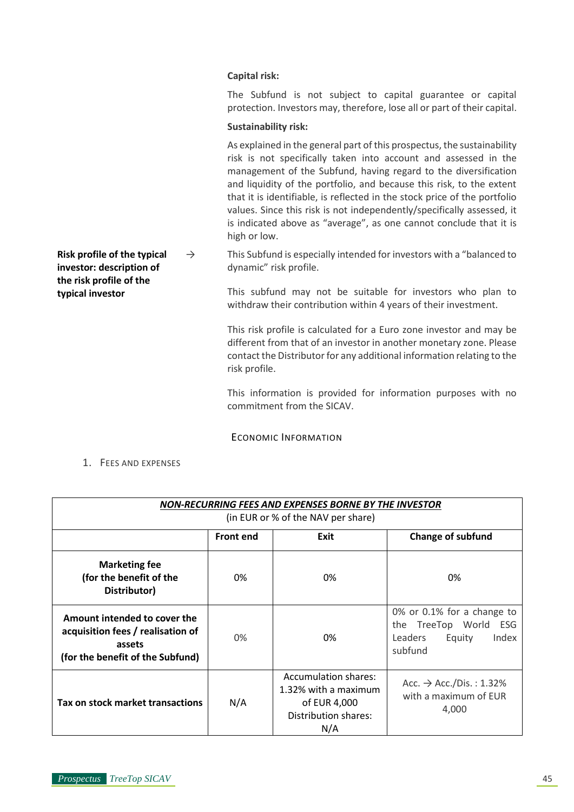#### **Capital risk:**

The Subfund is not subject to capital guarantee or capital protection. Investors may, therefore, lose all or part of their capital.

#### **Sustainability risk:**

As explained in the general part of this prospectus, the sustainability risk is not specifically taken into account and assessed in the management of the Subfund, having regard to the diversification and liquidity of the portfolio, and because this risk, to the extent that it is identifiable, is reflected in the stock price of the portfolio values. Since this risk is not independently/specifically assessed, it is indicated above as "average", as one cannot conclude that it is high or low.

**Risk profile of the typical investor: description of**   $\rightarrow$  This Subfund is especially intended for investors with a "balanced to dynamic" risk profile.

> This subfund may not be suitable for investors who plan to withdraw their contribution within 4 years of their investment.

> This risk profile is calculated for a Euro zone investor and may be different from that of an investor in another monetary zone. Please contact the Distributor for any additional information relating to the risk profile.

> This information is provided for information purposes with no commitment from the SICAV.

ECONOMIC INFORMATION

1. FEES AND EXPENSES

**the risk profile of the typical investor**

| NON-RECURRING FEES AND EXPENSES BORNE BY THE INVESTOR                                                           |          |                                                                                                    |                                                                                              |  |  |
|-----------------------------------------------------------------------------------------------------------------|----------|----------------------------------------------------------------------------------------------------|----------------------------------------------------------------------------------------------|--|--|
| (in EUR or % of the NAV per share)                                                                              |          |                                                                                                    |                                                                                              |  |  |
| <b>Front end</b><br>Exit<br><b>Change of subfund</b>                                                            |          |                                                                                                    |                                                                                              |  |  |
| <b>Marketing fee</b><br>(for the benefit of the<br>Distributor)                                                 | 0%       | 0%                                                                                                 | 0%                                                                                           |  |  |
| Amount intended to cover the<br>acquisition fees / realisation of<br>assets<br>(for the benefit of the Subfund) | 0%<br>0% |                                                                                                    | 0% or 0.1% for a change to<br>the TreeTop World ESG<br>Leaders<br>Equity<br>Index<br>subfund |  |  |
| Tax on stock market transactions                                                                                | N/A      | <b>Accumulation shares:</b><br>1.32% with a maximum<br>of EUR 4,000<br>Distribution shares:<br>N/A | Acc. $\rightarrow$ Acc./Dis.: 1.32%<br>with a maximum of EUR<br>4,000                        |  |  |

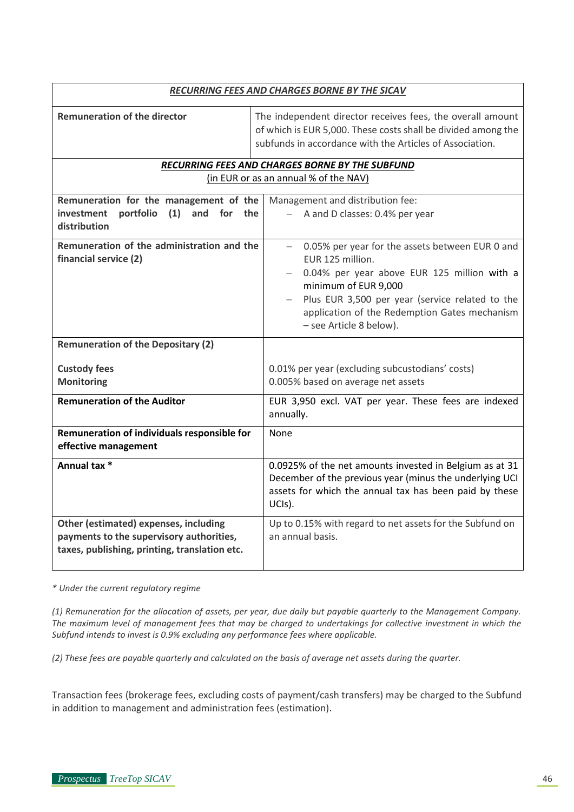|                                                                                                                                    | RECURRING FEES AND CHARGES BORNE BY THE SICAV                                                                                                                                                                                                                             |  |  |  |
|------------------------------------------------------------------------------------------------------------------------------------|---------------------------------------------------------------------------------------------------------------------------------------------------------------------------------------------------------------------------------------------------------------------------|--|--|--|
| <b>Remuneration of the director</b>                                                                                                | The independent director receives fees, the overall amount<br>of which is EUR 5,000. These costs shall be divided among the<br>subfunds in accordance with the Articles of Association.                                                                                   |  |  |  |
|                                                                                                                                    | RECURRING FEES AND CHARGES BORNE BY THE SUBFUND                                                                                                                                                                                                                           |  |  |  |
|                                                                                                                                    | (in EUR or as an annual % of the NAV)                                                                                                                                                                                                                                     |  |  |  |
| Remuneration for the management of the<br>portfolio<br>(1)<br>investment<br>and for the                                            | Management and distribution fee:<br>A and D classes: 0.4% per year                                                                                                                                                                                                        |  |  |  |
| distribution                                                                                                                       |                                                                                                                                                                                                                                                                           |  |  |  |
| Remuneration of the administration and the<br>financial service (2)                                                                | 0.05% per year for the assets between EUR 0 and<br>EUR 125 million.<br>0.04% per year above EUR 125 million with a<br>minimum of EUR 9,000<br>Plus EUR 3,500 per year (service related to the<br>application of the Redemption Gates mechanism<br>- see Article 8 below). |  |  |  |
| <b>Remuneration of the Depositary (2)</b>                                                                                          |                                                                                                                                                                                                                                                                           |  |  |  |
|                                                                                                                                    |                                                                                                                                                                                                                                                                           |  |  |  |
| <b>Custody fees</b>                                                                                                                | 0.01% per year (excluding subcustodians' costs)                                                                                                                                                                                                                           |  |  |  |
| <b>Monitoring</b>                                                                                                                  | 0.005% based on average net assets                                                                                                                                                                                                                                        |  |  |  |
| <b>Remuneration of the Auditor</b>                                                                                                 | EUR 3,950 excl. VAT per year. These fees are indexed<br>annually.                                                                                                                                                                                                         |  |  |  |
| Remuneration of individuals responsible for<br>effective management                                                                | None                                                                                                                                                                                                                                                                      |  |  |  |
| Annual tax $*$                                                                                                                     | 0.0925% of the net amounts invested in Belgium as at 31<br>December of the previous year (minus the underlying UCI<br>assets for which the annual tax has been paid by these<br>UCIs).                                                                                    |  |  |  |
| Other (estimated) expenses, including<br>payments to the supervisory authorities,<br>taxes, publishing, printing, translation etc. | Up to 0.15% with regard to net assets for the Subfund on<br>an annual basis.                                                                                                                                                                                              |  |  |  |

*\* Under the current regulatory regime*

*(1) Remuneration for the allocation of assets, per year, due daily but payable quarterly to the Management Company. The maximum level of management fees that may be charged to undertakings for collective investment in which the Subfund intends to invest is 0.9% excluding any performance fees where applicable.*

*(2) These fees are payable quarterly and calculated on the basis of average net assets during the quarter.*

Transaction fees (brokerage fees, excluding costs of payment/cash transfers) may be charged to the Subfund in addition to management and administration fees (estimation).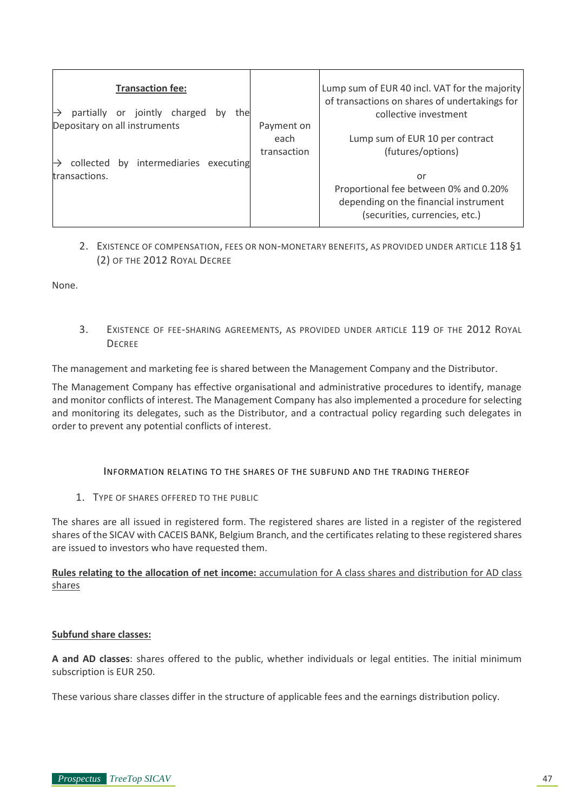| <b>Transaction fee:</b><br>partially or jointly charged<br>the<br>bv      |                                   | Lump sum of EUR 40 incl. VAT for the majority<br>of transactions on shares of undertakings for<br>collective investment |
|---------------------------------------------------------------------------|-----------------------------------|-------------------------------------------------------------------------------------------------------------------------|
| Depositary on all instruments<br>by intermediaries executing<br>collected | Payment on<br>each<br>transaction | Lump sum of EUR 10 per contract<br>(futures/options)                                                                    |
| transactions.                                                             |                                   | or<br>Proportional fee between 0% and 0.20%<br>depending on the financial instrument<br>(securities, currencies, etc.)  |

## 2. EXISTENCE OF COMPENSATION, FEES OR NON-MONETARY BENEFITS, AS PROVIDED UNDER ARTICLE 118 §1 (2) OF THE 2012 ROYAL DECREE

None.

3. EXISTENCE OF FEE-SHARING AGREEMENTS, AS PROVIDED UNDER ARTICLE 119 OF THE 2012 ROYAL **DECREE** 

The management and marketing fee is shared between the Management Company and the Distributor.

The Management Company has effective organisational and administrative procedures to identify, manage and monitor conflicts of interest. The Management Company has also implemented a procedure for selecting and monitoring its delegates, such as the Distributor, and a contractual policy regarding such delegates in order to prevent any potential conflicts of interest.

INFORMATION RELATING TO THE SHARES OF THE SUBFUND AND THE TRADING THEREOF

1. TYPE OF SHARES OFFERED TO THE PUBLIC

The shares are all issued in registered form. The registered shares are listed in a register of the registered shares of the SICAV with CACEIS BANK, Belgium Branch, and the certificates relating to these registered shares are issued to investors who have requested them.

**Rules relating to the allocation of net income:** accumulation for A class shares and distribution for AD class shares

#### **Subfund share classes:**

**A and AD classes**: shares offered to the public, whether individuals or legal entities. The initial minimum subscription is EUR 250.

These various share classes differ in the structure of applicable fees and the earnings distribution policy.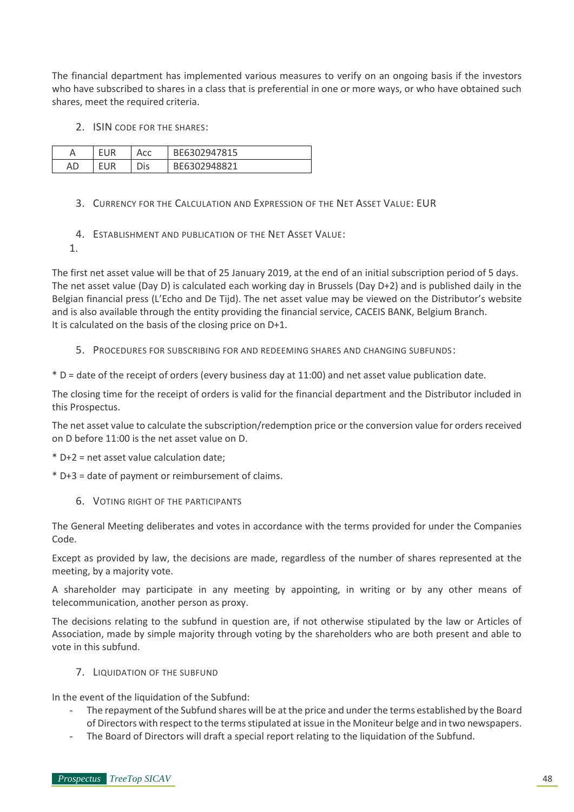The financial department has implemented various measures to verify on an ongoing basis if the investors who have subscribed to shares in a class that is preferential in one or more ways, or who have obtained such shares, meet the required criteria.

2. ISIN CODE FOR THE SHARES:

|    | ΙR | Acc | BE6302947815 |
|----|----|-----|--------------|
| AD | 10 |     | REG302048821 |

- 3. CURRENCY FOR THE CALCULATION AND EXPRESSION OF THE NET ASSET VALUE: EUR
- 4. ESTABLISHMENT AND PUBLICATION OF THE NET ASSET VALUE:
- 1.

The first net asset value will be that of 25 January 2019, at the end of an initial subscription period of 5 days. The net asset value (Day D) is calculated each working day in Brussels (Day D+2) and is published daily in the Belgian financial press (L'Echo and De Tijd). The net asset value may be viewed on the Distributor's website and is also available through the entity providing the financial service, CACEIS BANK, Belgium Branch. It is calculated on the basis of the closing price on D+1.

5. PROCEDURES FOR SUBSCRIBING FOR AND REDEEMING SHARES AND CHANGING SUBFUNDS:

\* D = date of the receipt of orders (every business day at 11:00) and net asset value publication date.

The closing time for the receipt of orders is valid for the financial department and the Distributor included in this Prospectus.

The net asset value to calculate the subscription/redemption price or the conversion value for orders received on D before 11:00 is the net asset value on D.

\* D+2 = net asset value calculation date;

\* D+3 = date of payment or reimbursement of claims.

6. VOTING RIGHT OF THE PARTICIPANTS

The General Meeting deliberates and votes in accordance with the terms provided for under the Companies Code.

Except as provided by law, the decisions are made, regardless of the number of shares represented at the meeting, by a majority vote.

A shareholder may participate in any meeting by appointing, in writing or by any other means of telecommunication, another person as proxy.

The decisions relating to the subfund in question are, if not otherwise stipulated by the law or Articles of Association, made by simple majority through voting by the shareholders who are both present and able to vote in this subfund.

7. LIQUIDATION OF THE SUBFUND

In the event of the liquidation of the Subfund:

- The repayment of the Subfund shares will be at the price and under the terms established by the Board of Directors with respect to the terms stipulated at issue in the Moniteur belge and in two newspapers.
- The Board of Directors will draft a special report relating to the liquidation of the Subfund.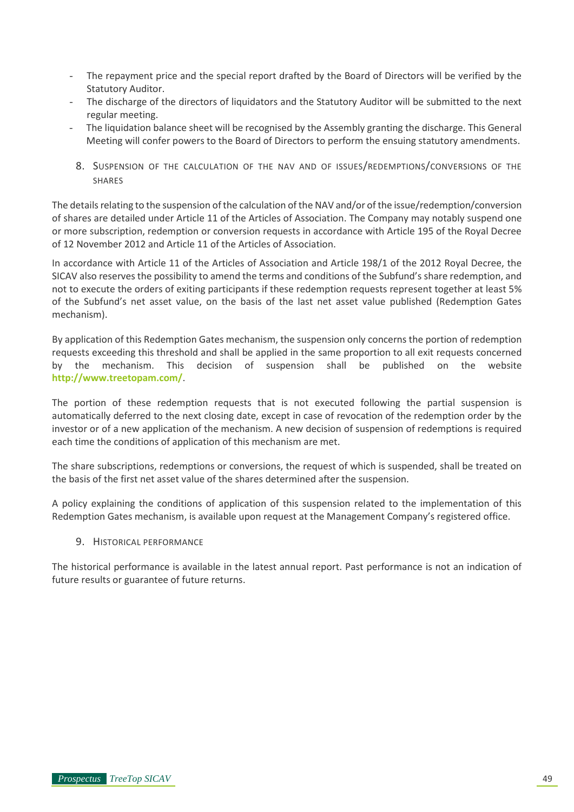- The repayment price and the special report drafted by the Board of Directors will be verified by the Statutory Auditor.
- The discharge of the directors of liquidators and the Statutory Auditor will be submitted to the next regular meeting.
- The liquidation balance sheet will be recognised by the Assembly granting the discharge. This General Meeting will confer powers to the Board of Directors to perform the ensuing statutory amendments.
- 8. SUSPENSION OF THE CALCULATION OF THE NAV AND OF ISSUES/REDEMPTIONS/CONVERSIONS OF THE SHARES

The details relating to the suspension of the calculation of the NAV and/or of the issue/redemption/conversion of shares are detailed under Article 11 of the Articles of Association. The Company may notably suspend one or more subscription, redemption or conversion requests in accordance with Article 195 of the Royal Decree of 12 November 2012 and Article 11 of the Articles of Association.

In accordance with Article 11 of the Articles of Association and Article 198/1 of the 2012 Royal Decree, the SICAV also reserves the possibility to amend the terms and conditions of the Subfund's share redemption, and not to execute the orders of exiting participants if these redemption requests represent together at least 5% of the Subfund's net asset value, on the basis of the last net asset value published (Redemption Gates mechanism).

By application of this Redemption Gates mechanism, the suspension only concerns the portion of redemption requests exceeding this threshold and shall be applied in the same proportion to all exit requests concerned by the mechanism. This decision of suspension shall be published on the website **<http://www.treetopam.com/>**.

The portion of these redemption requests that is not executed following the partial suspension is automatically deferred to the next closing date, except in case of revocation of the redemption order by the investor or of a new application of the mechanism. A new decision of suspension of redemptions is required each time the conditions of application of this mechanism are met.

The share subscriptions, redemptions or conversions, the request of which is suspended, shall be treated on the basis of the first net asset value of the shares determined after the suspension.

A policy explaining the conditions of application of this suspension related to the implementation of this Redemption Gates mechanism, is available upon request at the Management Company's registered office.

9. HISTORICAL PERFORMANCE

The historical performance is available in the latest annual report. Past performance is not an indication of future results or guarantee of future returns.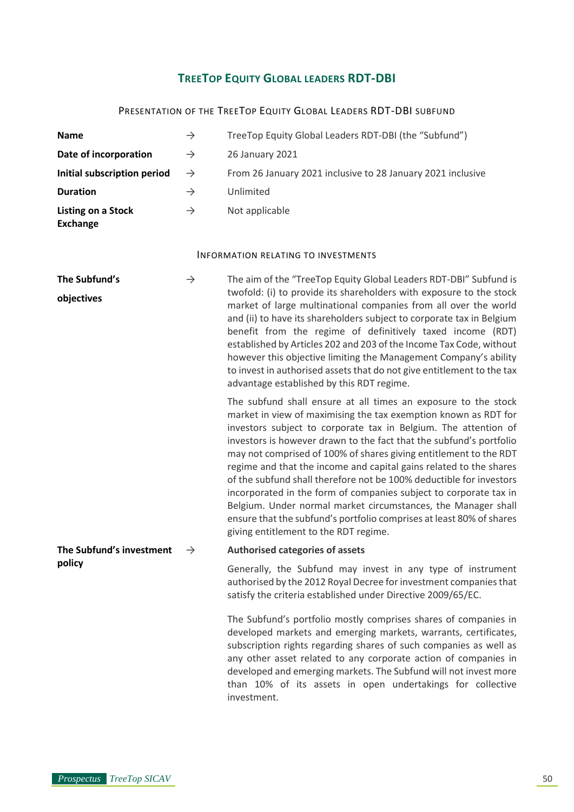## **TREETOP EQUITY GLOBAL LEADERS RDT-DBI**

#### PRESENTATION OF THE TREETOP EQUITY GLOBAL LEADERS RDT-DBI SUBFUND

| <b>Name</b>                                  | $\rightarrow$ | TreeTop Equity Global Leaders RDT-DBI (the "Subfund")                                                                                                                                                                                                                                                                                                                                                                                                                                                                                                                                                                                                                                                                                                |
|----------------------------------------------|---------------|------------------------------------------------------------------------------------------------------------------------------------------------------------------------------------------------------------------------------------------------------------------------------------------------------------------------------------------------------------------------------------------------------------------------------------------------------------------------------------------------------------------------------------------------------------------------------------------------------------------------------------------------------------------------------------------------------------------------------------------------------|
| Date of incorporation                        | $\rightarrow$ | 26 January 2021                                                                                                                                                                                                                                                                                                                                                                                                                                                                                                                                                                                                                                                                                                                                      |
| Initial subscription period                  | $\rightarrow$ | From 26 January 2021 inclusive to 28 January 2021 inclusive                                                                                                                                                                                                                                                                                                                                                                                                                                                                                                                                                                                                                                                                                          |
| <b>Duration</b>                              | $\rightarrow$ | Unlimited                                                                                                                                                                                                                                                                                                                                                                                                                                                                                                                                                                                                                                                                                                                                            |
| <b>Listing on a Stock</b><br><b>Exchange</b> | $\rightarrow$ | Not applicable                                                                                                                                                                                                                                                                                                                                                                                                                                                                                                                                                                                                                                                                                                                                       |
|                                              |               | <b>INFORMATION RELATING TO INVESTMENTS</b>                                                                                                                                                                                                                                                                                                                                                                                                                                                                                                                                                                                                                                                                                                           |
| The Subfund's<br>objectives                  | $\rightarrow$ | The aim of the "TreeTop Equity Global Leaders RDT-DBI" Subfund is<br>twofold: (i) to provide its shareholders with exposure to the stock<br>market of large multinational companies from all over the world<br>and (ii) to have its shareholders subject to corporate tax in Belgium<br>benefit from the regime of definitively taxed income (RDT)<br>established by Articles 202 and 203 of the Income Tax Code, without<br>however this objective limiting the Management Company's ability<br>to invest in authorised assets that do not give entitlement to the tax<br>advantage established by this RDT regime.                                                                                                                                 |
|                                              |               | The subfund shall ensure at all times an exposure to the stock<br>market in view of maximising the tax exemption known as RDT for<br>investors subject to corporate tax in Belgium. The attention of<br>investors is however drawn to the fact that the subfund's portfolio<br>may not comprised of 100% of shares giving entitlement to the RDT<br>regime and that the income and capital gains related to the shares<br>of the subfund shall therefore not be 100% deductible for investors<br>incorporated in the form of companies subject to corporate tax in<br>Belgium. Under normal market circumstances, the Manager shall<br>ensure that the subfund's portfolio comprises at least 80% of shares<br>giving entitlement to the RDT regime. |
| The Subfund's investment                     | $\rightarrow$ | <b>Authorised categories of assets</b>                                                                                                                                                                                                                                                                                                                                                                                                                                                                                                                                                                                                                                                                                                               |
| policy                                       |               | Generally, the Subfund may invest in any type of instrument<br>authorised by the 2012 Royal Decree for investment companies that<br>satisfy the criteria established under Directive 2009/65/EC.                                                                                                                                                                                                                                                                                                                                                                                                                                                                                                                                                     |
|                                              |               | The Subfund's portfolio mostly comprises shares of companies in<br>developed markets and emerging markets, warrants, certificates,<br>subscription rights regarding shares of such companies as well as<br>any other asset related to any corporate action of companies in<br>developed and emerging markets. The Subfund will not invest more<br>than 10% of its assets in open undertakings for collective                                                                                                                                                                                                                                                                                                                                         |

investment.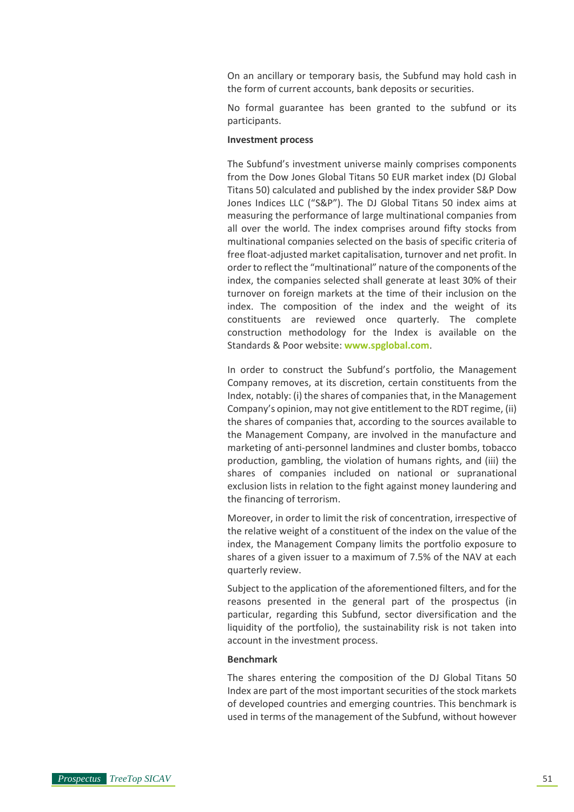On an ancillary or temporary basis, the Subfund may hold cash in the form of current accounts, bank deposits or securities.

No formal guarantee has been granted to the subfund or its participants.

#### **Investment process**

The Subfund's investment universe mainly comprises components from the Dow Jones Global Titans 50 EUR market index (DJ Global Titans 50) calculated and published by the index provider S&P Dow Jones Indices LLC ("S&P"). The DJ Global Titans 50 index aims at measuring the performance of large multinational companies from all over the world. The index comprises around fifty stocks from multinational companies selected on the basis of specific criteria of free float-adjusted market capitalisation, turnover and net profit. In order to reflect the "multinational" nature of the components of the index, the companies selected shall generate at least 30% of their turnover on foreign markets at the time of their inclusion on the index. The composition of the index and the weight of its constituents are reviewed once quarterly. The complete construction methodology for the Index is available on the Standards & Poor website: **[www.spglobal.com](http://www.spglobal.com/)**.

In order to construct the Subfund's portfolio, the Management Company removes, at its discretion, certain constituents from the Index, notably: (i) the shares of companies that, in the Management Company's opinion, may not give entitlement to the RDT regime, (ii) the shares of companies that, according to the sources available to the Management Company, are involved in the manufacture and marketing of anti-personnel landmines and cluster bombs, tobacco production, gambling, the violation of humans rights, and (iii) the shares of companies included on national or supranational exclusion lists in relation to the fight against money laundering and the financing of terrorism.

Moreover, in order to limit the risk of concentration, irrespective of the relative weight of a constituent of the index on the value of the index, the Management Company limits the portfolio exposure to shares of a given issuer to a maximum of 7.5% of the NAV at each quarterly review.

Subject to the application of the aforementioned filters, and for the reasons presented in the general part of the prospectus (in particular, regarding this Subfund, sector diversification and the liquidity of the portfolio), the sustainability risk is not taken into account in the investment process.

#### **Benchmark**

The shares entering the composition of the DJ Global Titans 50 Index are part of the most important securities of the stock markets of developed countries and emerging countries. This benchmark is used in terms of the management of the Subfund, without however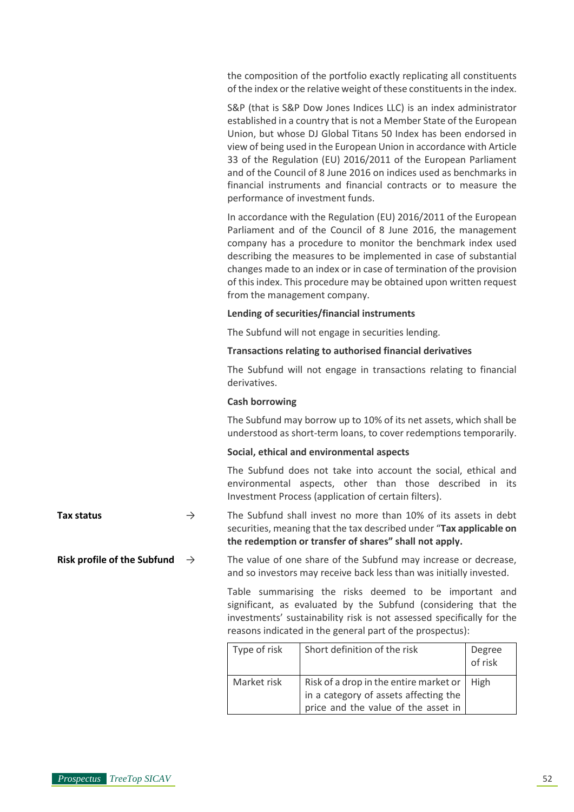the composition of the portfolio exactly replicating all constituents of the index or the relative weight of these constituents in the index.

S&P (that is S&P Dow Jones Indices LLC) is an index administrator established in a country that is not a Member State of the European Union, but whose DJ Global Titans 50 Index has been endorsed in view of being used in the European Union in accordance with Article 33 of the Regulation (EU) 2016/2011 of the European Parliament and of the Council of 8 June 2016 on indices used as benchmarks in financial instruments and financial contracts or to measure the performance of investment funds.

In accordance with the Regulation (EU) 2016/2011 of the European Parliament and of the Council of 8 June 2016, the management company has a procedure to monitor the benchmark index used describing the measures to be implemented in case of substantial changes made to an index or in case of termination of the provision of this index. This procedure may be obtained upon written request from the management company.

#### **Lending of securities/financial instruments**

The Subfund will not engage in securities lending.

#### **Transactions relating to authorised financial derivatives**

The Subfund will not engage in transactions relating to financial derivatives.

#### **Cash borrowing**

The Subfund may borrow up to 10% of its net assets, which shall be understood as short-term loans, to cover redemptions temporarily.

#### **Social, ethical and environmental aspects**

The Subfund does not take into account the social, ethical and environmental aspects, other than those described in its Investment Process (application of certain filters).

- **Tax status**  $\rightarrow$  The Subfund shall invest no more than 10% of its assets in debt securities, meaning that the tax described under "**Tax applicable on the redemption or transfer of shares" shall not apply.**
- **Risk profile of the Subfund**  $\rightarrow$  The value of one share of the Subfund may increase or decrease, and so investors may receive back less than was initially invested.

Table summarising the risks deemed to be important and significant, as evaluated by the Subfund (considering that the investments' sustainability risk is not assessed specifically for the reasons indicated in the general part of the prospectus):

| Type of risk | Short definition of the risk                                                                                                  | Degree<br>of risk |
|--------------|-------------------------------------------------------------------------------------------------------------------------------|-------------------|
| Market risk  | Risk of a drop in the entire market or   High<br>in a category of assets affecting the<br>price and the value of the asset in |                   |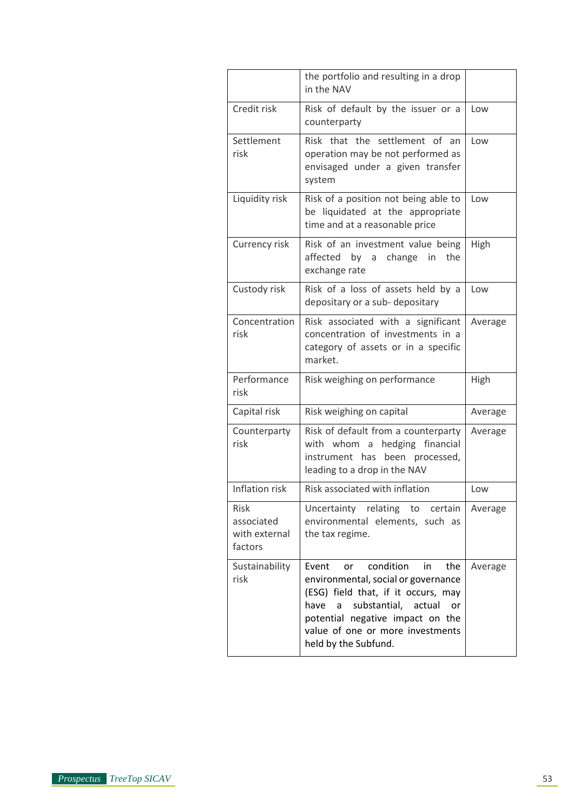|                                                | the portfolio and resulting in a drop<br>in the NAV                                                                                                                                                                                                                   |         |
|------------------------------------------------|-----------------------------------------------------------------------------------------------------------------------------------------------------------------------------------------------------------------------------------------------------------------------|---------|
| Credit risk                                    | Risk of default by the issuer or a<br>counterparty                                                                                                                                                                                                                    | Low     |
| Settlement<br>risk                             | Risk that the settlement of an<br>operation may be not performed as<br>envisaged under a given transfer<br>system                                                                                                                                                     | Low     |
| Liquidity risk                                 | Risk of a position not being able to<br>be liquidated at the appropriate<br>time and at a reasonable price                                                                                                                                                            | Low     |
| Currency risk                                  | Risk of an investment value being<br>affected<br>by a change<br>the<br>in<br>exchange rate                                                                                                                                                                            | High    |
| Custody risk                                   | Risk of a loss of assets held by a<br>depositary or a sub-depositary                                                                                                                                                                                                  | Low     |
| Concentration<br>risk                          | Risk associated with a significant<br>concentration of investments in a<br>category of assets or in a specific<br>market.                                                                                                                                             | Average |
| Performance<br>risk                            | Risk weighing on performance                                                                                                                                                                                                                                          | High    |
| Capital risk                                   | Risk weighing on capital                                                                                                                                                                                                                                              | Average |
| Counterparty<br>risk                           | Risk of default from a counterparty<br>with whom a<br>hedging financial<br>been processed,<br>instrument has<br>leading to a drop in the NAV                                                                                                                          | Average |
| Inflation risk                                 | Risk associated with inflation                                                                                                                                                                                                                                        | Low     |
| Risk<br>associated<br>with external<br>factors | Uncertainty relating<br>to<br>certain<br>environmental elements, such as<br>the tax regime.                                                                                                                                                                           | Average |
| Sustainability<br>risk                         | Event<br>condition<br>the<br>or<br>in.<br>environmental, social or governance<br>(ESG) field that, if it occurs, may<br>substantial, actual<br>have<br><b>or</b><br>a<br>potential negative impact on the<br>value of one or more investments<br>held by the Subfund. | Average |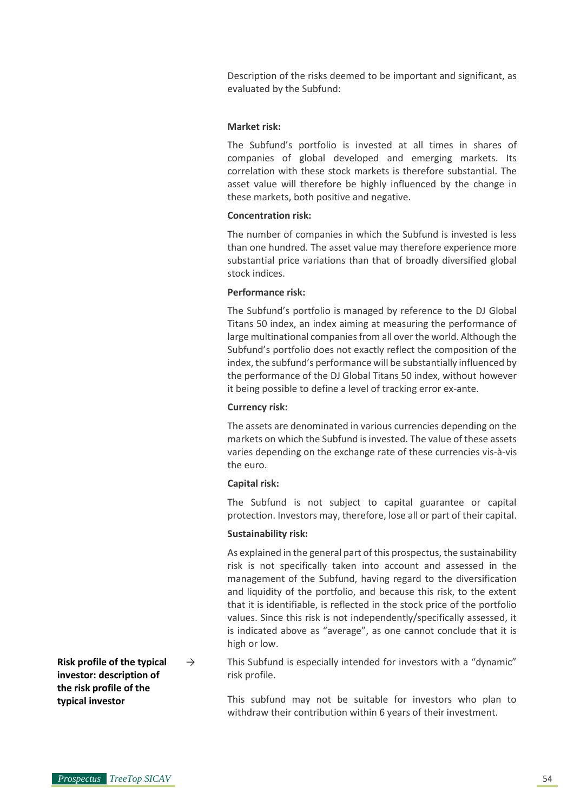Description of the risks deemed to be important and significant, as evaluated by the Subfund:

#### **Market risk:**

The Subfund's portfolio is invested at all times in shares of companies of global developed and emerging markets. Its correlation with these stock markets is therefore substantial. The asset value will therefore be highly influenced by the change in these markets, both positive and negative.

#### **Concentration risk:**

The number of companies in which the Subfund is invested is less than one hundred. The asset value may therefore experience more substantial price variations than that of broadly diversified global stock indices.

#### **Performance risk:**

The Subfund's portfolio is managed by reference to the DJ Global Titans 50 index, an index aiming at measuring the performance of large multinational companies from all over the world. Although the Subfund's portfolio does not exactly reflect the composition of the index, the subfund's performance will be substantially influenced by the performance of the DJ Global Titans 50 index, without however it being possible to define a level of tracking error ex-ante.

#### **Currency risk:**

The assets are denominated in various currencies depending on the markets on which the Subfund is invested. The value of these assets varies depending on the exchange rate of these currencies vis-à-vis the euro.

#### **Capital risk:**

The Subfund is not subject to capital guarantee or capital protection. Investors may, therefore, lose all or part of their capital.

#### **Sustainability risk:**

As explained in the general part of this prospectus, the sustainability risk is not specifically taken into account and assessed in the management of the Subfund, having regard to the diversification and liquidity of the portfolio, and because this risk, to the extent that it is identifiable, is reflected in the stock price of the portfolio values. Since this risk is not independently/specifically assessed, it is indicated above as "average", as one cannot conclude that it is high or low.

 $\rightarrow$  This Subfund is especially intended for investors with a "dynamic" risk profile.

> This subfund may not be suitable for investors who plan to withdraw their contribution within 6 years of their investment.

**Risk profile of the typical investor: description of the risk profile of the typical investor**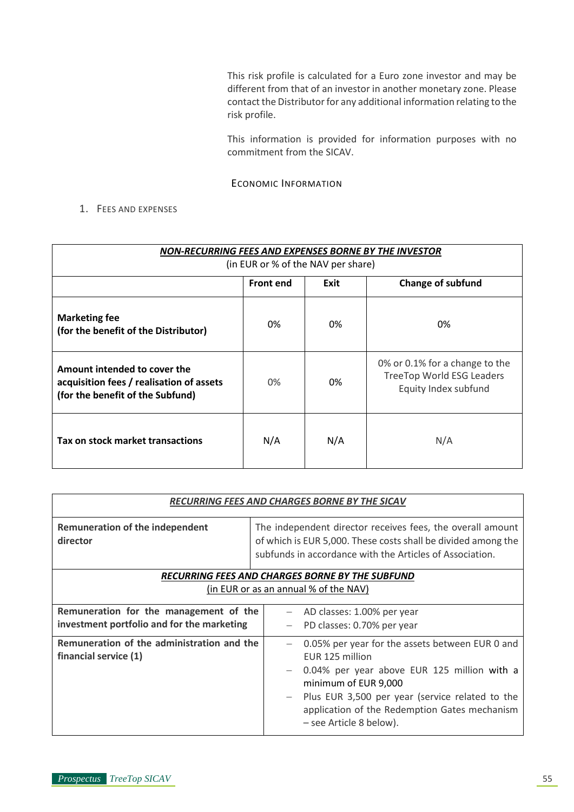This risk profile is calculated for a Euro zone investor and may be different from that of an investor in another monetary zone. Please contact the Distributor for any additional information relating to the risk profile.

This information is provided for information purposes with no commitment from the SICAV.

ECONOMIC INFORMATION

## 1. FEES AND EXPENSES

| NON-RECURRING FEES AND EXPENSES BORNE BY THE INVESTOR<br>(in EUR or % of the NAV per share)                  |                          |     |                                                                                            |
|--------------------------------------------------------------------------------------------------------------|--------------------------|-----|--------------------------------------------------------------------------------------------|
|                                                                                                              | <b>Front end</b><br>Exit |     | <b>Change of subfund</b>                                                                   |
| <b>Marketing fee</b><br>(for the benefit of the Distributor)                                                 | 0%                       | 0%  | 0%                                                                                         |
| Amount intended to cover the<br>acquisition fees / realisation of assets<br>(for the benefit of the Subfund) | 0%                       | 0%  | 0% or 0.1% for a change to the<br><b>TreeTop World ESG Leaders</b><br>Equity Index subfund |
| Tax on stock market transactions                                                                             | N/A                      | N/A | N/A                                                                                        |

|                                             | <b>RECURRING FEES AND CHARGES BORNE BY THE SICAV</b>                                                                                                                                    |  |  |
|---------------------------------------------|-----------------------------------------------------------------------------------------------------------------------------------------------------------------------------------------|--|--|
| Remuneration of the independent<br>director | The independent director receives fees, the overall amount<br>of which is EUR 5,000. These costs shall be divided among the<br>subfunds in accordance with the Articles of Association. |  |  |
|                                             | RECURRING FEES AND CHARGES BORNE BY THE SUBFUND                                                                                                                                         |  |  |
|                                             | (in EUR or as an annual % of the NAV)                                                                                                                                                   |  |  |
|                                             |                                                                                                                                                                                         |  |  |
| Remuneration for the management of the      | - AD classes: 1.00% per year                                                                                                                                                            |  |  |
| investment portfolio and for the marketing  | PD classes: 0.70% per year                                                                                                                                                              |  |  |
| Remuneration of the administration and the  | 0.05% per year for the assets between EUR 0 and<br>$\overline{\phantom{m}}$                                                                                                             |  |  |
| financial service (1)                       | EUR 125 million                                                                                                                                                                         |  |  |
|                                             | 0.04% per year above EUR 125 million with a<br>$-$                                                                                                                                      |  |  |
|                                             | minimum of EUR 9,000                                                                                                                                                                    |  |  |
|                                             | Plus EUR 3,500 per year (service related to the<br>$-$                                                                                                                                  |  |  |
|                                             |                                                                                                                                                                                         |  |  |
|                                             | application of the Redemption Gates mechanism                                                                                                                                           |  |  |
|                                             | - see Article 8 below).                                                                                                                                                                 |  |  |
|                                             |                                                                                                                                                                                         |  |  |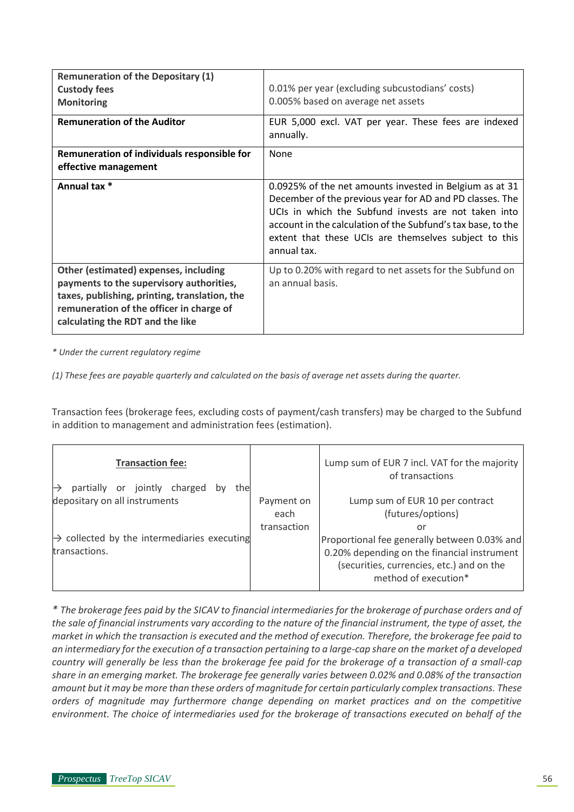| <b>Remuneration of the Depositary (1)</b><br><b>Custody fees</b><br><b>Monitoring</b>                                                                                                                              | 0.01% per year (excluding subcustodians' costs)<br>0.005% based on average net assets                                                                                                                                                                                                                               |
|--------------------------------------------------------------------------------------------------------------------------------------------------------------------------------------------------------------------|---------------------------------------------------------------------------------------------------------------------------------------------------------------------------------------------------------------------------------------------------------------------------------------------------------------------|
| <b>Remuneration of the Auditor</b>                                                                                                                                                                                 | EUR 5,000 excl. VAT per year. These fees are indexed<br>annually.                                                                                                                                                                                                                                                   |
| Remuneration of individuals responsible for                                                                                                                                                                        | None                                                                                                                                                                                                                                                                                                                |
| effective management                                                                                                                                                                                               |                                                                                                                                                                                                                                                                                                                     |
| Annual tax *                                                                                                                                                                                                       | 0.0925% of the net amounts invested in Belgium as at 31<br>December of the previous year for AD and PD classes. The<br>UCIs in which the Subfund invests are not taken into<br>account in the calculation of the Subfund's tax base, to the<br>extent that these UCIs are themselves subject to this<br>annual tax. |
| Other (estimated) expenses, including<br>payments to the supervisory authorities,<br>taxes, publishing, printing, translation, the<br>remuneration of the officer in charge of<br>calculating the RDT and the like | Up to 0.20% with regard to net assets for the Subfund on<br>an annual basis.                                                                                                                                                                                                                                        |

*\* Under the current regulatory regime*

*(1) These fees are payable quarterly and calculated on the basis of average net assets during the quarter.*

Transaction fees (brokerage fees, excluding costs of payment/cash transfers) may be charged to the Subfund in addition to management and administration fees (estimation).

| <b>Transaction fee:</b><br>partially or jointly charged<br>the           |                                   | Lump sum of EUR 7 incl. VAT for the majority<br>of transactions                                                                                                  |
|--------------------------------------------------------------------------|-----------------------------------|------------------------------------------------------------------------------------------------------------------------------------------------------------------|
| depositary on all instruments                                            | Payment on<br>each<br>transaction | Lump sum of EUR 10 per contract<br>(futures/options)<br>or                                                                                                       |
| $\rightarrow$ collected by the intermediaries executing<br>transactions. |                                   | Proportional fee generally between 0.03% and<br>0.20% depending on the financial instrument<br>(securities, currencies, etc.) and on the<br>method of execution* |

*\* The brokerage fees paid by the SICAV to financial intermediaries for the brokerage of purchase orders and of the sale of financial instruments vary according to the nature of the financial instrument, the type of asset, the market in which the transaction is executed and the method of execution. Therefore, the brokerage fee paid to an intermediary for the execution of a transaction pertaining to a large-cap share on the market of a developed country will generally be less than the brokerage fee paid for the brokerage of a transaction of a small-cap share in an emerging market. The brokerage fee generally varies between 0.02% and 0.08% of the transaction amount but it may be more than these orders of magnitude for certain particularly complex transactions. These orders of magnitude may furthermore change depending on market practices and on the competitive environment. The choice of intermediaries used for the brokerage of transactions executed on behalf of the*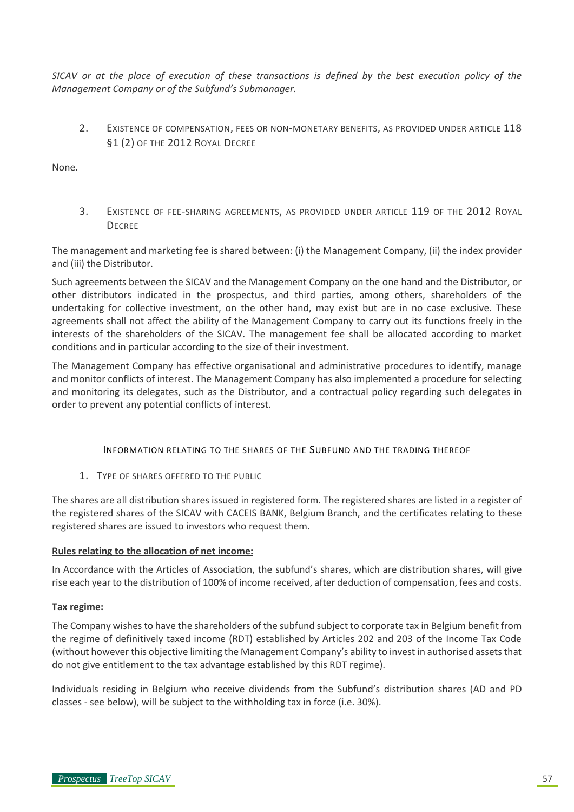*SICAV or at the place of execution of these transactions is defined by the best execution policy of the Management Company or of the Subfund's Submanager.*

2. EXISTENCE OF COMPENSATION, FEES OR NON-MONETARY BENEFITS, AS PROVIDED UNDER ARTICLE 118 §1 (2) OF THE 2012 ROYAL DECREE

None.

3. EXISTENCE OF FEE-SHARING AGREEMENTS, AS PROVIDED UNDER ARTICLE 119 OF THE 2012 ROYAL **DECREE** 

The management and marketing fee is shared between: (i) the Management Company, (ii) the index provider and (iii) the Distributor.

Such agreements between the SICAV and the Management Company on the one hand and the Distributor, or other distributors indicated in the prospectus, and third parties, among others, shareholders of the undertaking for collective investment, on the other hand, may exist but are in no case exclusive. These agreements shall not affect the ability of the Management Company to carry out its functions freely in the interests of the shareholders of the SICAV. The management fee shall be allocated according to market conditions and in particular according to the size of their investment.

The Management Company has effective organisational and administrative procedures to identify, manage and monitor conflicts of interest. The Management Company has also implemented a procedure for selecting and monitoring its delegates, such as the Distributor, and a contractual policy regarding such delegates in order to prevent any potential conflicts of interest.

## INFORMATION RELATING TO THE SHARES OF THE SUBFUND AND THE TRADING THEREOF

1. TYPE OF SHARES OFFERED TO THE PUBLIC

The shares are all distribution shares issued in registered form. The registered shares are listed in a register of the registered shares of the SICAV with CACEIS BANK, Belgium Branch, and the certificates relating to these registered shares are issued to investors who request them.

#### **Rules relating to the allocation of net income:**

In Accordance with the Articles of Association, the subfund's shares, which are distribution shares, will give rise each year to the distribution of 100% of income received, after deduction of compensation, fees and costs.

## **Tax regime:**

The Company wishes to have the shareholders of the subfund subject to corporate tax in Belgium benefit from the regime of definitively taxed income (RDT) established by Articles 202 and 203 of the Income Tax Code (without however this objective limiting the Management Company's ability to invest in authorised assets that do not give entitlement to the tax advantage established by this RDT regime).

Individuals residing in Belgium who receive dividends from the Subfund's distribution shares (AD and PD classes - see below), will be subject to the withholding tax in force (i.e. 30%).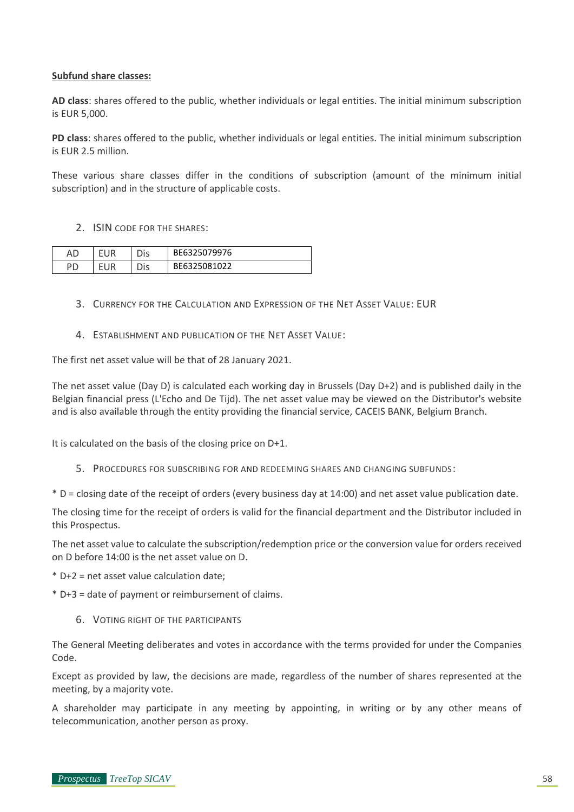#### **Subfund share classes:**

**AD class**: shares offered to the public, whether individuals or legal entities. The initial minimum subscription is EUR 5,000.

**PD class**: shares offered to the public, whether individuals or legal entities. The initial minimum subscription is EUR 2.5 million.

These various share classes differ in the conditions of subscription (amount of the minimum initial subscription) and in the structure of applicable costs.

2. ISIN CODE FOR THE SHARES:

| AL | λıs | BE6325079976 |
|----|-----|--------------|
|    | Dis | BE6325081022 |

- 3. CURRENCY FOR THE CALCULATION AND EXPRESSION OF THE NET ASSET VALUE: EUR
- 4. ESTABLISHMENT AND PUBLICATION OF THE NET ASSET VALUE:

The first net asset value will be that of 28 January 2021.

The net asset value (Day D) is calculated each working day in Brussels (Day D+2) and is published daily in the Belgian financial press (L'Echo and De Tijd). The net asset value may be viewed on the Distributor's website and is also available through the entity providing the financial service, CACEIS BANK, Belgium Branch.

It is calculated on the basis of the closing price on D+1.

5. PROCEDURES FOR SUBSCRIBING FOR AND REDEEMING SHARES AND CHANGING SUBFUNDS:

\* D = closing date of the receipt of orders (every business day at 14:00) and net asset value publication date.

The closing time for the receipt of orders is valid for the financial department and the Distributor included in this Prospectus.

The net asset value to calculate the subscription/redemption price or the conversion value for orders received on D before 14:00 is the net asset value on D.

\* D+2 = net asset value calculation date;

\* D+3 = date of payment or reimbursement of claims.

6. VOTING RIGHT OF THE PARTICIPANTS

The General Meeting deliberates and votes in accordance with the terms provided for under the Companies Code.

Except as provided by law, the decisions are made, regardless of the number of shares represented at the meeting, by a majority vote.

A shareholder may participate in any meeting by appointing, in writing or by any other means of telecommunication, another person as proxy.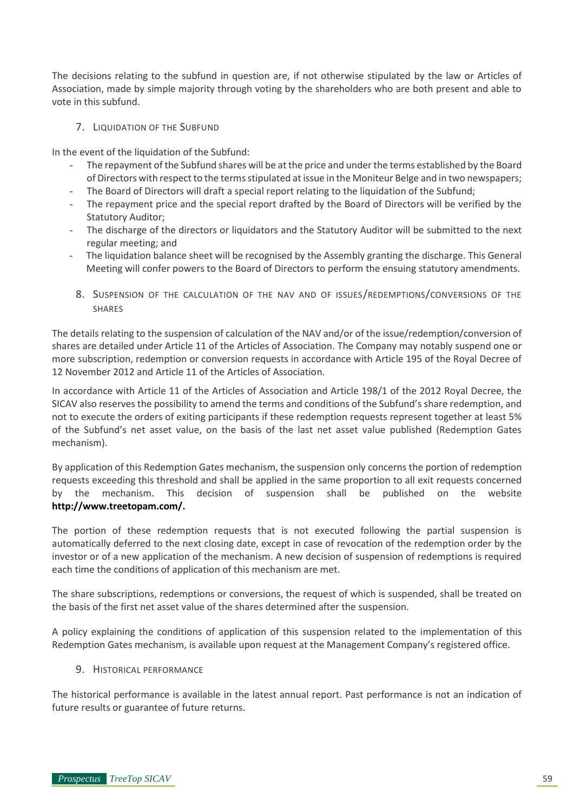The decisions relating to the subfund in question are, if not otherwise stipulated by the law or Articles of Association, made by simple majority through voting by the shareholders who are both present and able to vote in this subfund.

#### 7. LIQUIDATION OF THE SUBFUND

In the event of the liquidation of the Subfund:

- The repayment of the Subfund shares will be at the price and under the terms established by the Board of Directors with respect to the terms stipulated at issue in the Moniteur Belge and in two newspapers;
- The Board of Directors will draft a special report relating to the liquidation of the Subfund;
- The repayment price and the special report drafted by the Board of Directors will be verified by the Statutory Auditor;
- The discharge of the directors or liquidators and the Statutory Auditor will be submitted to the next regular meeting; and
- The liquidation balance sheet will be recognised by the Assembly granting the discharge. This General Meeting will confer powers to the Board of Directors to perform the ensuing statutory amendments.
- 8. SUSPENSION OF THE CALCULATION OF THE NAV AND OF ISSUES/REDEMPTIONS/CONVERSIONS OF THE SHARES

The details relating to the suspension of calculation of the NAV and/or of the issue/redemption/conversion of shares are detailed under Article 11 of the Articles of Association. The Company may notably suspend one or more subscription, redemption or conversion requests in accordance with Article 195 of the Royal Decree of 12 November 2012 and Article 11 of the Articles of Association.

In accordance with Article 11 of the Articles of Association and Article 198/1 of the 2012 Royal Decree, the SICAV also reserves the possibility to amend the terms and conditions of the Subfund's share redemption, and not to execute the orders of exiting participants if these redemption requests represent together at least 5% of the Subfund's net asset value, on the basis of the last net asset value published (Redemption Gates mechanism).

By application of this Redemption Gates mechanism, the suspension only concerns the portion of redemption requests exceeding this threshold and shall be applied in the same proportion to all exit requests concerned by the mechanism. This decision of suspension shall be published on the website **[http://www.treetopam.com/.](http://www.treetopam.com/)**

The portion of these redemption requests that is not executed following the partial suspension is automatically deferred to the next closing date, except in case of revocation of the redemption order by the investor or of a new application of the mechanism. A new decision of suspension of redemptions is required each time the conditions of application of this mechanism are met.

The share subscriptions, redemptions or conversions, the request of which is suspended, shall be treated on the basis of the first net asset value of the shares determined after the suspension.

A policy explaining the conditions of application of this suspension related to the implementation of this Redemption Gates mechanism, is available upon request at the Management Company's registered office.

#### 9. HISTORICAL PERFORMANCE

The historical performance is available in the latest annual report. Past performance is not an indication of future results or guarantee of future returns.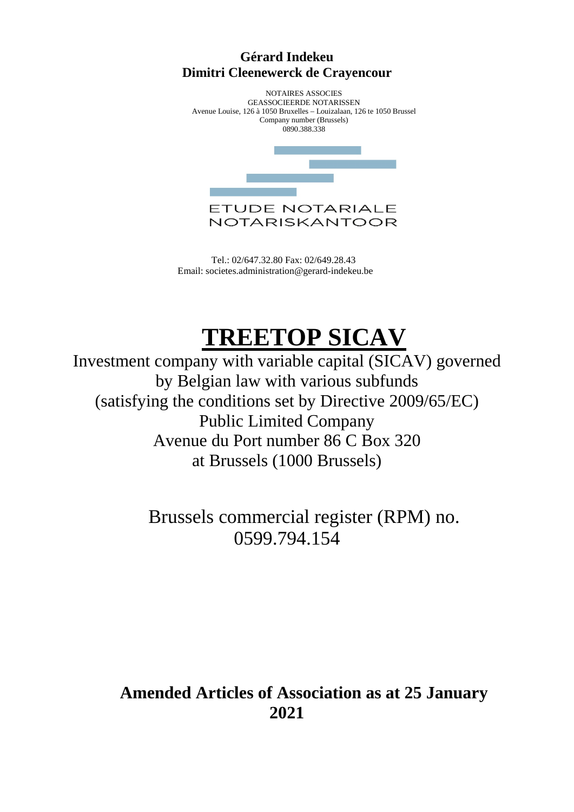# **Gérard Indekeu Dimitri Cleenewerck de Crayencour**

NOTAIRES ASSOCIES GEASSOCIEERDE NOTARISSEN Avenue Louise, 126 à 1050 Bruxelles – Louizalaan, 126 te 1050 Brussel Company number (Brussels) 0890.388.338



 Tel.: 02/647.32.80 Fax: 02/649.28.43 Email: societes.administration@gerard-indekeu.be

# **TREETOP SICAV**

Investment company with variable capital (SICAV) governed by Belgian law with various subfunds (satisfying the conditions set by Directive 2009/65/EC) Public Limited Company Avenue du Port number 86 C Box 320 at Brussels (1000 Brussels)

> Brussels commercial register (RPM) no. 0599.794.154

# **Amended Articles of Association as at 25 January 2021**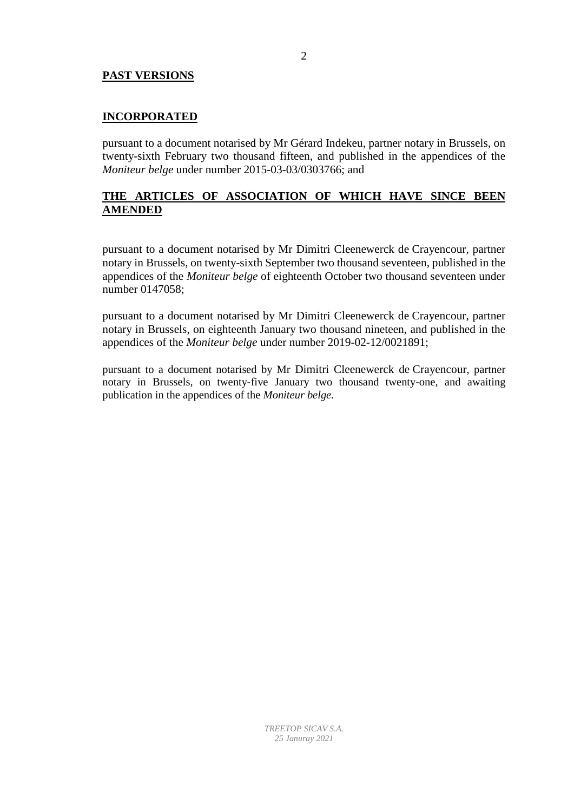## **PAST VERSIONS**

## **INCORPORATED**

pursuant to a document notarised by Mr Gérard Indekeu, partner notary in Brussels, on twenty-sixth February two thousand fifteen, and published in the appendices of the *Moniteur belge* under number 2015-03-03/0303766; and

## **THE ARTICLES OF ASSOCIATION OF WHICH HAVE SINCE BEEN AMENDED**

pursuant to a document notarised by Mr Dimitri Cleenewerck de Crayencour, partner notary in Brussels, on twenty-sixth September two thousand seventeen, published in the appendices of the *Moniteur belge* of eighteenth October two thousand seventeen under number 0147058;

pursuant to a document notarised by Mr Dimitri Cleenewerck de Crayencour, partner notary in Brussels, on eighteenth January two thousand nineteen, and published in the appendices of the *Moniteur belge* under number 2019-02-12/0021891;

pursuant to a document notarised by Mr Dimitri Cleenewerck de Crayencour, partner notary in Brussels, on twenty-five January two thousand twenty-one, and awaiting publication in the appendices of the *Moniteur belge.*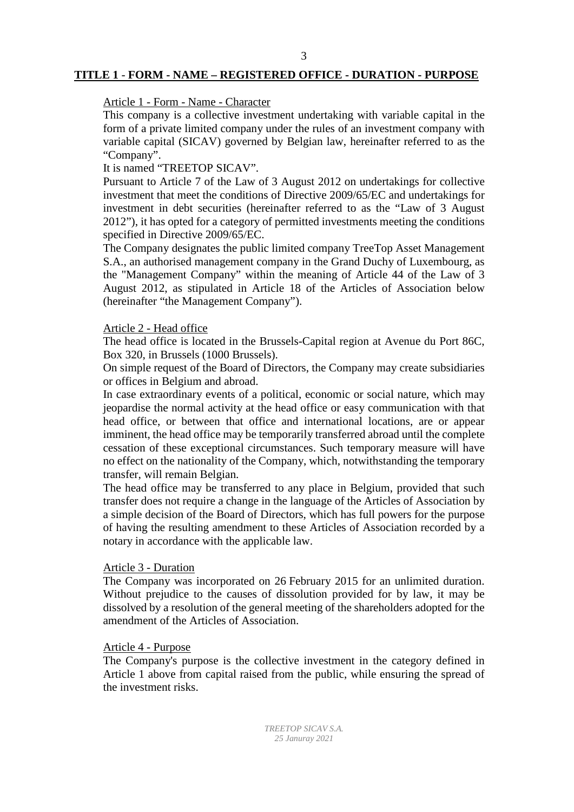# **TITLE 1** - **FORM - NAME – REGISTERED OFFICE - DURATION - PURPOSE**

## Article 1 - Form - Name - Character

This company is a collective investment undertaking with variable capital in the form of a private limited company under the rules of an investment company with variable capital (SICAV) governed by Belgian law, hereinafter referred to as the "Company".

## It is named "TREETOP SICAV".

Pursuant to Article 7 of the Law of 3 August 2012 on undertakings for collective investment that meet the conditions of Directive 2009/65/EC and undertakings for investment in debt securities (hereinafter referred to as the "Law of 3 August 2012"), it has opted for a category of permitted investments meeting the conditions specified in Directive 2009/65/EC.

The Company designates the public limited company TreeTop Asset Management S.A., an authorised management company in the Grand Duchy of Luxembourg, as the "Management Company" within the meaning of Article 44 of the Law of 3 August 2012, as stipulated in Article 18 of the Articles of Association below (hereinafter "the Management Company").

#### Article 2 - Head office

The head office is located in the Brussels-Capital region at Avenue du Port 86C, Box 320, in Brussels (1000 Brussels).

On simple request of the Board of Directors, the Company may create subsidiaries or offices in Belgium and abroad.

In case extraordinary events of a political, economic or social nature, which may jeopardise the normal activity at the head office or easy communication with that head office, or between that office and international locations, are or appear imminent, the head office may be temporarily transferred abroad until the complete cessation of these exceptional circumstances. Such temporary measure will have no effect on the nationality of the Company, which, notwithstanding the temporary transfer, will remain Belgian.

The head office may be transferred to any place in Belgium, provided that such transfer does not require a change in the language of the Articles of Association by a simple decision of the Board of Directors, which has full powers for the purpose of having the resulting amendment to these Articles of Association recorded by a notary in accordance with the applicable law.

#### Article 3 - Duration

The Company was incorporated on 26 February 2015 for an unlimited duration. Without prejudice to the causes of dissolution provided for by law, it may be dissolved by a resolution of the general meeting of the shareholders adopted for the amendment of the Articles of Association.

## Article 4 - Purpose

The Company's purpose is the collective investment in the category defined in Article 1 above from capital raised from the public, while ensuring the spread of the investment risks.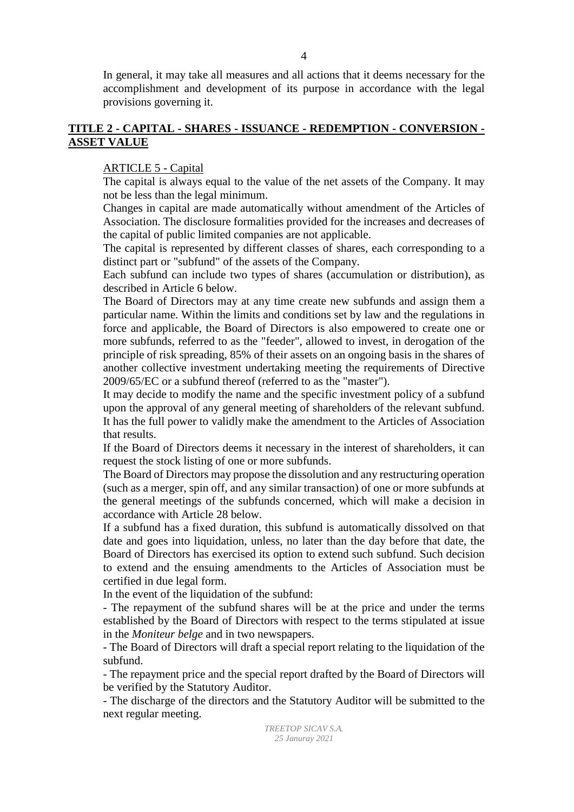In general, it may take all measures and all actions that it deems necessary for the accomplishment and development of its purpose in accordance with the legal provisions governing it.

## **TITLE 2 - CAPITAL - SHARES - ISSUANCE - REDEMPTION - CONVERSION - ASSET VALUE**

## ARTICLE 5 - Capital

The capital is always equal to the value of the net assets of the Company. It may not be less than the legal minimum.

Changes in capital are made automatically without amendment of the Articles of Association. The disclosure formalities provided for the increases and decreases of the capital of public limited companies are not applicable.

The capital is represented by different classes of shares, each corresponding to a distinct part or "subfund" of the assets of the Company.

Each subfund can include two types of shares (accumulation or distribution), as described in Article 6 below.

The Board of Directors may at any time create new subfunds and assign them a particular name. Within the limits and conditions set by law and the regulations in force and applicable, the Board of Directors is also empowered to create one or more subfunds, referred to as the "feeder", allowed to invest, in derogation of the principle of risk spreading, 85% of their assets on an ongoing basis in the shares of another collective investment undertaking meeting the requirements of Directive 2009/65/EC or a subfund thereof (referred to as the "master").

It may decide to modify the name and the specific investment policy of a subfund upon the approval of any general meeting of shareholders of the relevant subfund. It has the full power to validly make the amendment to the Articles of Association that results.

If the Board of Directors deems it necessary in the interest of shareholders, it can request the stock listing of one or more subfunds.

The Board of Directors may propose the dissolution and any restructuring operation (such as a merger, spin off, and any similar transaction) of one or more subfunds at the general meetings of the subfunds concerned, which will make a decision in accordance with Article 28 below.

If a subfund has a fixed duration, this subfund is automatically dissolved on that date and goes into liquidation, unless, no later than the day before that date, the Board of Directors has exercised its option to extend such subfund. Such decision to extend and the ensuing amendments to the Articles of Association must be certified in due legal form.

In the event of the liquidation of the subfund:

- The repayment of the subfund shares will be at the price and under the terms established by the Board of Directors with respect to the terms stipulated at issue in the *Moniteur belge* and in two newspapers.

- The Board of Directors will draft a special report relating to the liquidation of the subfund.

- The repayment price and the special report drafted by the Board of Directors will be verified by the Statutory Auditor.

- The discharge of the directors and the Statutory Auditor will be submitted to the next regular meeting.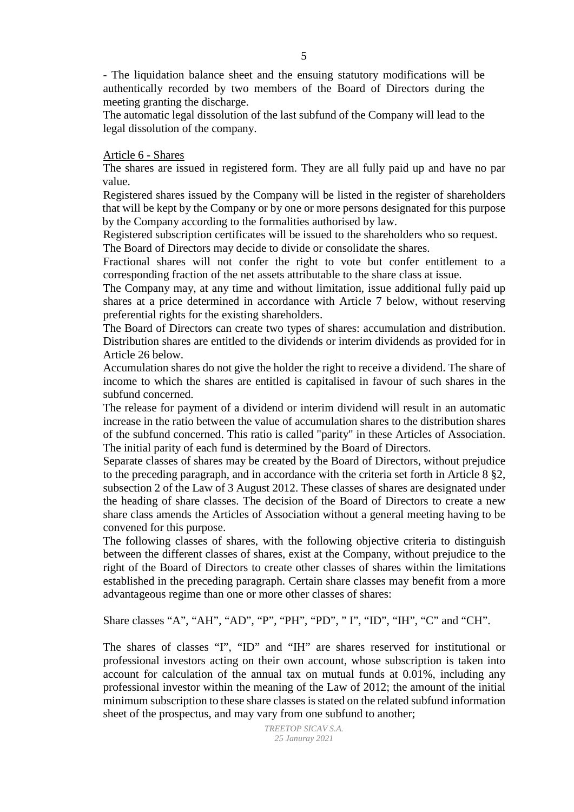- The liquidation balance sheet and the ensuing statutory modifications will be authentically recorded by two members of the Board of Directors during the meeting granting the discharge.

The automatic legal dissolution of the last subfund of the Company will lead to the legal dissolution of the company.

#### Article 6 - Shares

The shares are issued in registered form. They are all fully paid up and have no par value.

Registered shares issued by the Company will be listed in the register of shareholders that will be kept by the Company or by one or more persons designated for this purpose by the Company according to the formalities authorised by law.

Registered subscription certificates will be issued to the shareholders who so request. The Board of Directors may decide to divide or consolidate the shares.

Fractional shares will not confer the right to vote but confer entitlement to a corresponding fraction of the net assets attributable to the share class at issue.

The Company may, at any time and without limitation, issue additional fully paid up shares at a price determined in accordance with Article 7 below, without reserving preferential rights for the existing shareholders.

The Board of Directors can create two types of shares: accumulation and distribution. Distribution shares are entitled to the dividends or interim dividends as provided for in Article 26 below.

Accumulation shares do not give the holder the right to receive a dividend. The share of income to which the shares are entitled is capitalised in favour of such shares in the subfund concerned.

The release for payment of a dividend or interim dividend will result in an automatic increase in the ratio between the value of accumulation shares to the distribution shares of the subfund concerned. This ratio is called "parity" in these Articles of Association. The initial parity of each fund is determined by the Board of Directors.

Separate classes of shares may be created by the Board of Directors, without prejudice to the preceding paragraph, and in accordance with the criteria set forth in Article 8 §2, subsection 2 of the Law of 3 August 2012. These classes of shares are designated under the heading of share classes. The decision of the Board of Directors to create a new share class amends the Articles of Association without a general meeting having to be convened for this purpose.

The following classes of shares, with the following objective criteria to distinguish between the different classes of shares, exist at the Company, without prejudice to the right of the Board of Directors to create other classes of shares within the limitations established in the preceding paragraph. Certain share classes may benefit from a more advantageous regime than one or more other classes of shares:

Share classes "A", "AH", "AD", "P", "PH", "PD", " I", "ID", "IH", "C" and "CH".

The shares of classes "I", "ID" and "IH" are shares reserved for institutional or professional investors acting on their own account, whose subscription is taken into account for calculation of the annual tax on mutual funds at 0.01%, including any professional investor within the meaning of the Law of 2012; the amount of the initial minimum subscription to these share classes is stated on the related subfund information sheet of the prospectus, and may vary from one subfund to another;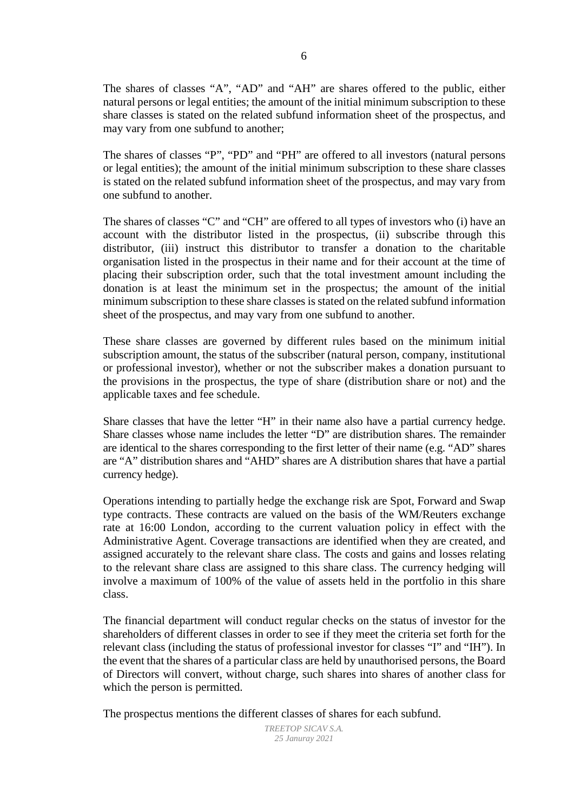The shares of classes "A", "AD" and "AH" are shares offered to the public, either natural persons or legal entities; the amount of the initial minimum subscription to these share classes is stated on the related subfund information sheet of the prospectus, and may vary from one subfund to another;

The shares of classes "P", "PD" and "PH" are offered to all investors (natural persons or legal entities); the amount of the initial minimum subscription to these share classes is stated on the related subfund information sheet of the prospectus, and may vary from one subfund to another.

The shares of classes "C" and "CH" are offered to all types of investors who (i) have an account with the distributor listed in the prospectus, (ii) subscribe through this distributor, (iii) instruct this distributor to transfer a donation to the charitable organisation listed in the prospectus in their name and for their account at the time of placing their subscription order, such that the total investment amount including the donation is at least the minimum set in the prospectus; the amount of the initial minimum subscription to these share classes is stated on the related subfund information sheet of the prospectus, and may vary from one subfund to another.

These share classes are governed by different rules based on the minimum initial subscription amount, the status of the subscriber (natural person, company, institutional or professional investor), whether or not the subscriber makes a donation pursuant to the provisions in the prospectus, the type of share (distribution share or not) and the applicable taxes and fee schedule.

Share classes that have the letter "H" in their name also have a partial currency hedge. Share classes whose name includes the letter "D" are distribution shares. The remainder are identical to the shares corresponding to the first letter of their name (e.g. "AD" shares are "A" distribution shares and "AHD" shares are A distribution shares that have a partial currency hedge).

Operations intending to partially hedge the exchange risk are Spot, Forward and Swap type contracts. These contracts are valued on the basis of the WM/Reuters exchange rate at 16:00 London, according to the current valuation policy in effect with the Administrative Agent. Coverage transactions are identified when they are created, and assigned accurately to the relevant share class. The costs and gains and losses relating to the relevant share class are assigned to this share class. The currency hedging will involve a maximum of 100% of the value of assets held in the portfolio in this share class.

The financial department will conduct regular checks on the status of investor for the shareholders of different classes in order to see if they meet the criteria set forth for the relevant class (including the status of professional investor for classes "I" and "IH"). In the event that the shares of a particular class are held by unauthorised persons, the Board of Directors will convert, without charge, such shares into shares of another class for which the person is permitted.

The prospectus mentions the different classes of shares for each subfund.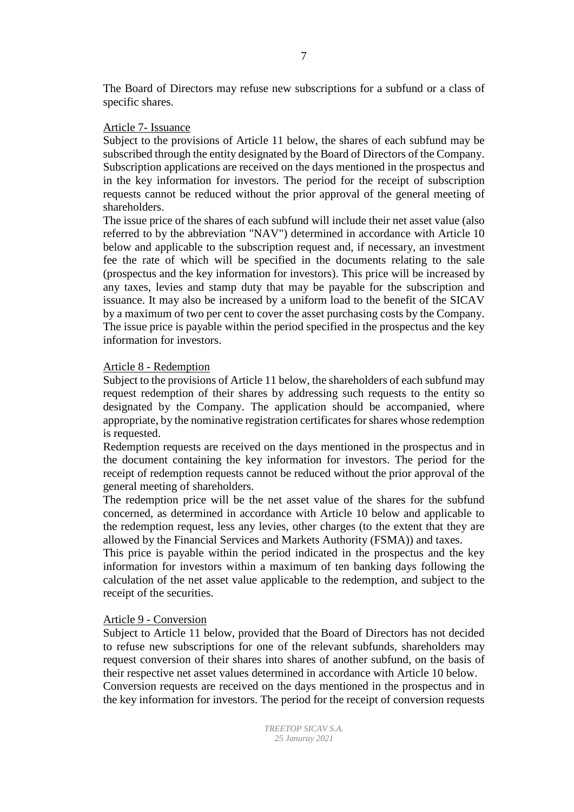The Board of Directors may refuse new subscriptions for a subfund or a class of specific shares.

## Article 7- Issuance

Subject to the provisions of Article 11 below, the shares of each subfund may be subscribed through the entity designated by the Board of Directors of the Company. Subscription applications are received on the days mentioned in the prospectus and in the key information for investors. The period for the receipt of subscription requests cannot be reduced without the prior approval of the general meeting of shareholders.

The issue price of the shares of each subfund will include their net asset value (also referred to by the abbreviation "NAV") determined in accordance with Article 10 below and applicable to the subscription request and, if necessary, an investment fee the rate of which will be specified in the documents relating to the sale (prospectus and the key information for investors). This price will be increased by any taxes, levies and stamp duty that may be payable for the subscription and issuance. It may also be increased by a uniform load to the benefit of the SICAV by a maximum of two per cent to cover the asset purchasing costs by the Company. The issue price is payable within the period specified in the prospectus and the key information for investors.

#### Article 8 - Redemption

Subject to the provisions of Article 11 below, the shareholders of each subfund may request redemption of their shares by addressing such requests to the entity so designated by the Company. The application should be accompanied, where appropriate, by the nominative registration certificates for shares whose redemption is requested.

Redemption requests are received on the days mentioned in the prospectus and in the document containing the key information for investors. The period for the receipt of redemption requests cannot be reduced without the prior approval of the general meeting of shareholders.

The redemption price will be the net asset value of the shares for the subfund concerned, as determined in accordance with Article 10 below and applicable to the redemption request, less any levies, other charges (to the extent that they are allowed by the Financial Services and Markets Authority (FSMA)) and taxes.

This price is payable within the period indicated in the prospectus and the key information for investors within a maximum of ten banking days following the calculation of the net asset value applicable to the redemption, and subject to the receipt of the securities.

#### Article 9 - Conversion

Subject to Article 11 below, provided that the Board of Directors has not decided to refuse new subscriptions for one of the relevant subfunds, shareholders may request conversion of their shares into shares of another subfund, on the basis of their respective net asset values determined in accordance with Article 10 below. Conversion requests are received on the days mentioned in the prospectus and in the key information for investors. The period for the receipt of conversion requests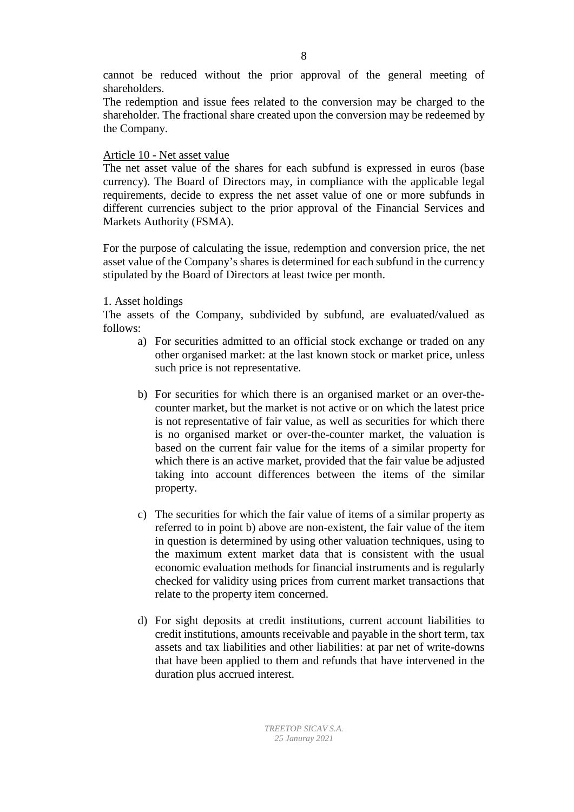cannot be reduced without the prior approval of the general meeting of shareholders.

The redemption and issue fees related to the conversion may be charged to the shareholder. The fractional share created upon the conversion may be redeemed by the Company.

## Article 10 - Net asset value

The net asset value of the shares for each subfund is expressed in euros (base currency). The Board of Directors may, in compliance with the applicable legal requirements, decide to express the net asset value of one or more subfunds in different currencies subject to the prior approval of the Financial Services and Markets Authority (FSMA).

For the purpose of calculating the issue, redemption and conversion price, the net asset value of the Company's shares is determined for each subfund in the currency stipulated by the Board of Directors at least twice per month.

## 1. Asset holdings

The assets of the Company, subdivided by subfund, are evaluated/valued as follows:

- a) For securities admitted to an official stock exchange or traded on any other organised market: at the last known stock or market price, unless such price is not representative.
- b) For securities for which there is an organised market or an over-thecounter market, but the market is not active or on which the latest price is not representative of fair value, as well as securities for which there is no organised market or over-the-counter market, the valuation is based on the current fair value for the items of a similar property for which there is an active market, provided that the fair value be adjusted taking into account differences between the items of the similar property.
- c) The securities for which the fair value of items of a similar property as referred to in point b) above are non-existent, the fair value of the item in question is determined by using other valuation techniques, using to the maximum extent market data that is consistent with the usual economic evaluation methods for financial instruments and is regularly checked for validity using prices from current market transactions that relate to the property item concerned.
- d) For sight deposits at credit institutions, current account liabilities to credit institutions, amounts receivable and payable in the short term, tax assets and tax liabilities and other liabilities: at par net of write-downs that have been applied to them and refunds that have intervened in the duration plus accrued interest.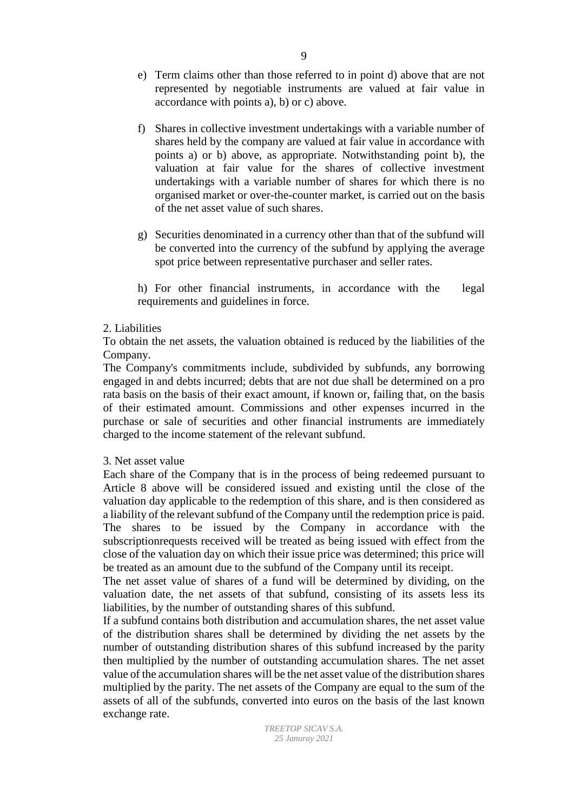- f) Shares in collective investment undertakings with a variable number of shares held by the company are valued at fair value in accordance with points a) or b) above, as appropriate. Notwithstanding point b), the valuation at fair value for the shares of collective investment undertakings with a variable number of shares for which there is no organised market or over-the-counter market, is carried out on the basis of the net asset value of such shares.
- g) Securities denominated in a currency other than that of the subfund will be converted into the currency of the subfund by applying the average spot price between representative purchaser and seller rates.

h) For other financial instruments, in accordance with the legal requirements and guidelines in force.

## 2. Liabilities

To obtain the net assets, the valuation obtained is reduced by the liabilities of the Company.

The Company's commitments include, subdivided by subfunds, any borrowing engaged in and debts incurred; debts that are not due shall be determined on a pro rata basis on the basis of their exact amount, if known or, failing that, on the basis of their estimated amount. Commissions and other expenses incurred in the purchase or sale of securities and other financial instruments are immediately charged to the income statement of the relevant subfund.

## 3. Net asset value

Each share of the Company that is in the process of being redeemed pursuant to Article 8 above will be considered issued and existing until the close of the valuation day applicable to the redemption of this share, and is then considered as a liability of the relevant subfund of the Company until the redemption price is paid. The shares to be issued by the Company in accordance with the subscriptionrequests received will be treated as being issued with effect from the close of the valuation day on which their issue price was determined; this price will be treated as an amount due to the subfund of the Company until its receipt.

The net asset value of shares of a fund will be determined by dividing, on the valuation date, the net assets of that subfund, consisting of its assets less its liabilities, by the number of outstanding shares of this subfund.

If a subfund contains both distribution and accumulation shares, the net asset value of the distribution shares shall be determined by dividing the net assets by the number of outstanding distribution shares of this subfund increased by the parity then multiplied by the number of outstanding accumulation shares. The net asset value of the accumulation shares will be the net asset value of the distribution shares multiplied by the parity. The net assets of the Company are equal to the sum of the assets of all of the subfunds, converted into euros on the basis of the last known exchange rate.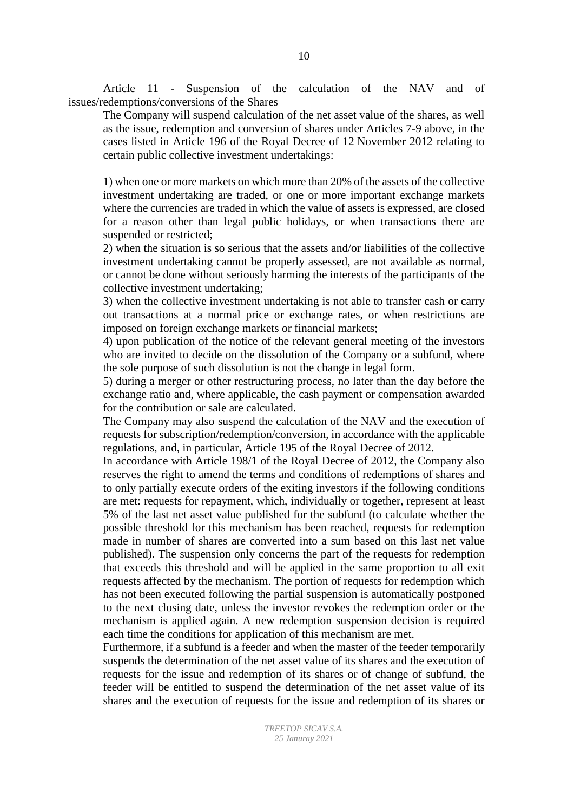Article 11 - Suspension of the calculation of the NAV and of issues/redemptions/conversions of the Shares

The Company will suspend calculation of the net asset value of the shares, as well as the issue, redemption and conversion of shares under Articles 7-9 above, in the cases listed in Article 196 of the Royal Decree of 12 November 2012 relating to certain public collective investment undertakings:

1) when one or more markets on which more than 20% of the assets of the collective investment undertaking are traded, or one or more important exchange markets where the currencies are traded in which the value of assets is expressed, are closed for a reason other than legal public holidays, or when transactions there are suspended or restricted;

2) when the situation is so serious that the assets and/or liabilities of the collective investment undertaking cannot be properly assessed, are not available as normal, or cannot be done without seriously harming the interests of the participants of the collective investment undertaking;

3) when the collective investment undertaking is not able to transfer cash or carry out transactions at a normal price or exchange rates, or when restrictions are imposed on foreign exchange markets or financial markets;

4) upon publication of the notice of the relevant general meeting of the investors who are invited to decide on the dissolution of the Company or a subfund, where the sole purpose of such dissolution is not the change in legal form.

5) during a merger or other restructuring process, no later than the day before the exchange ratio and, where applicable, the cash payment or compensation awarded for the contribution or sale are calculated.

The Company may also suspend the calculation of the NAV and the execution of requests for subscription/redemption/conversion, in accordance with the applicable regulations, and, in particular, Article 195 of the Royal Decree of 2012.

In accordance with Article 198/1 of the Royal Decree of 2012, the Company also reserves the right to amend the terms and conditions of redemptions of shares and to only partially execute orders of the exiting investors if the following conditions are met: requests for repayment, which, individually or together, represent at least 5% of the last net asset value published for the subfund (to calculate whether the possible threshold for this mechanism has been reached, requests for redemption made in number of shares are converted into a sum based on this last net value published). The suspension only concerns the part of the requests for redemption that exceeds this threshold and will be applied in the same proportion to all exit requests affected by the mechanism. The portion of requests for redemption which has not been executed following the partial suspension is automatically postponed to the next closing date, unless the investor revokes the redemption order or the mechanism is applied again. A new redemption suspension decision is required each time the conditions for application of this mechanism are met.

Furthermore, if a subfund is a feeder and when the master of the feeder temporarily suspends the determination of the net asset value of its shares and the execution of requests for the issue and redemption of its shares or of change of subfund, the feeder will be entitled to suspend the determination of the net asset value of its shares and the execution of requests for the issue and redemption of its shares or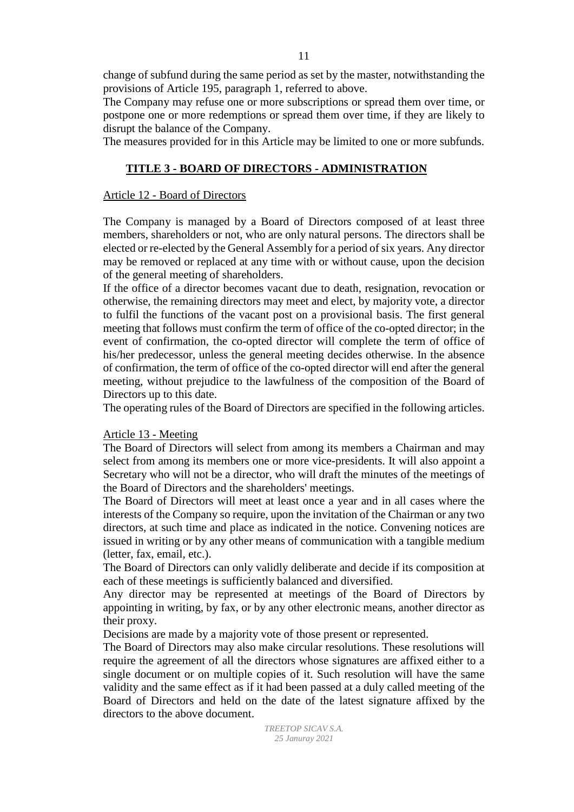change of subfund during the same period as set by the master, notwithstanding the provisions of Article 195, paragraph 1, referred to above.

The Company may refuse one or more subscriptions or spread them over time, or postpone one or more redemptions or spread them over time, if they are likely to disrupt the balance of the Company.

The measures provided for in this Article may be limited to one or more subfunds.

## **TITLE 3 - BOARD OF DIRECTORS - ADMINISTRATION**

#### Article 12 - Board of Directors

The Company is managed by a Board of Directors composed of at least three members, shareholders or not, who are only natural persons. The directors shall be elected or re-elected by the General Assembly for a period of six years. Any director may be removed or replaced at any time with or without cause, upon the decision of the general meeting of shareholders.

If the office of a director becomes vacant due to death, resignation, revocation or otherwise, the remaining directors may meet and elect, by majority vote, a director to fulfil the functions of the vacant post on a provisional basis. The first general meeting that follows must confirm the term of office of the co-opted director; in the event of confirmation, the co-opted director will complete the term of office of his/her predecessor, unless the general meeting decides otherwise. In the absence of confirmation, the term of office of the co-opted director will end after the general meeting, without prejudice to the lawfulness of the composition of the Board of Directors up to this date.

The operating rules of the Board of Directors are specified in the following articles.

#### Article 13 - Meeting

The Board of Directors will select from among its members a Chairman and may select from among its members one or more vice-presidents. It will also appoint a Secretary who will not be a director, who will draft the minutes of the meetings of the Board of Directors and the shareholders' meetings.

The Board of Directors will meet at least once a year and in all cases where the interests of the Company so require, upon the invitation of the Chairman or any two directors, at such time and place as indicated in the notice. Convening notices are issued in writing or by any other means of communication with a tangible medium (letter, fax, email, etc.).

The Board of Directors can only validly deliberate and decide if its composition at each of these meetings is sufficiently balanced and diversified.

Any director may be represented at meetings of the Board of Directors by appointing in writing, by fax, or by any other electronic means, another director as their proxy.

Decisions are made by a majority vote of those present or represented.

The Board of Directors may also make circular resolutions. These resolutions will require the agreement of all the directors whose signatures are affixed either to a single document or on multiple copies of it. Such resolution will have the same validity and the same effect as if it had been passed at a duly called meeting of the Board of Directors and held on the date of the latest signature affixed by the directors to the above document.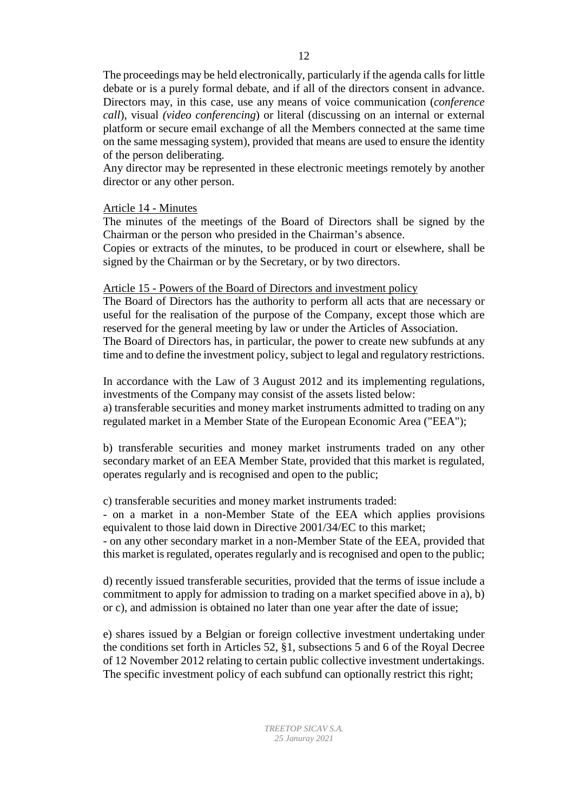The proceedings may be held electronically, particularly if the agenda calls for little debate or is a purely formal debate, and if all of the directors consent in advance. Directors may, in this case, use any means of voice communication (*conference call*), visual *(video conferencing*) or literal (discussing on an internal or external platform or secure email exchange of all the Members connected at the same time on the same messaging system), provided that means are used to ensure the identity of the person deliberating.

Any director may be represented in these electronic meetings remotely by another director or any other person.

## Article 14 - Minutes

The minutes of the meetings of the Board of Directors shall be signed by the Chairman or the person who presided in the Chairman's absence.

Copies or extracts of the minutes, to be produced in court or elsewhere, shall be signed by the Chairman or by the Secretary, or by two directors.

## Article 15 - Powers of the Board of Directors and investment policy

The Board of Directors has the authority to perform all acts that are necessary or useful for the realisation of the purpose of the Company, except those which are reserved for the general meeting by law or under the Articles of Association. The Board of Directors has, in particular, the power to create new subfunds at any time and to define the investment policy, subject to legal and regulatory restrictions.

In accordance with the Law of 3 August 2012 and its implementing regulations, investments of the Company may consist of the assets listed below:

a) transferable securities and money market instruments admitted to trading on any regulated market in a Member State of the European Economic Area ("EEA");

b) transferable securities and money market instruments traded on any other secondary market of an EEA Member State, provided that this market is regulated, operates regularly and is recognised and open to the public;

c) transferable securities and money market instruments traded:

- on a market in a non-Member State of the EEA which applies provisions equivalent to those laid down in Directive 2001/34/EC to this market;

- on any other secondary market in a non-Member State of the EEA, provided that this market is regulated, operates regularly and is recognised and open to the public;

d) recently issued transferable securities, provided that the terms of issue include a commitment to apply for admission to trading on a market specified above in a), b) or c), and admission is obtained no later than one year after the date of issue;

e) shares issued by a Belgian or foreign collective investment undertaking under the conditions set forth in Articles 52, §1, subsections 5 and 6 of the Royal Decree of 12 November 2012 relating to certain public collective investment undertakings. The specific investment policy of each subfund can optionally restrict this right;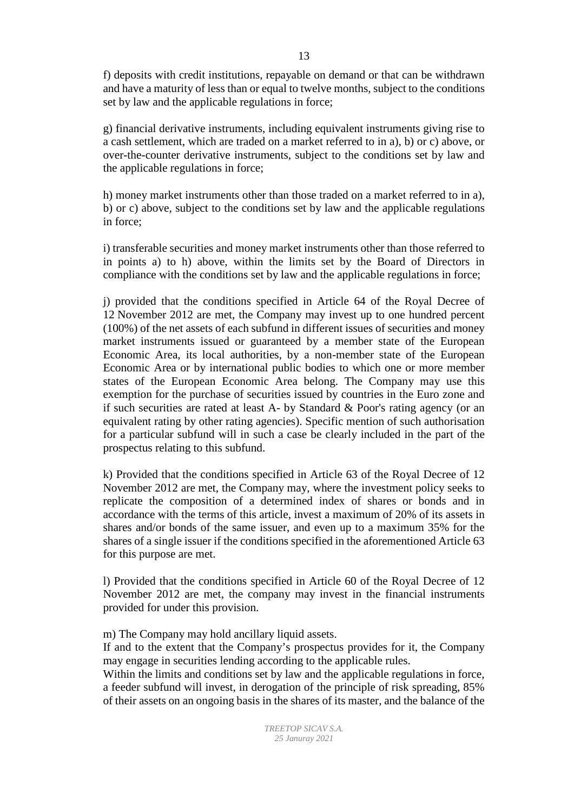f) deposits with credit institutions, repayable on demand or that can be withdrawn and have a maturity of less than or equal to twelve months, subject to the conditions set by law and the applicable regulations in force;

g) financial derivative instruments, including equivalent instruments giving rise to a cash settlement, which are traded on a market referred to in a), b) or c) above, or over-the-counter derivative instruments, subject to the conditions set by law and the applicable regulations in force;

h) money market instruments other than those traded on a market referred to in a), b) or c) above, subject to the conditions set by law and the applicable regulations in force;

i) transferable securities and money market instruments other than those referred to in points a) to h) above, within the limits set by the Board of Directors in compliance with the conditions set by law and the applicable regulations in force;

j) provided that the conditions specified in Article 64 of the Royal Decree of 12 November 2012 are met, the Company may invest up to one hundred percent (100%) of the net assets of each subfund in different issues of securities and money market instruments issued or guaranteed by a member state of the European Economic Area, its local authorities, by a non-member state of the European Economic Area or by international public bodies to which one or more member states of the European Economic Area belong. The Company may use this exemption for the purchase of securities issued by countries in the Euro zone and if such securities are rated at least A- by Standard & Poor's rating agency (or an equivalent rating by other rating agencies). Specific mention of such authorisation for a particular subfund will in such a case be clearly included in the part of the prospectus relating to this subfund.

k) Provided that the conditions specified in Article 63 of the Royal Decree of 12 November 2012 are met, the Company may, where the investment policy seeks to replicate the composition of a determined index of shares or bonds and in accordance with the terms of this article, invest a maximum of 20% of its assets in shares and/or bonds of the same issuer, and even up to a maximum 35% for the shares of a single issuer if the conditions specified in the aforementioned Article 63 for this purpose are met.

l) Provided that the conditions specified in Article 60 of the Royal Decree of 12 November 2012 are met, the company may invest in the financial instruments provided for under this provision.

m) The Company may hold ancillary liquid assets.

If and to the extent that the Company's prospectus provides for it, the Company may engage in securities lending according to the applicable rules.

Within the limits and conditions set by law and the applicable regulations in force, a feeder subfund will invest, in derogation of the principle of risk spreading, 85% of their assets on an ongoing basis in the shares of its master, and the balance of the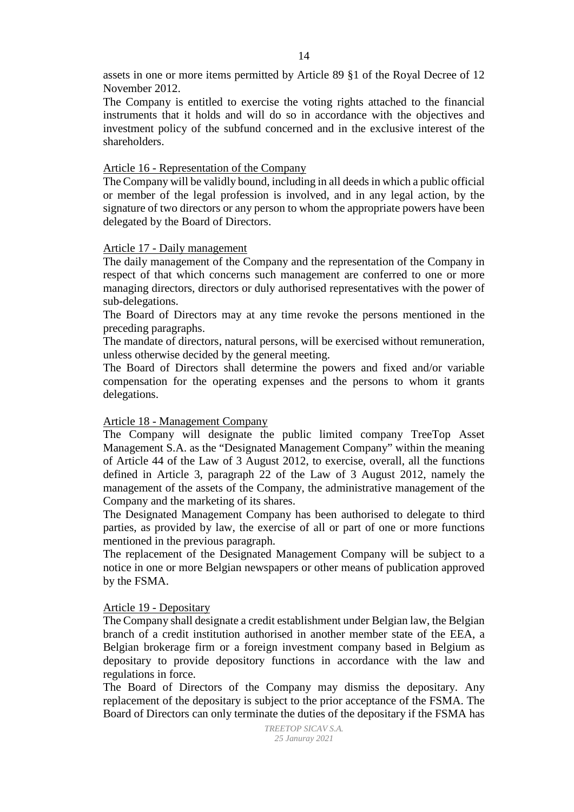assets in one or more items permitted by Article 89 §1 of the Royal Decree of 12 November 2012.

The Company is entitled to exercise the voting rights attached to the financial instruments that it holds and will do so in accordance with the objectives and investment policy of the subfund concerned and in the exclusive interest of the shareholders.

### Article 16 - Representation of the Company

The Company will be validly bound, including in all deeds in which a public official or member of the legal profession is involved, and in any legal action, by the signature of two directors or any person to whom the appropriate powers have been delegated by the Board of Directors.

### Article 17 - Daily management

The daily management of the Company and the representation of the Company in respect of that which concerns such management are conferred to one or more managing directors, directors or duly authorised representatives with the power of sub-delegations.

The Board of Directors may at any time revoke the persons mentioned in the preceding paragraphs.

The mandate of directors, natural persons, will be exercised without remuneration, unless otherwise decided by the general meeting.

The Board of Directors shall determine the powers and fixed and/or variable compensation for the operating expenses and the persons to whom it grants delegations.

# Article 18 - Management Company

The Company will designate the public limited company TreeTop Asset Management S.A. as the "Designated Management Company" within the meaning of Article 44 of the Law of 3 August 2012, to exercise, overall, all the functions defined in Article 3, paragraph 22 of the Law of 3 August 2012, namely the management of the assets of the Company, the administrative management of the Company and the marketing of its shares.

The Designated Management Company has been authorised to delegate to third parties, as provided by law, the exercise of all or part of one or more functions mentioned in the previous paragraph.

The replacement of the Designated Management Company will be subject to a notice in one or more Belgian newspapers or other means of publication approved by the FSMA.

### Article 19 - Depositary

The Company shall designate a credit establishment under Belgian law, the Belgian branch of a credit institution authorised in another member state of the EEA, a Belgian brokerage firm or a foreign investment company based in Belgium as depositary to provide depository functions in accordance with the law and regulations in force.

The Board of Directors of the Company may dismiss the depositary. Any replacement of the depositary is subject to the prior acceptance of the FSMA. The Board of Directors can only terminate the duties of the depositary if the FSMA has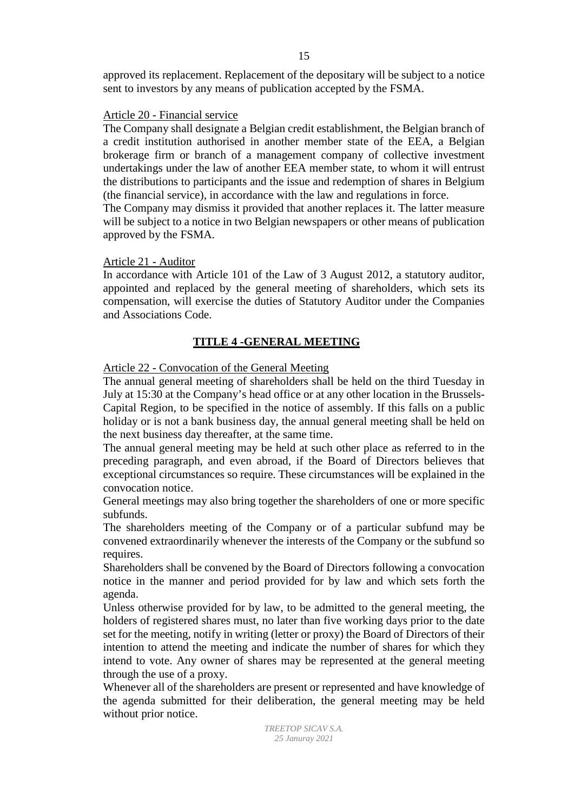approved its replacement. Replacement of the depositary will be subject to a notice sent to investors by any means of publication accepted by the FSMA.

### Article 20 - Financial service

The Company shall designate a Belgian credit establishment, the Belgian branch of a credit institution authorised in another member state of the EEA, a Belgian brokerage firm or branch of a management company of collective investment undertakings under the law of another EEA member state, to whom it will entrust the distributions to participants and the issue and redemption of shares in Belgium (the financial service), in accordance with the law and regulations in force.

The Company may dismiss it provided that another replaces it. The latter measure will be subject to a notice in two Belgian newspapers or other means of publication approved by the FSMA.

### Article 21 - Auditor

In accordance with Article 101 of the Law of 3 August 2012, a statutory auditor, appointed and replaced by the general meeting of shareholders, which sets its compensation, will exercise the duties of Statutory Auditor under the Companies and Associations Code.

# **TITLE 4 -GENERAL MEETING**

### Article 22 - Convocation of the General Meeting

The annual general meeting of shareholders shall be held on the third Tuesday in July at 15:30 at the Company's head office or at any other location in the Brussels-Capital Region, to be specified in the notice of assembly. If this falls on a public holiday or is not a bank business day, the annual general meeting shall be held on the next business day thereafter, at the same time.

The annual general meeting may be held at such other place as referred to in the preceding paragraph, and even abroad, if the Board of Directors believes that exceptional circumstances so require. These circumstances will be explained in the convocation notice.

General meetings may also bring together the shareholders of one or more specific subfunds.

The shareholders meeting of the Company or of a particular subfund may be convened extraordinarily whenever the interests of the Company or the subfund so requires.

Shareholders shall be convened by the Board of Directors following a convocation notice in the manner and period provided for by law and which sets forth the agenda.

Unless otherwise provided for by law, to be admitted to the general meeting, the holders of registered shares must, no later than five working days prior to the date set for the meeting, notify in writing (letter or proxy) the Board of Directors of their intention to attend the meeting and indicate the number of shares for which they intend to vote. Any owner of shares may be represented at the general meeting through the use of a proxy.

Whenever all of the shareholders are present or represented and have knowledge of the agenda submitted for their deliberation, the general meeting may be held without prior notice.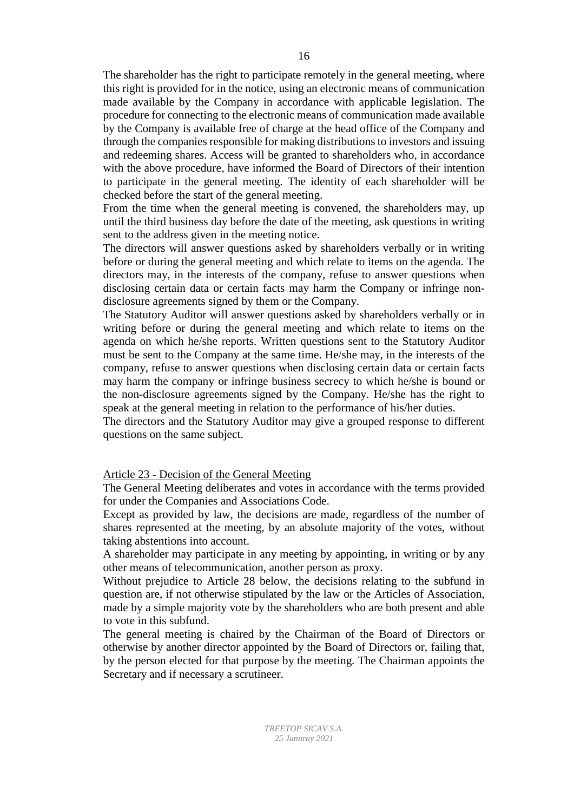The shareholder has the right to participate remotely in the general meeting, where this right is provided for in the notice, using an electronic means of communication made available by the Company in accordance with applicable legislation. The procedure for connecting to the electronic means of communication made available by the Company is available free of charge at the head office of the Company and through the companies responsible for making distributions to investors and issuing and redeeming shares. Access will be granted to shareholders who, in accordance with the above procedure, have informed the Board of Directors of their intention to participate in the general meeting. The identity of each shareholder will be checked before the start of the general meeting.

From the time when the general meeting is convened, the shareholders may, up until the third business day before the date of the meeting, ask questions in writing sent to the address given in the meeting notice.

The directors will answer questions asked by shareholders verbally or in writing before or during the general meeting and which relate to items on the agenda. The directors may, in the interests of the company, refuse to answer questions when disclosing certain data or certain facts may harm the Company or infringe nondisclosure agreements signed by them or the Company.

The Statutory Auditor will answer questions asked by shareholders verbally or in writing before or during the general meeting and which relate to items on the agenda on which he/she reports. Written questions sent to the Statutory Auditor must be sent to the Company at the same time. He/she may, in the interests of the company, refuse to answer questions when disclosing certain data or certain facts may harm the company or infringe business secrecy to which he/she is bound or the non-disclosure agreements signed by the Company. He/she has the right to speak at the general meeting in relation to the performance of his/her duties.

The directors and the Statutory Auditor may give a grouped response to different questions on the same subject.

#### Article 23 - Decision of the General Meeting

The General Meeting deliberates and votes in accordance with the terms provided for under the Companies and Associations Code.

Except as provided by law, the decisions are made, regardless of the number of shares represented at the meeting, by an absolute majority of the votes, without taking abstentions into account.

A shareholder may participate in any meeting by appointing, in writing or by any other means of telecommunication, another person as proxy.

Without prejudice to Article 28 below, the decisions relating to the subfund in question are, if not otherwise stipulated by the law or the Articles of Association, made by a simple majority vote by the shareholders who are both present and able to vote in this subfund.

The general meeting is chaired by the Chairman of the Board of Directors or otherwise by another director appointed by the Board of Directors or, failing that, by the person elected for that purpose by the meeting. The Chairman appoints the Secretary and if necessary a scrutineer.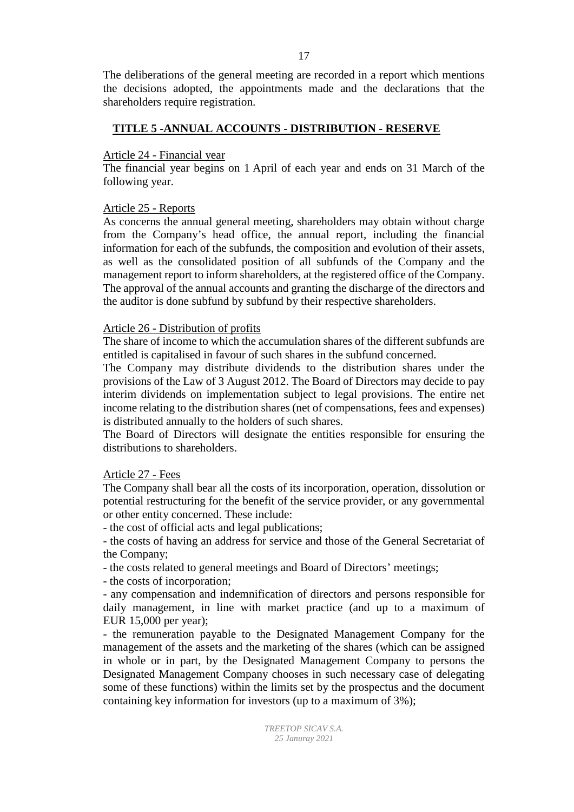The deliberations of the general meeting are recorded in a report which mentions the decisions adopted, the appointments made and the declarations that the shareholders require registration.

# **TITLE 5 -ANNUAL ACCOUNTS - DISTRIBUTION - RESERVE**

#### Article 24 - Financial year

The financial year begins on 1 April of each year and ends on 31 March of the following year.

### Article 25 - Reports

As concerns the annual general meeting, shareholders may obtain without charge from the Company's head office, the annual report, including the financial information for each of the subfunds, the composition and evolution of their assets, as well as the consolidated position of all subfunds of the Company and the management report to inform shareholders, at the registered office of the Company. The approval of the annual accounts and granting the discharge of the directors and the auditor is done subfund by subfund by their respective shareholders.

#### Article 26 - Distribution of profits

The share of income to which the accumulation shares of the different subfunds are entitled is capitalised in favour of such shares in the subfund concerned.

The Company may distribute dividends to the distribution shares under the provisions of the Law of 3 August 2012. The Board of Directors may decide to pay interim dividends on implementation subject to legal provisions. The entire net income relating to the distribution shares (net of compensations, fees and expenses) is distributed annually to the holders of such shares.

The Board of Directors will designate the entities responsible for ensuring the distributions to shareholders.

### Article 27 - Fees

The Company shall bear all the costs of its incorporation, operation, dissolution or potential restructuring for the benefit of the service provider, or any governmental or other entity concerned. These include:

- the cost of official acts and legal publications;

- the costs of having an address for service and those of the General Secretariat of the Company;

- the costs related to general meetings and Board of Directors' meetings;

- the costs of incorporation;

- any compensation and indemnification of directors and persons responsible for daily management, in line with market practice (and up to a maximum of EUR 15,000 per year);

- the remuneration payable to the Designated Management Company for the management of the assets and the marketing of the shares (which can be assigned in whole or in part, by the Designated Management Company to persons the Designated Management Company chooses in such necessary case of delegating some of these functions) within the limits set by the prospectus and the document containing key information for investors (up to a maximum of 3%);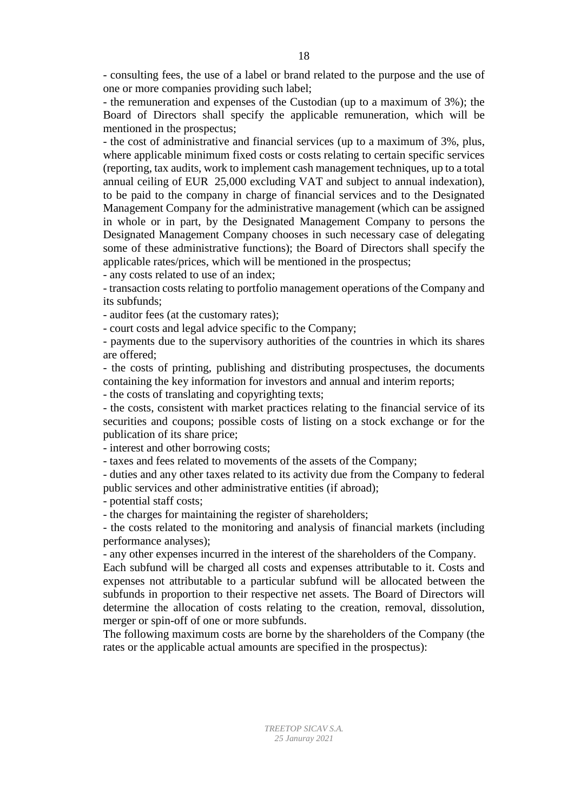- consulting fees, the use of a label or brand related to the purpose and the use of one or more companies providing such label;

- the remuneration and expenses of the Custodian (up to a maximum of 3%); the Board of Directors shall specify the applicable remuneration, which will be mentioned in the prospectus;

- the cost of administrative and financial services (up to a maximum of 3%, plus, where applicable minimum fixed costs or costs relating to certain specific services (reporting, tax audits, work to implement cash management techniques, up to a total annual ceiling of EUR 25,000 excluding VAT and subject to annual indexation), to be paid to the company in charge of financial services and to the Designated Management Company for the administrative management (which can be assigned in whole or in part, by the Designated Management Company to persons the Designated Management Company chooses in such necessary case of delegating some of these administrative functions); the Board of Directors shall specify the applicable rates/prices, which will be mentioned in the prospectus;

- any costs related to use of an index;

- transaction costs relating to portfolio management operations of the Company and its subfunds;

- auditor fees (at the customary rates);

- court costs and legal advice specific to the Company;

- payments due to the supervisory authorities of the countries in which its shares are offered;

- the costs of printing, publishing and distributing prospectuses, the documents containing the key information for investors and annual and interim reports;

- the costs of translating and copyrighting texts;

- the costs, consistent with market practices relating to the financial service of its securities and coupons; possible costs of listing on a stock exchange or for the publication of its share price;

- interest and other borrowing costs;

- taxes and fees related to movements of the assets of the Company;

- duties and any other taxes related to its activity due from the Company to federal public services and other administrative entities (if abroad);

- potential staff costs;

- the charges for maintaining the register of shareholders;

- the costs related to the monitoring and analysis of financial markets (including performance analyses);

- any other expenses incurred in the interest of the shareholders of the Company.

Each subfund will be charged all costs and expenses attributable to it. Costs and expenses not attributable to a particular subfund will be allocated between the subfunds in proportion to their respective net assets. The Board of Directors will determine the allocation of costs relating to the creation, removal, dissolution, merger or spin-off of one or more subfunds.

The following maximum costs are borne by the shareholders of the Company (the rates or the applicable actual amounts are specified in the prospectus):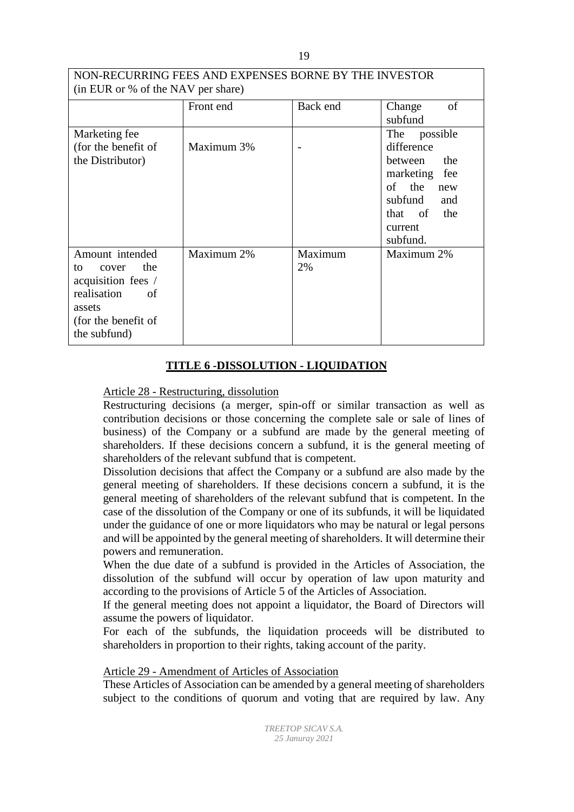| NON-RECURRING FEES AND EXPENSES BORNE BY THE INVESTOR<br>(in EUR or % of the NAV per share)                                       |            |               |                                                                                                                                              |
|-----------------------------------------------------------------------------------------------------------------------------------|------------|---------------|----------------------------------------------------------------------------------------------------------------------------------------------|
|                                                                                                                                   | Front end  | Back end      | of<br>Change<br>subfund                                                                                                                      |
| Marketing fee<br>(for the benefit of<br>the Distributor)                                                                          | Maximum 3% |               | The<br>possible<br>difference<br>between<br>the<br>marketing fee<br>of the<br>new<br>subfund<br>and<br>the<br>that of<br>current<br>subfund. |
| Amount intended<br>the<br>to<br>cover<br>acquisition fees /<br>realisation<br>of<br>assets<br>(for the benefit of<br>the subfund) | Maximum 2% | Maximum<br>2% | Maximum 2%                                                                                                                                   |

# **TITLE 6 -DISSOLUTION - LIQUIDATION**

# Article 28 - Restructuring, dissolution

Restructuring decisions (a merger, spin-off or similar transaction as well as contribution decisions or those concerning the complete sale or sale of lines of business) of the Company or a subfund are made by the general meeting of shareholders. If these decisions concern a subfund, it is the general meeting of shareholders of the relevant subfund that is competent.

Dissolution decisions that affect the Company or a subfund are also made by the general meeting of shareholders. If these decisions concern a subfund, it is the general meeting of shareholders of the relevant subfund that is competent. In the case of the dissolution of the Company or one of its subfunds, it will be liquidated under the guidance of one or more liquidators who may be natural or legal persons and will be appointed by the general meeting of shareholders. It will determine their powers and remuneration.

When the due date of a subfund is provided in the Articles of Association, the dissolution of the subfund will occur by operation of law upon maturity and according to the provisions of Article 5 of the Articles of Association.

If the general meeting does not appoint a liquidator, the Board of Directors will assume the powers of liquidator.

For each of the subfunds, the liquidation proceeds will be distributed to shareholders in proportion to their rights, taking account of the parity.

# Article 29 - Amendment of Articles of Association

These Articles of Association can be amended by a general meeting of shareholders subject to the conditions of quorum and voting that are required by law. Any